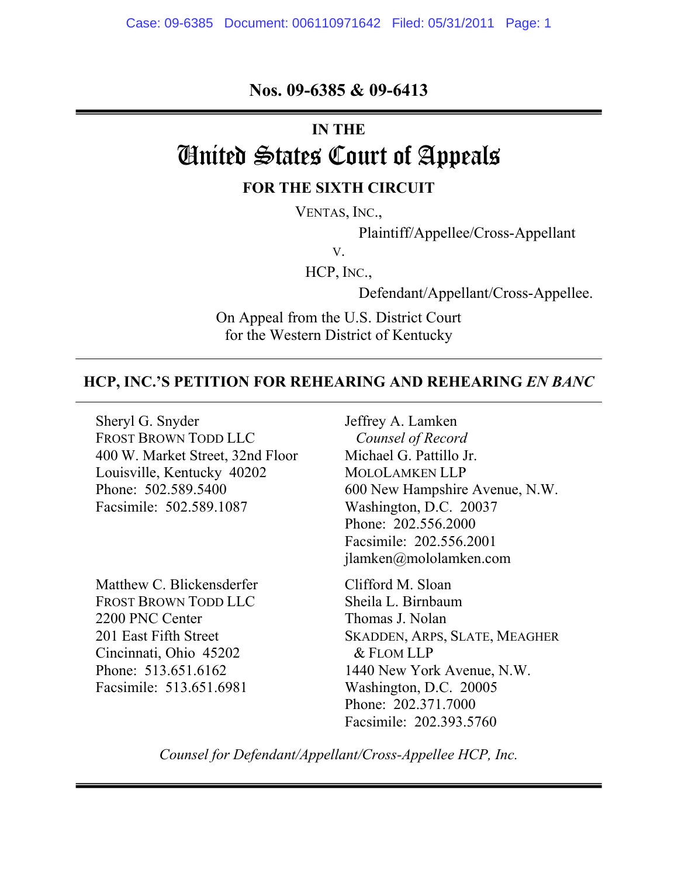**Nos. 09-6385 & 09-6413** 

## **IN THE**

# United States Court of Appeals **FOR THE SIXTH CIRCUIT**

VENTAS, INC.,

Plaintiff/Appellee/Cross-Appellant

V.

HCP, INC.,

Defendant/Appellant/Cross-Appellee.

On Appeal from the U.S. District Court for the Western District of Kentucky

# **HCP, INC.'S PETITION FOR REHEARING AND REHEARING** *EN BANC*

Sheryl G. Snyder FROST BROWN TODD LLC 400 W. Market Street, 32nd Floor Louisville, Kentucky 40202 Phone: 502.589.5400 Facsimile: 502.589.1087

Matthew C. Blickensderfer FROST BROWN TODD LLC 2200 PNC Center 201 East Fifth Street Cincinnati, Ohio 45202 Phone: 513.651.6162 Facsimile: 513.651.6981

Jeffrey A. Lamken *Counsel of Record*  Michael G. Pattillo Jr. MOLOLAMKEN LLP 600 New Hampshire Avenue, N.W. Washington, D.C. 20037 Phone: 202.556.2000 Facsimile: 202.556.2001 jlamken@mololamken.com

Clifford M. Sloan Sheila L. Birnbaum Thomas J. Nolan SKADDEN, ARPS, SLATE, MEAGHER & FLOM LLP 1440 New York Avenue, N.W. Washington, D.C. 20005 Phone: 202.371.7000 Facsimile: 202.393.5760

*Counsel for Defendant/Appellant/Cross-Appellee HCP, Inc.*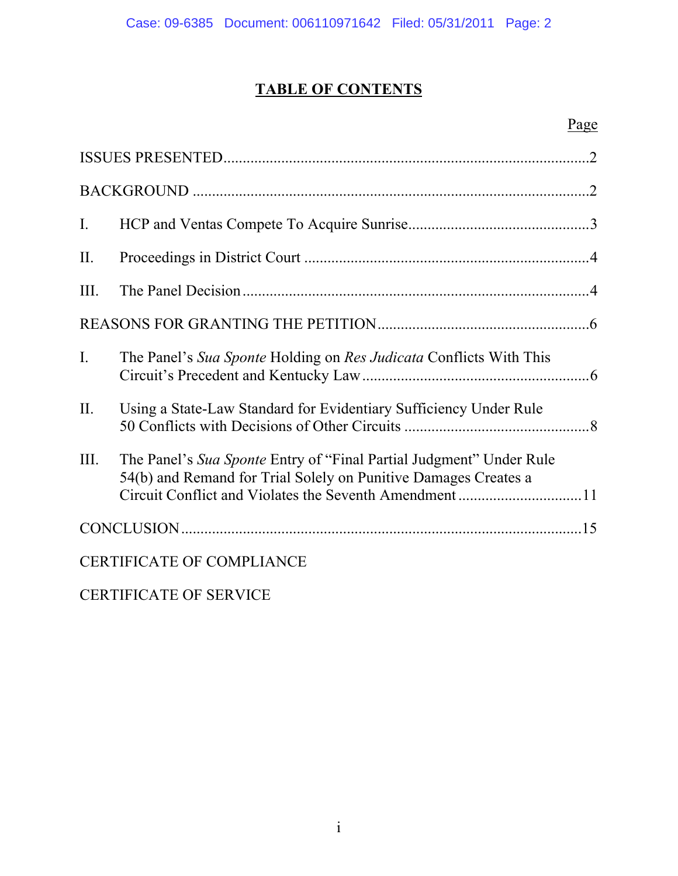# **TABLE OF CONTENTS**

# Page

| $\mathbf{I}$ .                   |                                                                                                                                        |  |
|----------------------------------|----------------------------------------------------------------------------------------------------------------------------------------|--|
| II.                              |                                                                                                                                        |  |
| III.                             |                                                                                                                                        |  |
|                                  |                                                                                                                                        |  |
| $\mathbf{I}$ .                   | The Panel's Sua Sponte Holding on Res Judicata Conflicts With This                                                                     |  |
| II.                              | Using a State-Law Standard for Evidentiary Sufficiency Under Rule                                                                      |  |
| Ш.                               | The Panel's Sua Sponte Entry of "Final Partial Judgment" Under Rule<br>54(b) and Remand for Trial Solely on Punitive Damages Creates a |  |
|                                  |                                                                                                                                        |  |
| <b>CERTIFICATE OF COMPLIANCE</b> |                                                                                                                                        |  |

CERTIFICATE OF SERVICE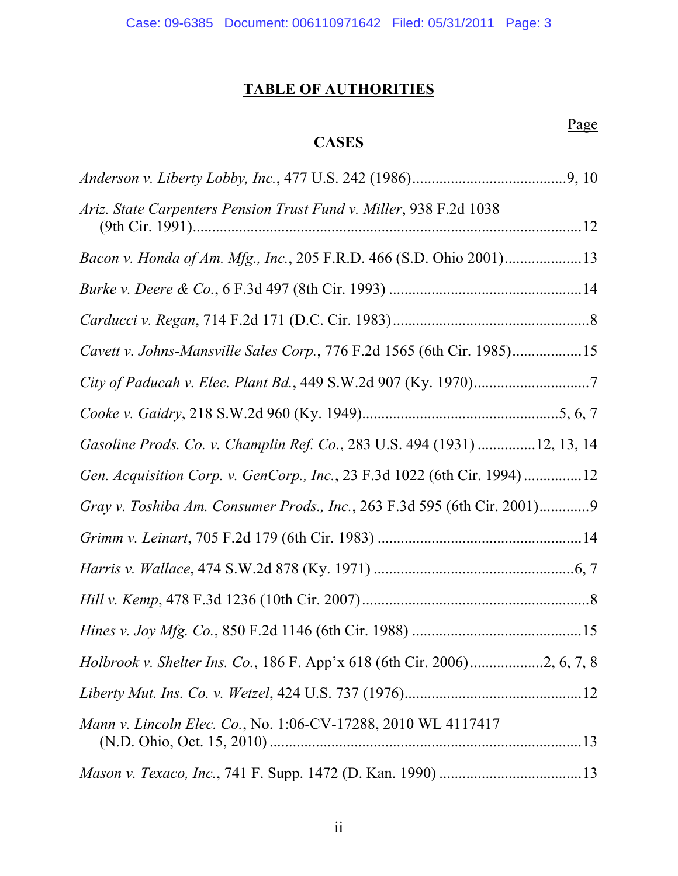# **TABLE OF AUTHORITIES**

# **CASES**

|  | Page |
|--|------|
|--|------|

| Ariz. State Carpenters Pension Trust Fund v. Miller, 938 F.2d 1038       |  |
|--------------------------------------------------------------------------|--|
| Bacon v. Honda of Am. Mfg., Inc., 205 F.R.D. 466 (S.D. Ohio 2001)13      |  |
|                                                                          |  |
|                                                                          |  |
| Cavett v. Johns-Mansville Sales Corp., 776 F.2d 1565 (6th Cir. 1985)15   |  |
|                                                                          |  |
|                                                                          |  |
| Gasoline Prods. Co. v. Champlin Ref. Co., 283 U.S. 494 (1931) 12, 13, 14 |  |
| Gen. Acquisition Corp. v. GenCorp., Inc., 23 F.3d 1022 (6th Cir. 1994)12 |  |
| Gray v. Toshiba Am. Consumer Prods., Inc., 263 F.3d 595 (6th Cir. 2001)9 |  |
|                                                                          |  |
|                                                                          |  |
|                                                                          |  |
|                                                                          |  |
|                                                                          |  |
|                                                                          |  |
| Mann v. Lincoln Elec. Co., No. 1:06-CV-17288, 2010 WL 4117417            |  |
|                                                                          |  |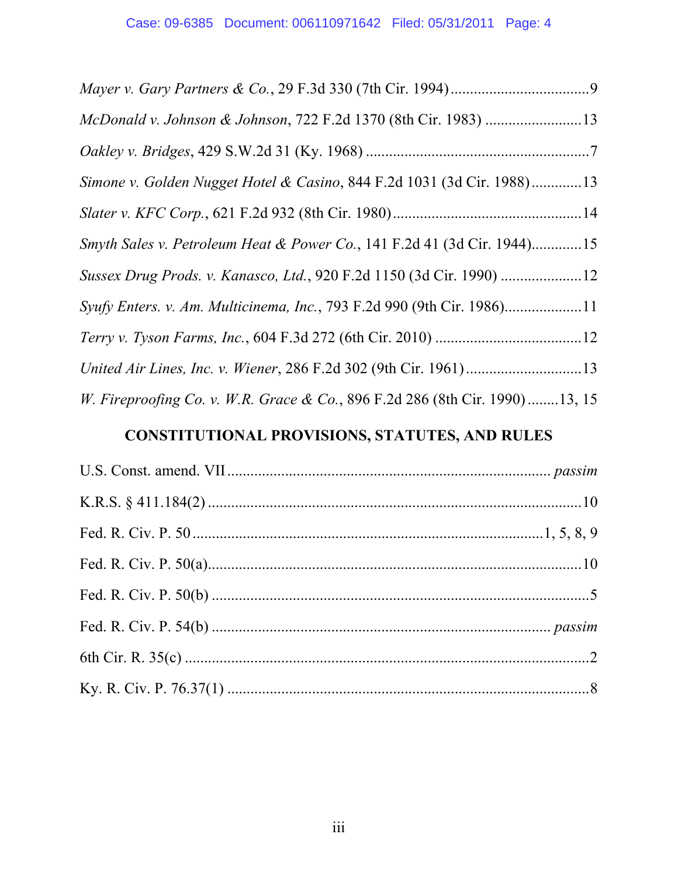| Simone v. Golden Nugget Hotel & Casino, 844 F.2d 1031 (3d Cir. 1988)13      |  |
|-----------------------------------------------------------------------------|--|
|                                                                             |  |
| Smyth Sales v. Petroleum Heat & Power Co., 141 F.2d 41 (3d Cir. 1944)15     |  |
|                                                                             |  |
| Syufy Enters. v. Am. Multicinema, Inc., 793 F.2d 990 (9th Cir. 1986)11      |  |
|                                                                             |  |
|                                                                             |  |
| W. Fireproofing Co. v. W.R. Grace & Co., 896 F.2d 286 (8th Cir. 1990)13, 15 |  |

# **CONSTITUTIONAL PROVISIONS, STATUTES, AND RULES**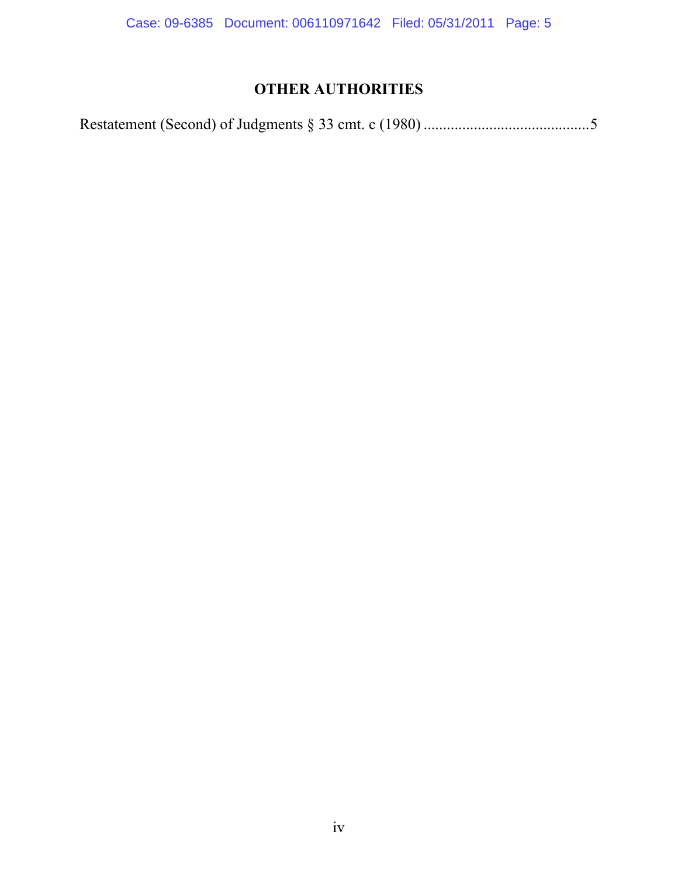Case: 09-6385 Document: 006110971642 Filed: 05/31/2011 Page: 5

# **OTHER AUTHORITIES**

|--|--|--|--|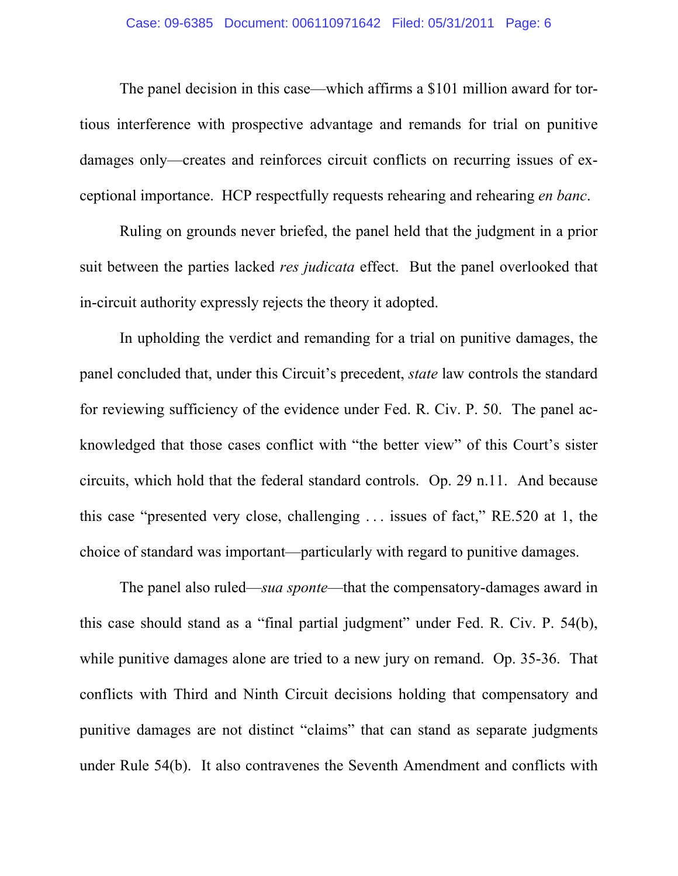### Case: 09-6385 Document: 006110971642 Filed: 05/31/2011 Page: 6

The panel decision in this case—which affirms a \$101 million award for tortious interference with prospective advantage and remands for trial on punitive damages only—creates and reinforces circuit conflicts on recurring issues of exceptional importance. HCP respectfully requests rehearing and rehearing *en banc*.

Ruling on grounds never briefed, the panel held that the judgment in a prior suit between the parties lacked *res judicata* effect. But the panel overlooked that in-circuit authority expressly rejects the theory it adopted.

In upholding the verdict and remanding for a trial on punitive damages, the panel concluded that, under this Circuit's precedent, *state* law controls the standard for reviewing sufficiency of the evidence under Fed. R. Civ. P. 50. The panel acknowledged that those cases conflict with "the better view" of this Court's sister circuits, which hold that the federal standard controls. Op. 29 n.11. And because this case "presented very close, challenging . . . issues of fact," RE.520 at 1, the choice of standard was important—particularly with regard to punitive damages.

The panel also ruled—*sua sponte*—that the compensatory-damages award in this case should stand as a "final partial judgment" under Fed. R. Civ. P. 54(b), while punitive damages alone are tried to a new jury on remand. Op. 35-36. That conflicts with Third and Ninth Circuit decisions holding that compensatory and punitive damages are not distinct "claims" that can stand as separate judgments under Rule 54(b). It also contravenes the Seventh Amendment and conflicts with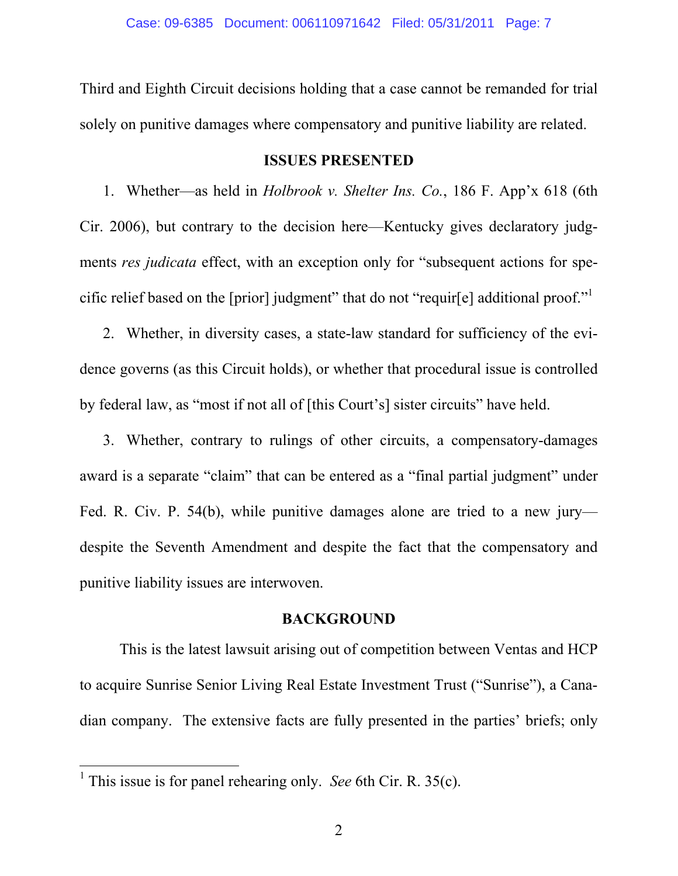Third and Eighth Circuit decisions holding that a case cannot be remanded for trial solely on punitive damages where compensatory and punitive liability are related.

### **ISSUES PRESENTED**

1. Whether—as held in *Holbrook v. Shelter Ins. Co.*, 186 F. App'x 618 (6th Cir. 2006), but contrary to the decision here—Kentucky gives declaratory judgments *res judicata* effect, with an exception only for "subsequent actions for specific relief based on the [prior] judgment" that do not "requir[e] additional proof."

 2.Whether, in diversity cases, a state-law standard for sufficiency of the evidence governs (as this Circuit holds), or whether that procedural issue is controlled by federal law, as "most if not all of [this Court's] sister circuits" have held.

 3. Whether, contrary to rulings of other circuits, a compensatory-damages award is a separate "claim" that can be entered as a "final partial judgment" under Fed. R. Civ. P. 54(b), while punitive damages alone are tried to a new jury despite the Seventh Amendment and despite the fact that the compensatory and punitive liability issues are interwoven.

### **BACKGROUND**

This is the latest lawsuit arising out of competition between Ventas and HCP to acquire Sunrise Senior Living Real Estate Investment Trust ("Sunrise"), a Canadian company. The extensive facts are fully presented in the parties' briefs; only

<sup>&</sup>lt;sup>1</sup> This issue is for panel rehearing only. *See* 6th Cir. R. 35(c).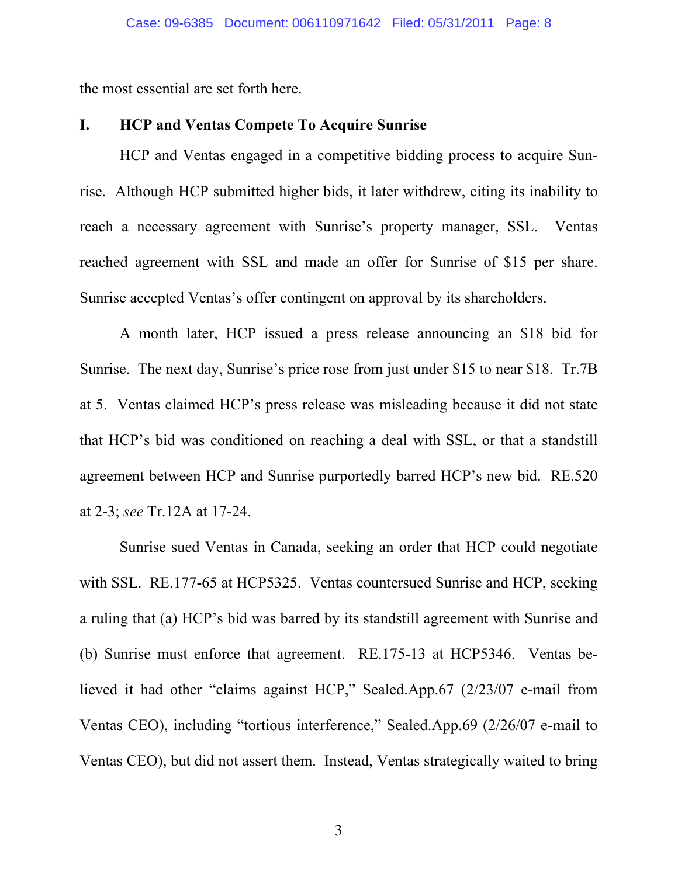the most essential are set forth here.

### **I. HCP and Ventas Compete To Acquire Sunrise**

HCP and Ventas engaged in a competitive bidding process to acquire Sunrise. Although HCP submitted higher bids, it later withdrew, citing its inability to reach a necessary agreement with Sunrise's property manager, SSL. Ventas reached agreement with SSL and made an offer for Sunrise of \$15 per share. Sunrise accepted Ventas's offer contingent on approval by its shareholders.

A month later, HCP issued a press release announcing an \$18 bid for Sunrise. The next day, Sunrise's price rose from just under \$15 to near \$18. Tr.7B at 5. Ventas claimed HCP's press release was misleading because it did not state that HCP's bid was conditioned on reaching a deal with SSL, or that a standstill agreement between HCP and Sunrise purportedly barred HCP's new bid. RE.520 at 2-3; *see* Tr.12A at 17-24.

Sunrise sued Ventas in Canada, seeking an order that HCP could negotiate with SSL. RE.177-65 at HCP5325. Ventas countersued Sunrise and HCP, seeking a ruling that (a) HCP's bid was barred by its standstill agreement with Sunrise and (b) Sunrise must enforce that agreement. RE.175-13 at HCP5346. Ventas believed it had other "claims against HCP," Sealed.App.67 (2/23/07 e-mail from Ventas CEO), including "tortious interference," Sealed.App.69 (2/26/07 e-mail to Ventas CEO), but did not assert them. Instead, Ventas strategically waited to bring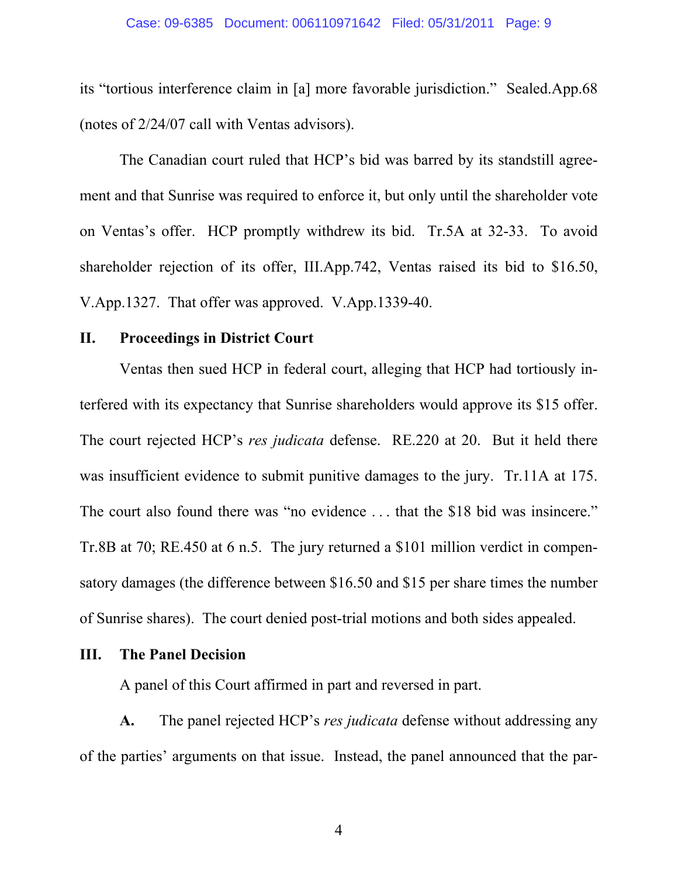#### Case: 09-6385 Document: 006110971642 Filed: 05/31/2011 Page: 9

its "tortious interference claim in [a] more favorable jurisdiction." Sealed.App.68 (notes of 2/24/07 call with Ventas advisors).

The Canadian court ruled that HCP's bid was barred by its standstill agreement and that Sunrise was required to enforce it, but only until the shareholder vote on Ventas's offer. HCP promptly withdrew its bid. Tr.5A at 32-33. To avoid shareholder rejection of its offer, III.App.742, Ventas raised its bid to \$16.50, V.App.1327. That offer was approved. V.App.1339-40.

## **II. Proceedings in District Court**

Ventas then sued HCP in federal court, alleging that HCP had tortiously interfered with its expectancy that Sunrise shareholders would approve its \$15 offer. The court rejected HCP's *res judicata* defense. RE.220 at 20. But it held there was insufficient evidence to submit punitive damages to the jury. Tr.11A at 175. The court also found there was "no evidence . . . that the \$18 bid was insincere." Tr.8B at 70; RE.450 at 6 n.5. The jury returned a \$101 million verdict in compensatory damages (the difference between \$16.50 and \$15 per share times the number of Sunrise shares). The court denied post-trial motions and both sides appealed.

### **III. The Panel Decision**

A panel of this Court affirmed in part and reversed in part.

**A.** The panel rejected HCP's *res judicata* defense without addressing any of the parties' arguments on that issue. Instead, the panel announced that the par-

4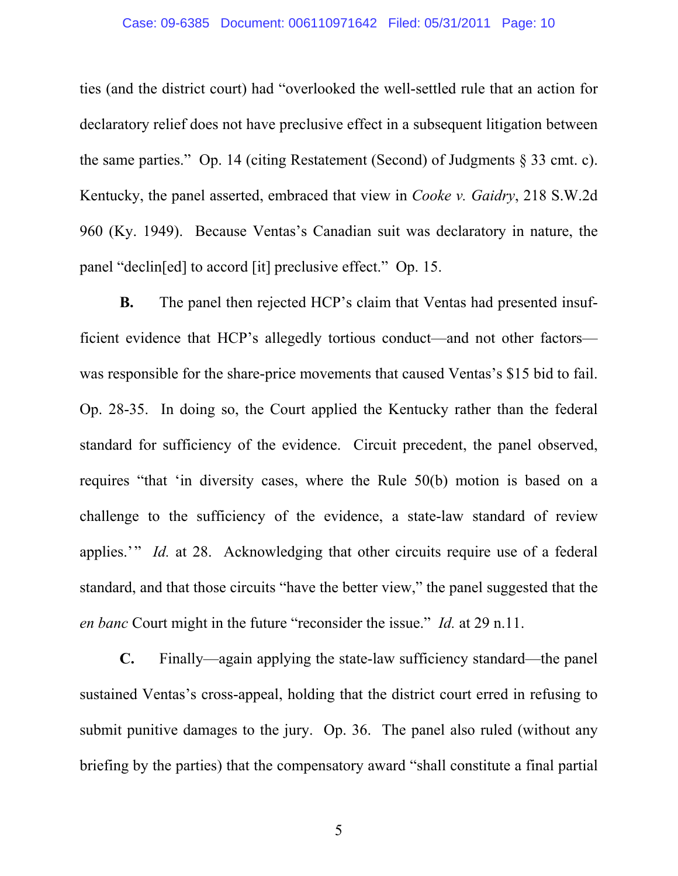### Case: 09-6385 Document: 006110971642 Filed: 05/31/2011 Page: 10

ties (and the district court) had "overlooked the well-settled rule that an action for declaratory relief does not have preclusive effect in a subsequent litigation between the same parties." Op. 14 (citing Restatement (Second) of Judgments § 33 cmt. c). Kentucky, the panel asserted, embraced that view in *Cooke v. Gaidry*, 218 S.W.2d 960 (Ky. 1949). Because Ventas's Canadian suit was declaratory in nature, the panel "declin[ed] to accord [it] preclusive effect." Op. 15.

**B.** The panel then rejected HCP's claim that Ventas had presented insufficient evidence that HCP's allegedly tortious conduct—and not other factors was responsible for the share-price movements that caused Ventas's \$15 bid to fail. Op. 28-35. In doing so, the Court applied the Kentucky rather than the federal standard for sufficiency of the evidence. Circuit precedent, the panel observed, requires "that 'in diversity cases, where the Rule 50(b) motion is based on a challenge to the sufficiency of the evidence, a state-law standard of review applies.'" *Id.* at 28. Acknowledging that other circuits require use of a federal standard, and that those circuits "have the better view," the panel suggested that the *en banc* Court might in the future "reconsider the issue." *Id.* at 29 n.11.

**C.** Finally—again applying the state-law sufficiency standard—the panel sustained Ventas's cross-appeal, holding that the district court erred in refusing to submit punitive damages to the jury. Op. 36. The panel also ruled (without any briefing by the parties) that the compensatory award "shall constitute a final partial

5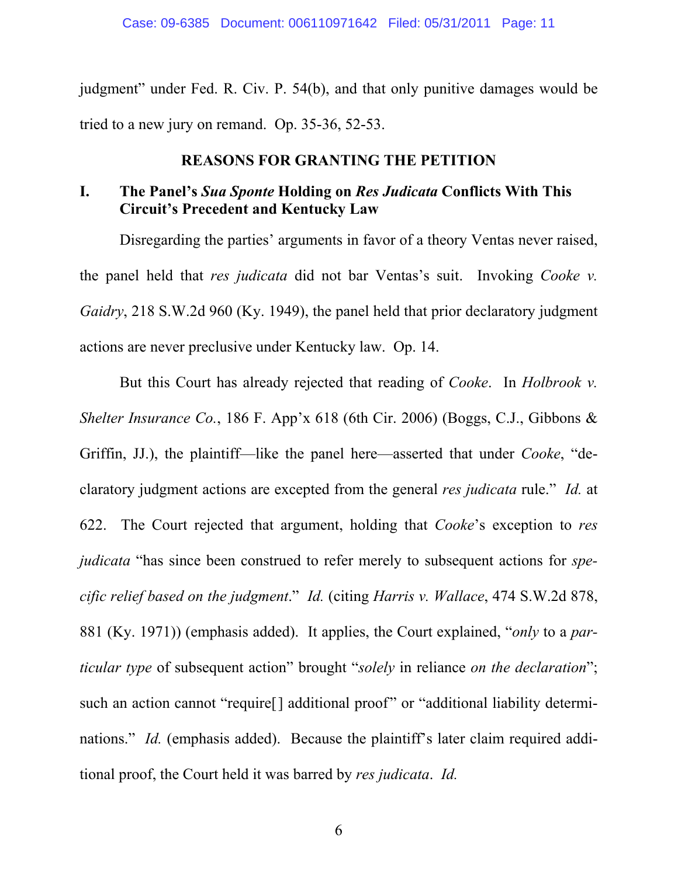judgment" under Fed. R. Civ. P. 54(b), and that only punitive damages would be tried to a new jury on remand. Op. 35-36, 52-53.

### **REASONS FOR GRANTING THE PETITION**

# **I. The Panel's** *Sua Sponte* **Holding on** *Res Judicata* **Conflicts With This Circuit's Precedent and Kentucky Law**

Disregarding the parties' arguments in favor of a theory Ventas never raised, the panel held that *res judicata* did not bar Ventas's suit. Invoking *Cooke v. Gaidry*, 218 S.W.2d 960 (Ky. 1949), the panel held that prior declaratory judgment actions are never preclusive under Kentucky law. Op. 14.

But this Court has already rejected that reading of *Cooke*. In *Holbrook v. Shelter Insurance Co.*, 186 F. App'x 618 (6th Cir. 2006) (Boggs, C.J., Gibbons & Griffin, JJ.), the plaintiff—like the panel here—asserted that under *Cooke*, "declaratory judgment actions are excepted from the general *res judicata* rule." *Id.* at 622. The Court rejected that argument, holding that *Cooke*'s exception to *res judicata* "has since been construed to refer merely to subsequent actions for *specific relief based on the judgment*." *Id.* (citing *Harris v. Wallace*, 474 S.W.2d 878, 881 (Ky. 1971)) (emphasis added). It applies, the Court explained, "*only* to a *particular type* of subsequent action" brought "*solely* in reliance *on the declaration*"; such an action cannot "require<sup>[]</sup> additional proof" or "additional liability determinations." *Id.* (emphasis added). Because the plaintiff's later claim required additional proof, the Court held it was barred by *res judicata*. *Id.*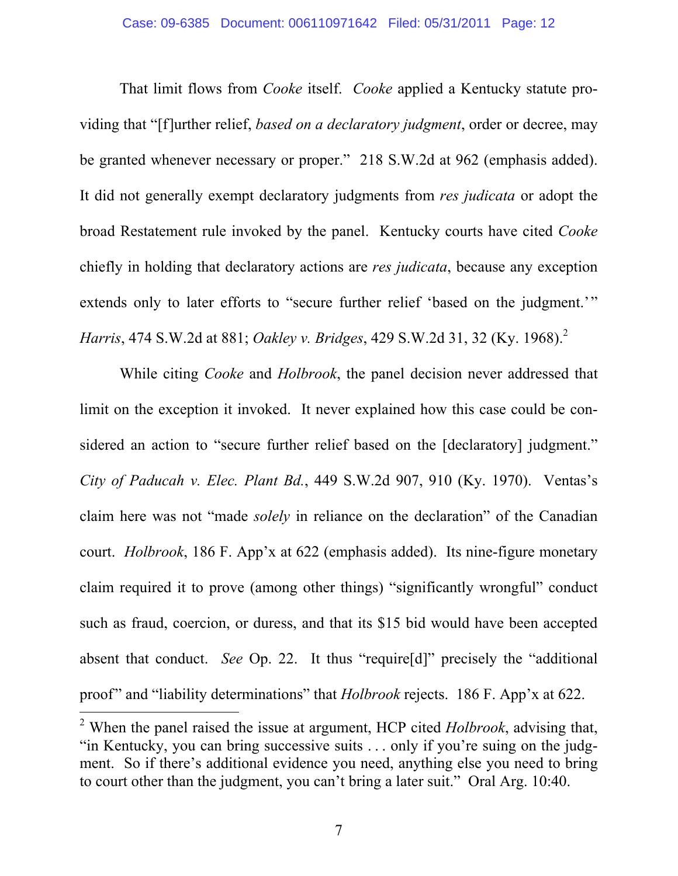That limit flows from *Cooke* itself. *Cooke* applied a Kentucky statute providing that "[f]urther relief, *based on a declaratory judgment*, order or decree, may be granted whenever necessary or proper." 218 S.W.2d at 962 (emphasis added). It did not generally exempt declaratory judgments from *res judicata* or adopt the broad Restatement rule invoked by the panel. Kentucky courts have cited *Cooke* chiefly in holding that declaratory actions are *res judicata*, because any exception extends only to later efforts to "secure further relief 'based on the judgment.'" *Harris*, 474 S.W.2d at 881; *Oakley v. Bridges*, 429 S.W.2d 31, 32 (Ky. 1968).<sup>2</sup>

While citing *Cooke* and *Holbrook*, the panel decision never addressed that limit on the exception it invoked. It never explained how this case could be considered an action to "secure further relief based on the [declaratory] judgment." *City of Paducah v. Elec. Plant Bd.*, 449 S.W.2d 907, 910 (Ky. 1970). Ventas's claim here was not "made *solely* in reliance on the declaration" of the Canadian court. *Holbrook*, 186 F. App'x at 622 (emphasis added). Its nine-figure monetary claim required it to prove (among other things) "significantly wrongful" conduct such as fraud, coercion, or duress, and that its \$15 bid would have been accepted absent that conduct. *See* Op. 22. It thus "require[d]" precisely the "additional proof" and "liability determinations" that *Holbrook* rejects. 186 F. App'x at 622.

<sup>2</sup> When the panel raised the issue at argument, HCP cited *Holbrook*, advising that, "in Kentucky, you can bring successive suits . . . only if you're suing on the judgment. So if there's additional evidence you need, anything else you need to bring to court other than the judgment, you can't bring a later suit." Oral Arg. 10:40.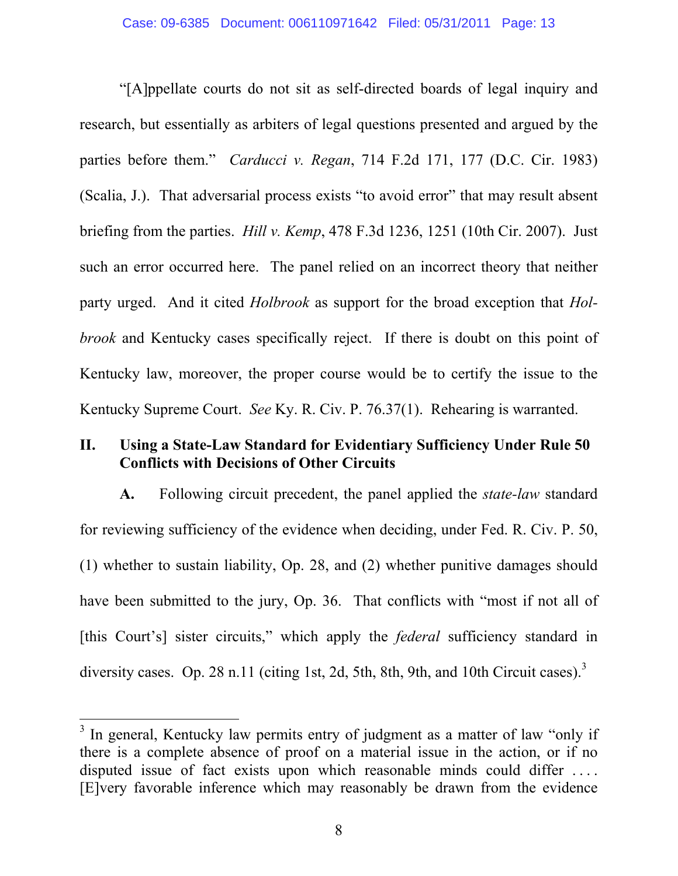"[A]ppellate courts do not sit as self-directed boards of legal inquiry and research, but essentially as arbiters of legal questions presented and argued by the parties before them." *Carducci v. Regan*, 714 F.2d 171, 177 (D.C. Cir. 1983) (Scalia, J.). That adversarial process exists "to avoid error" that may result absent briefing from the parties. *Hill v. Kemp*, 478 F.3d 1236, 1251 (10th Cir. 2007). Just such an error occurred here. The panel relied on an incorrect theory that neither party urged. And it cited *Holbrook* as support for the broad exception that *Holbrook* and Kentucky cases specifically reject. If there is doubt on this point of Kentucky law, moreover, the proper course would be to certify the issue to the Kentucky Supreme Court. *See* Ky. R. Civ. P. 76.37(1). Rehearing is warranted.

## **II. Using a State-Law Standard for Evidentiary Sufficiency Under Rule 50 Conflicts with Decisions of Other Circuits**

**A.** Following circuit precedent, the panel applied the *state-law* standard for reviewing sufficiency of the evidence when deciding, under Fed. R. Civ. P. 50, (1) whether to sustain liability, Op. 28, and (2) whether punitive damages should have been submitted to the jury, Op. 36. That conflicts with "most if not all of [this Court's] sister circuits," which apply the *federal* sufficiency standard in diversity cases. Op. 28 n.11 (citing 1st, 2d, 5th, 8th, 9th, and 10th Circuit cases).<sup>3</sup>

<sup>&</sup>lt;sup>3</sup> In general, Kentucky law permits entry of judgment as a matter of law "only if there is a complete absence of proof on a material issue in the action, or if no disputed issue of fact exists upon which reasonable minds could differ ... [E]very favorable inference which may reasonably be drawn from the evidence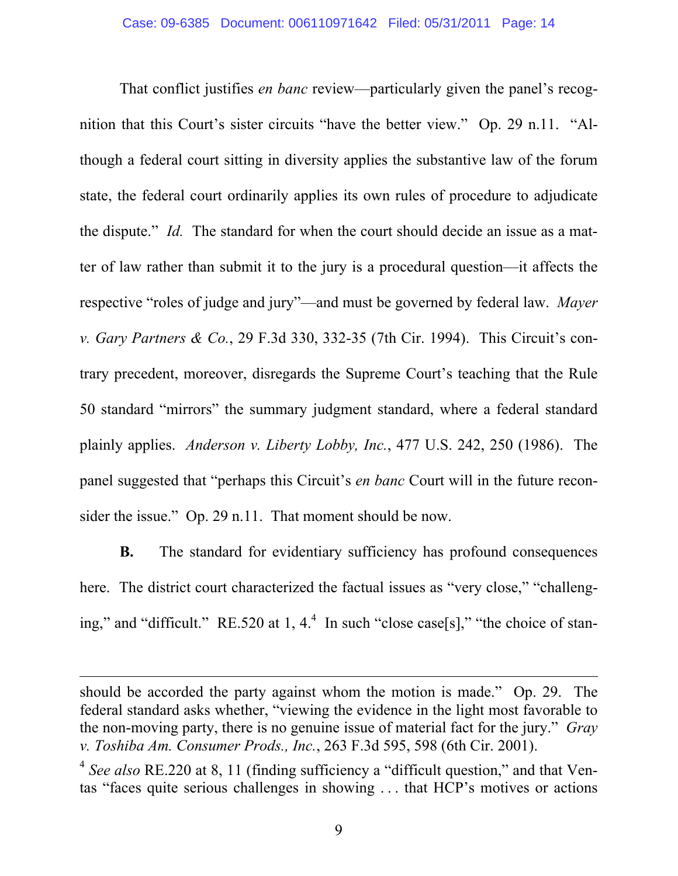That conflict justifies *en banc* review—particularly given the panel's recognition that this Court's sister circuits "have the better view." Op. 29 n.11. "Although a federal court sitting in diversity applies the substantive law of the forum state, the federal court ordinarily applies its own rules of procedure to adjudicate the dispute." *Id.* The standard for when the court should decide an issue as a matter of law rather than submit it to the jury is a procedural question—it affects the respective "roles of judge and jury"—and must be governed by federal law. *Mayer v. Gary Partners & Co.*, 29 F.3d 330, 332-35 (7th Cir. 1994). This Circuit's contrary precedent, moreover, disregards the Supreme Court's teaching that the Rule 50 standard "mirrors" the summary judgment standard, where a federal standard plainly applies. *Anderson v. Liberty Lobby, Inc.*, 477 U.S. 242, 250 (1986). The panel suggested that "perhaps this Circuit's *en banc* Court will in the future reconsider the issue." Op. 29 n.11. That moment should be now.

**B.** The standard for evidentiary sufficiency has profound consequences here. The district court characterized the factual issues as "very close," "challenging," and "difficult." RE.520 at 1,  $4<sup>4</sup>$  In such "close case[s]," "the choice of stan-

should be accorded the party against whom the motion is made." Op. 29. The federal standard asks whether, "viewing the evidence in the light most favorable to the non-moving party, there is no genuine issue of material fact for the jury." *Gray v. Toshiba Am. Consumer Prods., Inc.*, 263 F.3d 595, 598 (6th Cir. 2001).

<sup>4</sup> *See also* RE.220 at 8, 11 (finding sufficiency a "difficult question," and that Ventas "faces quite serious challenges in showing . . . that HCP's motives or actions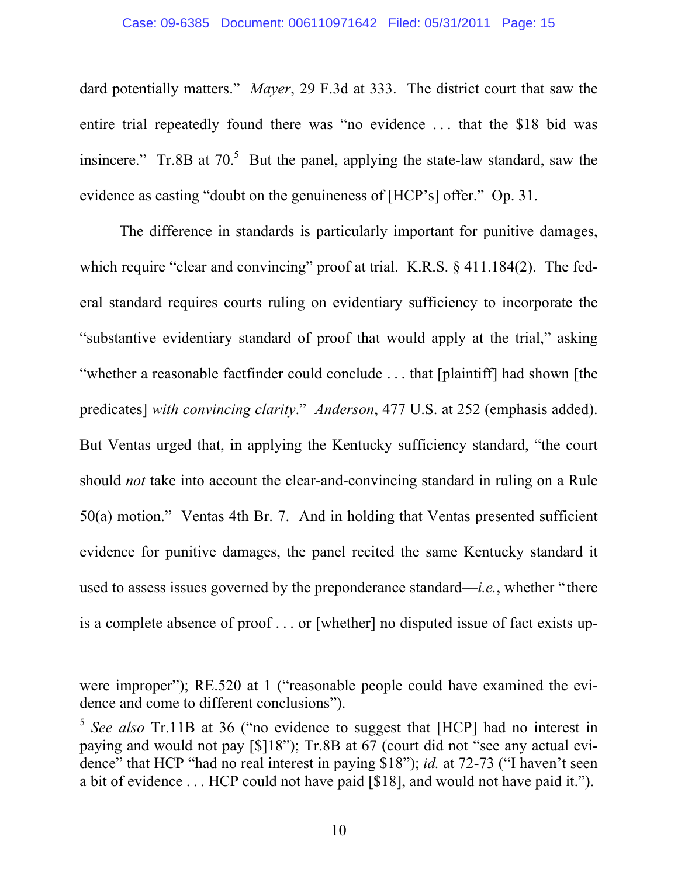#### Case: 09-6385 Document: 006110971642 Filed: 05/31/2011 Page: 15

dard potentially matters." *Mayer*, 29 F.3d at 333. The district court that saw the entire trial repeatedly found there was "no evidence . . . that the \$18 bid was insincere." Tr.8B at  $70<sup>5</sup>$  But the panel, applying the state-law standard, saw the evidence as casting "doubt on the genuineness of [HCP's] offer." Op. 31.

The difference in standards is particularly important for punitive damages, which require "clear and convincing" proof at trial. K.R.S. § 411.184(2). The federal standard requires courts ruling on evidentiary sufficiency to incorporate the "substantive evidentiary standard of proof that would apply at the trial," asking "whether a reasonable factfinder could conclude . . . that [plaintiff] had shown [the predicates] *with convincing clarity*." *Anderson*, 477 U.S. at 252 (emphasis added). But Ventas urged that, in applying the Kentucky sufficiency standard, "the court should *not* take into account the clear-and-convincing standard in ruling on a Rule 50(a) motion." Ventas 4th Br. 7. And in holding that Ventas presented sufficient evidence for punitive damages, the panel recited the same Kentucky standard it used to assess issues governed by the preponderance standard—*i.e.*, whether "there is a complete absence of proof . . . or [whether] no disputed issue of fact exists up-

were improper"); RE.520 at 1 ("reasonable people could have examined the evidence and come to different conclusions").

<sup>&</sup>lt;sup>5</sup> See also Tr.11B at 36 ("no evidence to suggest that [HCP] had no interest in paying and would not pay [\$]18"); Tr.8B at 67 (court did not "see any actual evidence" that HCP "had no real interest in paying \$18"); *id.* at 72-73 ("I haven't seen a bit of evidence . . . HCP could not have paid [\$18], and would not have paid it.").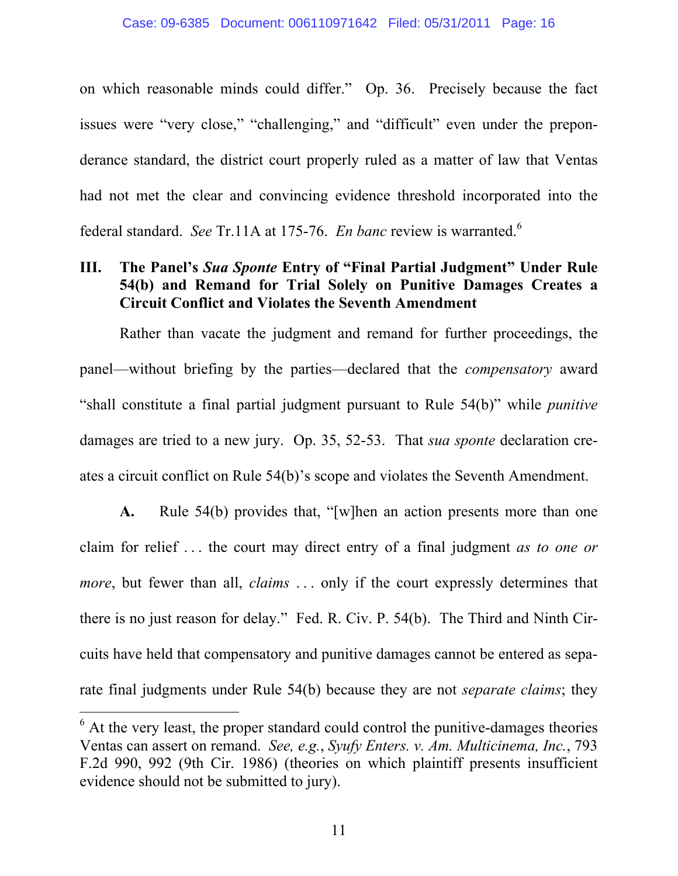on which reasonable minds could differ." Op. 36. Precisely because the fact issues were "very close," "challenging," and "difficult" even under the preponderance standard, the district court properly ruled as a matter of law that Ventas had not met the clear and convincing evidence threshold incorporated into the federal standard. *See* Tr.11A at 175-76. *En banc* review is warranted.<sup>6</sup>

# **III. The Panel's** *Sua Sponte* **Entry of "Final Partial Judgment" Under Rule 54(b) and Remand for Trial Solely on Punitive Damages Creates a Circuit Conflict and Violates the Seventh Amendment**

Rather than vacate the judgment and remand for further proceedings, the panel—without briefing by the parties—declared that the *compensatory* award "shall constitute a final partial judgment pursuant to Rule 54(b)" while *punitive*  damages are tried to a new jury. Op. 35, 52-53. That *sua sponte* declaration creates a circuit conflict on Rule 54(b)'s scope and violates the Seventh Amendment.

**A.** Rule 54(b) provides that, "[w]hen an action presents more than one claim for relief . . . the court may direct entry of a final judgment *as to one or more*, but fewer than all, *claims* ... only if the court expressly determines that there is no just reason for delay." Fed. R. Civ. P. 54(b). The Third and Ninth Circuits have held that compensatory and punitive damages cannot be entered as separate final judgments under Rule 54(b) because they are not *separate claims*; they

 $6$  At the very least, the proper standard could control the punitive-damages theories Ventas can assert on remand. *See, e.g.*, *Syufy Enters. v. Am. Multicinema, Inc.*, 793 F.2d 990, 992 (9th Cir. 1986) (theories on which plaintiff presents insufficient evidence should not be submitted to jury).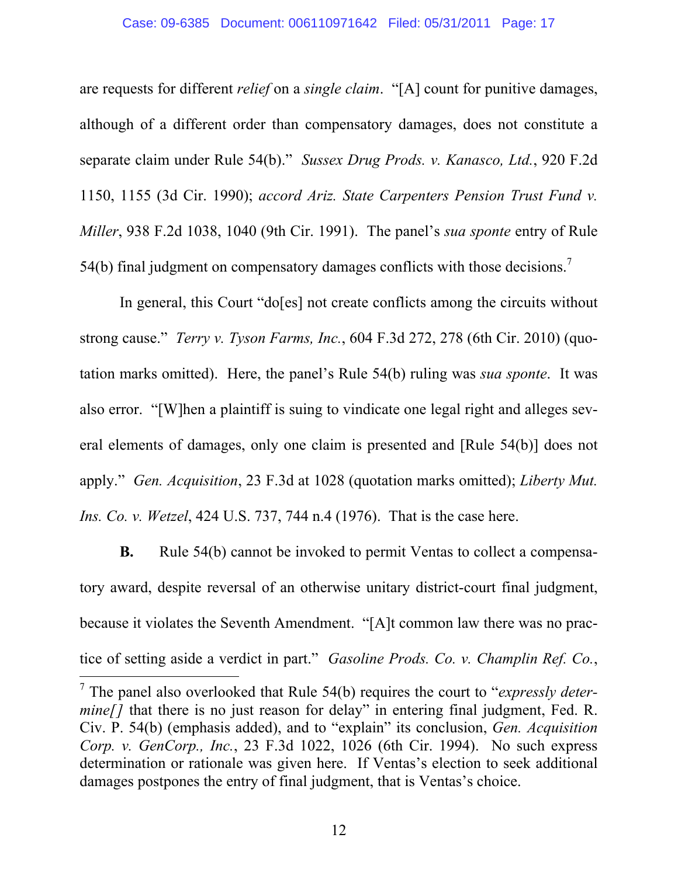#### Case: 09-6385 Document: 006110971642 Filed: 05/31/2011 Page: 17

are requests for different *relief* on a *single claim*. "[A] count for punitive damages, although of a different order than compensatory damages, does not constitute a separate claim under Rule 54(b)." *Sussex Drug Prods. v. Kanasco, Ltd.*, 920 F.2d 1150, 1155 (3d Cir. 1990); *accord Ariz. State Carpenters Pension Trust Fund v. Miller*, 938 F.2d 1038, 1040 (9th Cir. 1991). The panel's *sua sponte* entry of Rule 54(b) final judgment on compensatory damages conflicts with those decisions.<sup>7</sup>

In general, this Court "do[es] not create conflicts among the circuits without strong cause." *Terry v. Tyson Farms, Inc.*, 604 F.3d 272, 278 (6th Cir. 2010) (quotation marks omitted). Here, the panel's Rule 54(b) ruling was *sua sponte*. It was also error. "[W]hen a plaintiff is suing to vindicate one legal right and alleges several elements of damages, only one claim is presented and [Rule 54(b)] does not apply." *Gen. Acquisition*, 23 F.3d at 1028 (quotation marks omitted); *Liberty Mut. Ins. Co. v. Wetzel*, 424 U.S. 737, 744 n.4 (1976). That is the case here.

**B.** Rule 54(b) cannot be invoked to permit Ventas to collect a compensatory award, despite reversal of an otherwise unitary district-court final judgment, because it violates the Seventh Amendment. "[A]t common law there was no practice of setting aside a verdict in part." *Gasoline Prods. Co. v. Champlin Ref. Co.*,

<sup>7</sup> The panel also overlooked that Rule 54(b) requires the court to "*expressly determine*[] that there is no just reason for delay" in entering final judgment, Fed. R. Civ. P. 54(b) (emphasis added), and to "explain" its conclusion, *Gen. Acquisition Corp. v. GenCorp., Inc.*, 23 F.3d 1022, 1026 (6th Cir. 1994). No such express determination or rationale was given here. If Ventas's election to seek additional damages postpones the entry of final judgment, that is Ventas's choice.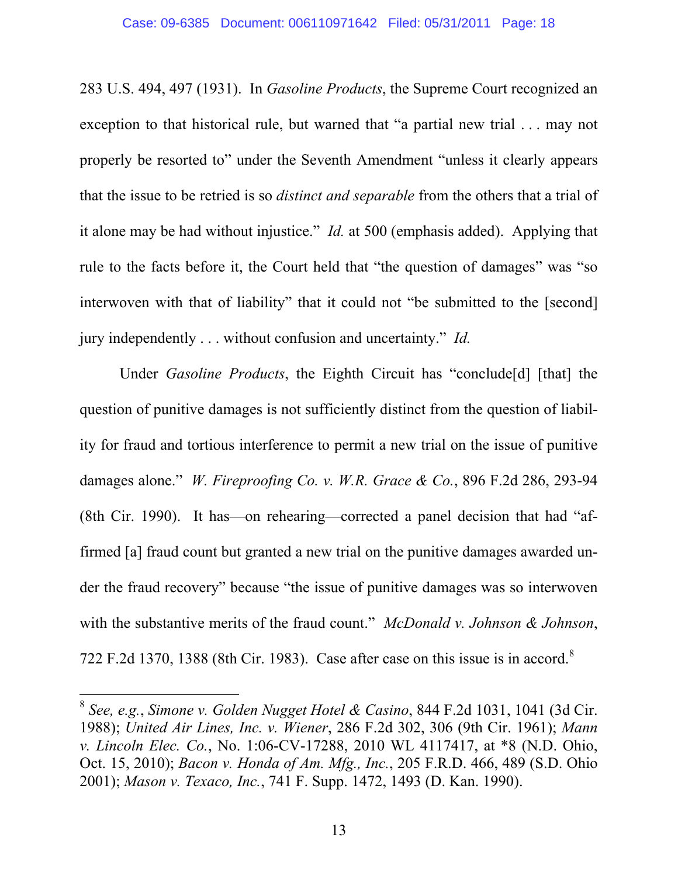283 U.S. 494, 497 (1931). In *Gasoline Products*, the Supreme Court recognized an exception to that historical rule, but warned that "a partial new trial . . . may not properly be resorted to" under the Seventh Amendment "unless it clearly appears that the issue to be retried is so *distinct and separable* from the others that a trial of it alone may be had without injustice." *Id.* at 500 (emphasis added). Applying that rule to the facts before it, the Court held that "the question of damages" was "so interwoven with that of liability" that it could not "be submitted to the [second] jury independently . . . without confusion and uncertainty." *Id.*

Under *Gasoline Products*, the Eighth Circuit has "conclude[d] [that] the question of punitive damages is not sufficiently distinct from the question of liability for fraud and tortious interference to permit a new trial on the issue of punitive damages alone." *W. Fireproofing Co. v. W.R. Grace & Co.*, 896 F.2d 286, 293-94 (8th Cir. 1990). It has—on rehearing—corrected a panel decision that had "affirmed [a] fraud count but granted a new trial on the punitive damages awarded under the fraud recovery" because "the issue of punitive damages was so interwoven with the substantive merits of the fraud count." *McDonald v. Johnson & Johnson*, 722 F.2d 1370, 1388 (8th Cir. 1983). Case after case on this issue is in accord.<sup>8</sup>

<sup>8</sup> *See, e.g.*, *Simone v. Golden Nugget Hotel & Casino*, 844 F.2d 1031, 1041 (3d Cir. 1988); *United Air Lines, Inc. v. Wiener*, 286 F.2d 302, 306 (9th Cir. 1961); *Mann v. Lincoln Elec. Co.*, No. 1:06-CV-17288, 2010 WL 4117417, at \*8 (N.D. Ohio, Oct. 15, 2010); *Bacon v. Honda of Am. Mfg., Inc.*, 205 F.R.D. 466, 489 (S.D. Ohio 2001); *Mason v. Texaco, Inc.*, 741 F. Supp. 1472, 1493 (D. Kan. 1990).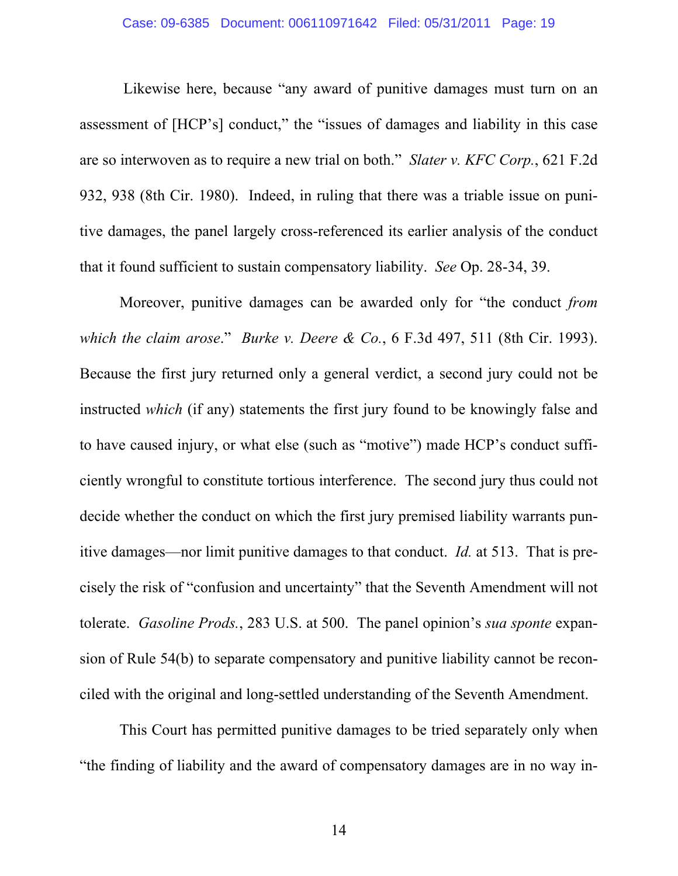## Case: 09-6385 Document: 006110971642 Filed: 05/31/2011 Page: 19

 Likewise here, because "any award of punitive damages must turn on an assessment of [HCP's] conduct," the "issues of damages and liability in this case are so interwoven as to require a new trial on both." *Slater v. KFC Corp.*, 621 F.2d 932, 938 (8th Cir. 1980). Indeed, in ruling that there was a triable issue on punitive damages, the panel largely cross-referenced its earlier analysis of the conduct that it found sufficient to sustain compensatory liability. *See* Op. 28-34, 39.

Moreover, punitive damages can be awarded only for "the conduct *from which the claim arose*." *Burke v. Deere & Co.*, 6 F.3d 497, 511 (8th Cir. 1993). Because the first jury returned only a general verdict, a second jury could not be instructed *which* (if any) statements the first jury found to be knowingly false and to have caused injury, or what else (such as "motive") made HCP's conduct sufficiently wrongful to constitute tortious interference. The second jury thus could not decide whether the conduct on which the first jury premised liability warrants punitive damages—nor limit punitive damages to that conduct. *Id.* at 513. That is precisely the risk of "confusion and uncertainty" that the Seventh Amendment will not tolerate. *Gasoline Prods.*, 283 U.S. at 500. The panel opinion's *sua sponte* expansion of Rule 54(b) to separate compensatory and punitive liability cannot be reconciled with the original and long-settled understanding of the Seventh Amendment.

This Court has permitted punitive damages to be tried separately only when "the finding of liability and the award of compensatory damages are in no way in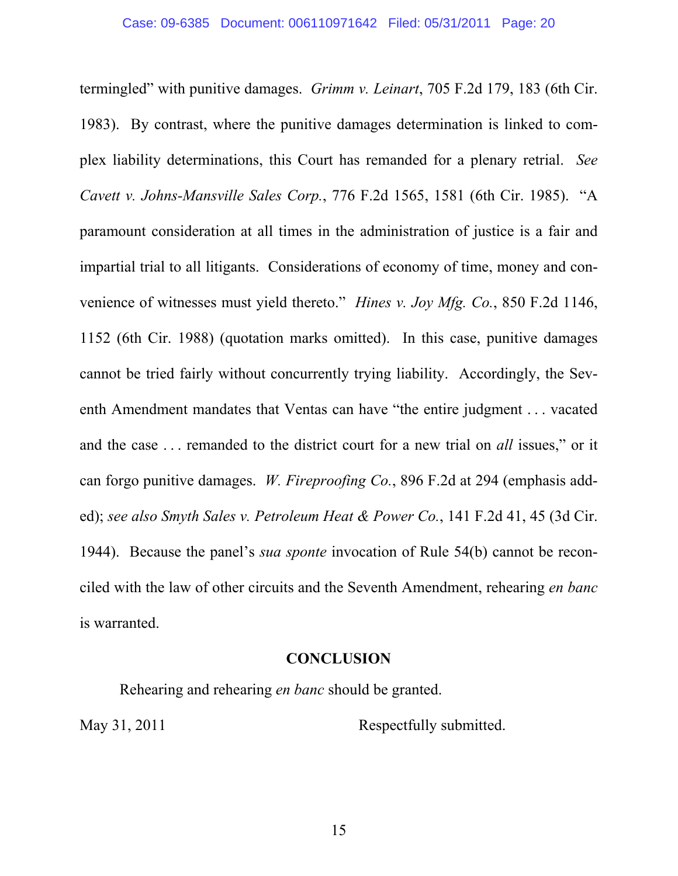termingled" with punitive damages. *Grimm v. Leinart*, 705 F.2d 179, 183 (6th Cir. 1983). By contrast, where the punitive damages determination is linked to complex liability determinations, this Court has remanded for a plenary retrial. *See Cavett v. Johns-Mansville Sales Corp.*, 776 F.2d 1565, 1581 (6th Cir. 1985). "A paramount consideration at all times in the administration of justice is a fair and impartial trial to all litigants. Considerations of economy of time, money and convenience of witnesses must yield thereto." *Hines v. Joy Mfg. Co.*, 850 F.2d 1146, 1152 (6th Cir. 1988) (quotation marks omitted). In this case, punitive damages cannot be tried fairly without concurrently trying liability. Accordingly, the Seventh Amendment mandates that Ventas can have "the entire judgment . . . vacated and the case . . . remanded to the district court for a new trial on *all* issues," or it can forgo punitive damages. *W. Fireproofing Co.*, 896 F.2d at 294 (emphasis added); *see also Smyth Sales v. Petroleum Heat & Power Co.*, 141 F.2d 41, 45 (3d Cir. 1944). Because the panel's *sua sponte* invocation of Rule 54(b) cannot be reconciled with the law of other circuits and the Seventh Amendment, rehearing *en banc* is warranted.

### **CONCLUSION**

Rehearing and rehearing *en banc* should be granted. May 31, 2011 Respectfully submitted.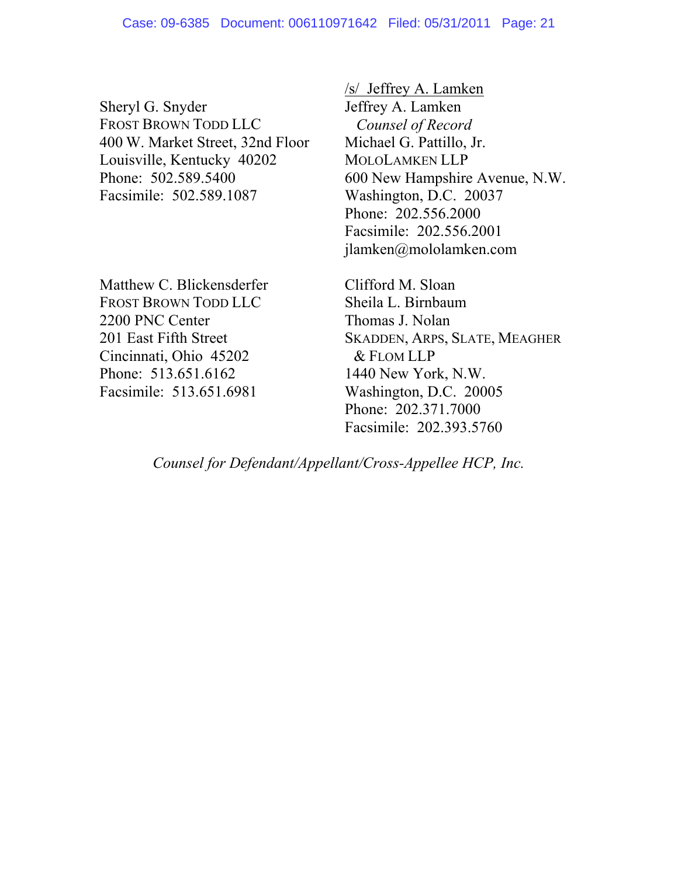Sheryl G. Snyder FROST BROWN TODD LLC 400 W. Market Street, 32nd Floor Louisville, Kentucky 40202 Phone: 502.589.5400 Facsimile: 502.589.1087

Matthew C. Blickensderfer FROST BROWN TODD LLC 2200 PNC Center 201 East Fifth Street Cincinnati, Ohio 45202 Phone: 513.651.6162 Facsimile: 513.651.6981

/s/ Jeffrey A. Lamken Jeffrey A. Lamken *Counsel of Record*  Michael G. Pattillo, Jr. MOLOLAMKEN LLP 600 New Hampshire Avenue, N.W. Washington, D.C. 20037 Phone: 202.556.2000 Facsimile: 202.556.2001 jlamken@mololamken.com

Clifford M. Sloan Sheila L. Birnbaum Thomas J. Nolan SKADDEN, ARPS, SLATE, MEAGHER & FLOM LLP 1440 New York, N.W. Washington, D.C. 20005 Phone: 202.371.7000 Facsimile: 202.393.5760

*Counsel for Defendant/Appellant/Cross-Appellee HCP, Inc.*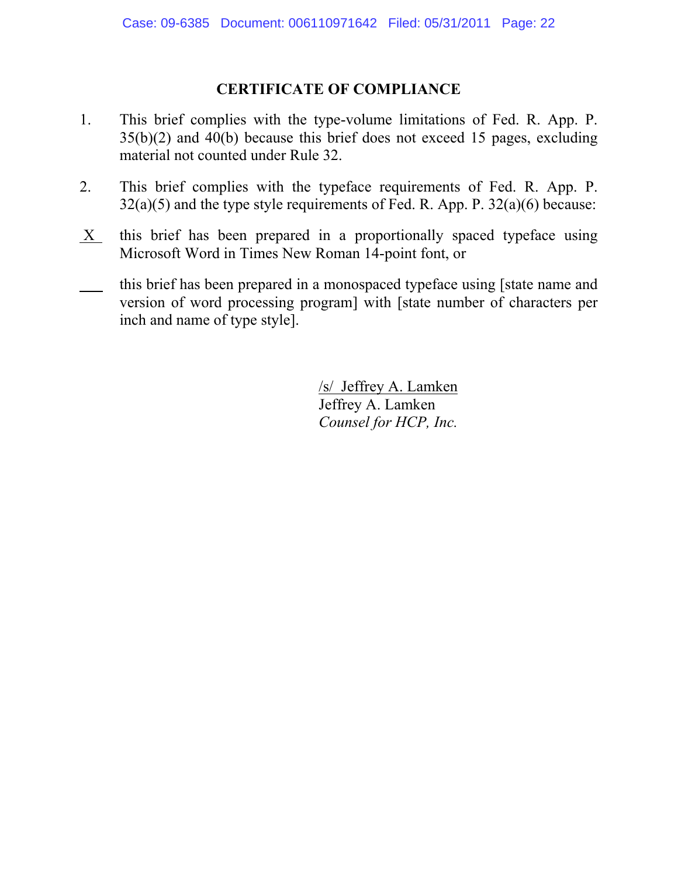# **CERTIFICATE OF COMPLIANCE**

- 1. This brief complies with the type-volume limitations of Fed. R. App. P. 35(b)(2) and 40(b) because this brief does not exceed 15 pages, excluding material not counted under Rule 32.
- 2. This brief complies with the typeface requirements of Fed. R. App. P.  $32(a)(5)$  and the type style requirements of Fed. R. App. P.  $32(a)(6)$  because:
- X this brief has been prepared in a proportionally spaced typeface using Microsoft Word in Times New Roman 14-point font, or
- this brief has been prepared in a monospaced typeface using [state name and version of word processing program] with [state number of characters per inch and name of type style].

/s/ Jeffrey A. Lamken Jeffrey A. Lamken *Counsel for HCP, Inc.*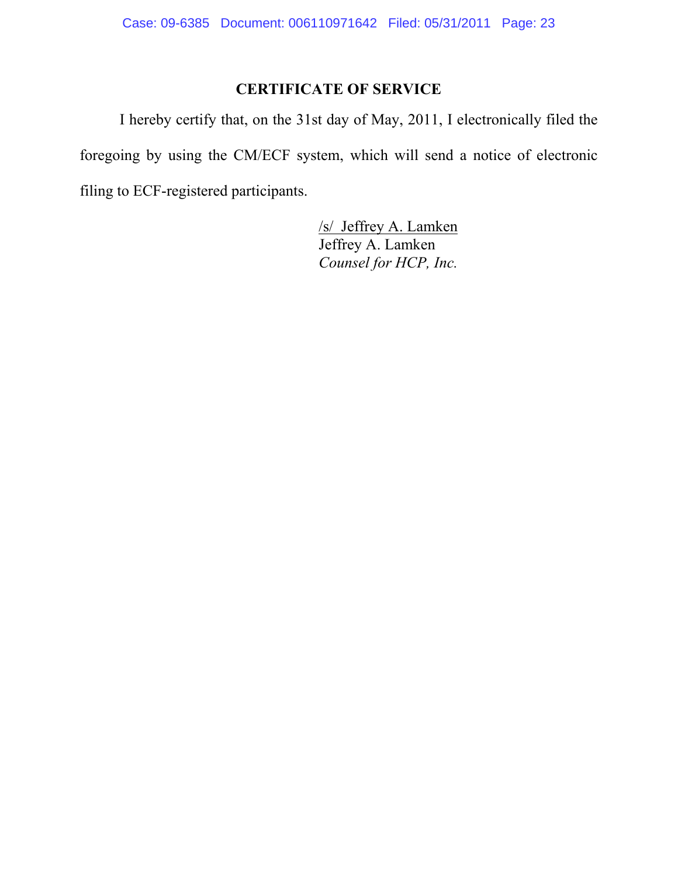# **CERTIFICATE OF SERVICE**

I hereby certify that, on the 31st day of May, 2011, I electronically filed the foregoing by using the CM/ECF system, which will send a notice of electronic filing to ECF-registered participants.

> /s/ Jeffrey A. Lamken Jeffrey A. Lamken *Counsel for HCP, Inc.*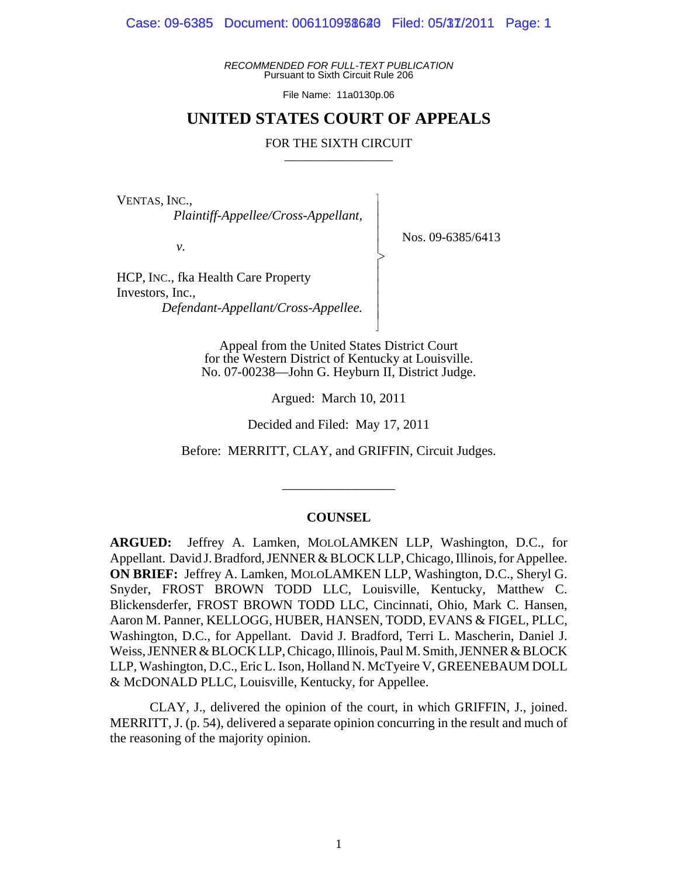Case: 09-6385 Document: 006110938620 Filed: 05/37/2011 Page: 1

*RECOMMENDED FOR FULL-TEXT PUBLICATION* Pursuant to Sixth Circuit Rule 206

File Name: 11a0130p.06

### **UNITED STATES COURT OF APPEALS**

#### FOR THE SIXTH CIRCUIT

 $\overline{\phantom{a}}$ - - - > , - - - - N

VENTAS, INC.,

 *Plaintiff-Appellee/Cross-Appellant,*

*v.*

Nos. 09-6385/6413

HCP, INC., fka Health Care Property Investors, Inc., *Defendant-Appellant/Cross-Appellee.*

> Appeal from the United States District Court for the Western District of Kentucky at Louisville. No. 07-00238—John G. Heyburn II, District Judge.

> > Argued: March 10, 2011

Decided and Filed: May 17, 2011

Before: MERRITT, CLAY, and GRIFFIN, Circuit Judges.

\_\_\_\_\_\_\_\_\_\_\_\_\_\_\_\_\_

#### **COUNSEL**

**ARGUED:** Jeffrey A. Lamken, MOLOLAMKEN LLP, Washington, D.C., for Appellant. David J. Bradford, JENNER & BLOCK LLP, Chicago, Illinois, for Appellee. **ON BRIEF:** Jeffrey A. Lamken, MOLOLAMKEN LLP, Washington, D.C., Sheryl G. Snyder, FROST BROWN TODD LLC, Louisville, Kentucky, Matthew C. Blickensderfer, FROST BROWN TODD LLC, Cincinnati, Ohio, Mark C. Hansen, Aaron M. Panner, KELLOGG, HUBER, HANSEN, TODD, EVANS & FIGEL, PLLC, Washington, D.C., for Appellant. David J. Bradford, Terri L. Mascherin, Daniel J. Weiss, JENNER & BLOCK LLP, Chicago, Illinois, Paul M. Smith, JENNER & BLOCK LLP, Washington, D.C., Eric L. Ison, Holland N. McTyeire V, GREENEBAUM DOLL & McDONALD PLLC, Louisville, Kentucky, for Appellee.

CLAY, J., delivered the opinion of the court, in which GRIFFIN, J., joined. MERRITT, J. (p. 54), delivered a separate opinion concurring in the result and much of the reasoning of the majority opinion.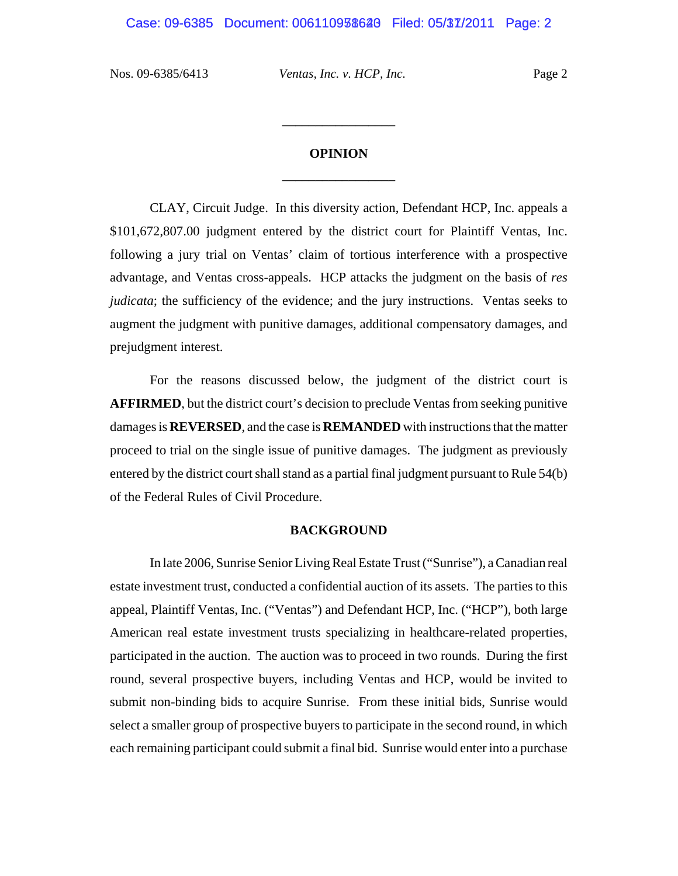# **OPINION \_\_\_\_\_\_\_\_\_\_\_\_\_\_\_\_\_**

**\_\_\_\_\_\_\_\_\_\_\_\_\_\_\_\_\_**

CLAY, Circuit Judge. In this diversity action, Defendant HCP, Inc. appeals a \$101,672,807.00 judgment entered by the district court for Plaintiff Ventas, Inc. following a jury trial on Ventas' claim of tortious interference with a prospective advantage, and Ventas cross-appeals. HCP attacks the judgment on the basis of *res judicata*; the sufficiency of the evidence; and the jury instructions. Ventas seeks to augment the judgment with punitive damages, additional compensatory damages, and prejudgment interest.

For the reasons discussed below, the judgment of the district court is **AFFIRMED**, but the district court's decision to preclude Ventas from seeking punitive damages is **REVERSED**, and the case is **REMANDED** with instructions that the matter proceed to trial on the single issue of punitive damages. The judgment as previously entered by the district court shall stand as a partial final judgment pursuant to Rule 54(b) of the Federal Rules of Civil Procedure.

#### **BACKGROUND**

In late 2006, Sunrise Senior Living Real Estate Trust ("Sunrise"), a Canadian real estate investment trust, conducted a confidential auction of its assets. The parties to this appeal, Plaintiff Ventas, Inc. ("Ventas") and Defendant HCP, Inc. ("HCP"), both large American real estate investment trusts specializing in healthcare-related properties, participated in the auction. The auction was to proceed in two rounds. During the first round, several prospective buyers, including Ventas and HCP, would be invited to submit non-binding bids to acquire Sunrise. From these initial bids, Sunrise would select a smaller group of prospective buyers to participate in the second round, in which each remaining participant could submit a final bid. Sunrise would enter into a purchase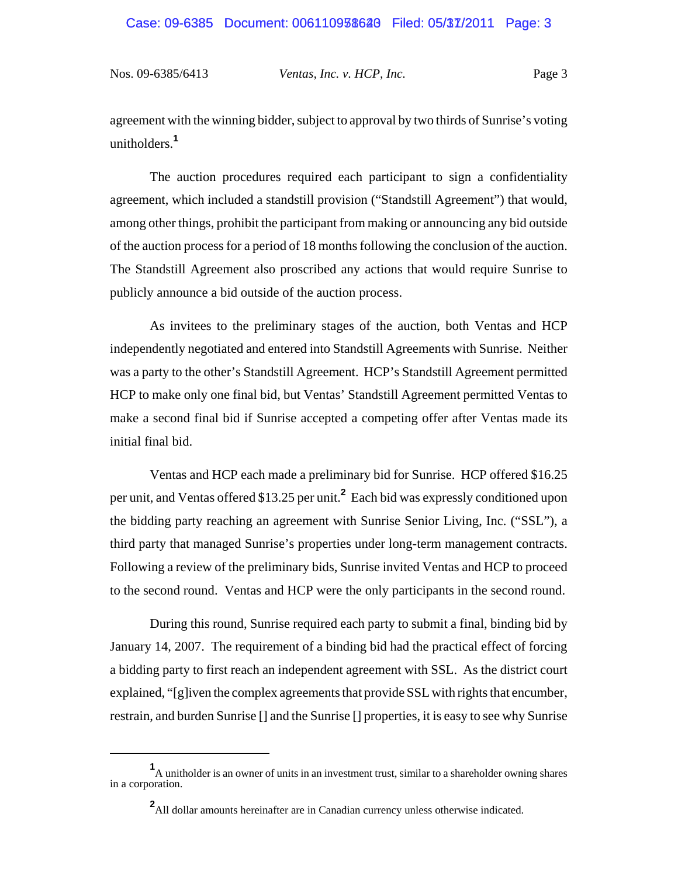agreement with the winning bidder, subject to approval by two thirds of Sunrise's voting unitholders.**<sup>1</sup>**

The auction procedures required each participant to sign a confidentiality agreement, which included a standstill provision ("Standstill Agreement") that would, among other things, prohibit the participant from making or announcing any bid outside of the auction process for a period of 18 months following the conclusion of the auction. The Standstill Agreement also proscribed any actions that would require Sunrise to publicly announce a bid outside of the auction process.

As invitees to the preliminary stages of the auction, both Ventas and HCP independently negotiated and entered into Standstill Agreements with Sunrise. Neither was a party to the other's Standstill Agreement. HCP's Standstill Agreement permitted HCP to make only one final bid, but Ventas' Standstill Agreement permitted Ventas to make a second final bid if Sunrise accepted a competing offer after Ventas made its initial final bid.

Ventas and HCP each made a preliminary bid for Sunrise. HCP offered \$16.25 per unit, and Ventas offered \$13.25 per unit.**<sup>2</sup>** Each bid was expressly conditioned upon the bidding party reaching an agreement with Sunrise Senior Living, Inc. ("SSL"), a third party that managed Sunrise's properties under long-term management contracts. Following a review of the preliminary bids, Sunrise invited Ventas and HCP to proceed to the second round. Ventas and HCP were the only participants in the second round.

During this round, Sunrise required each party to submit a final, binding bid by January 14, 2007. The requirement of a binding bid had the practical effect of forcing a bidding party to first reach an independent agreement with SSL. As the district court explained, "[g]iven the complex agreements that provide SSL with rights that encumber, restrain, and burden Sunrise [] and the Sunrise [] properties, it is easy to see why Sunrise

**<sup>1</sup>** A unitholder is an owner of units in an investment trust, similar to a shareholder owning shares in a corporation.

**<sup>2</sup>** All dollar amounts hereinafter are in Canadian currency unless otherwise indicated.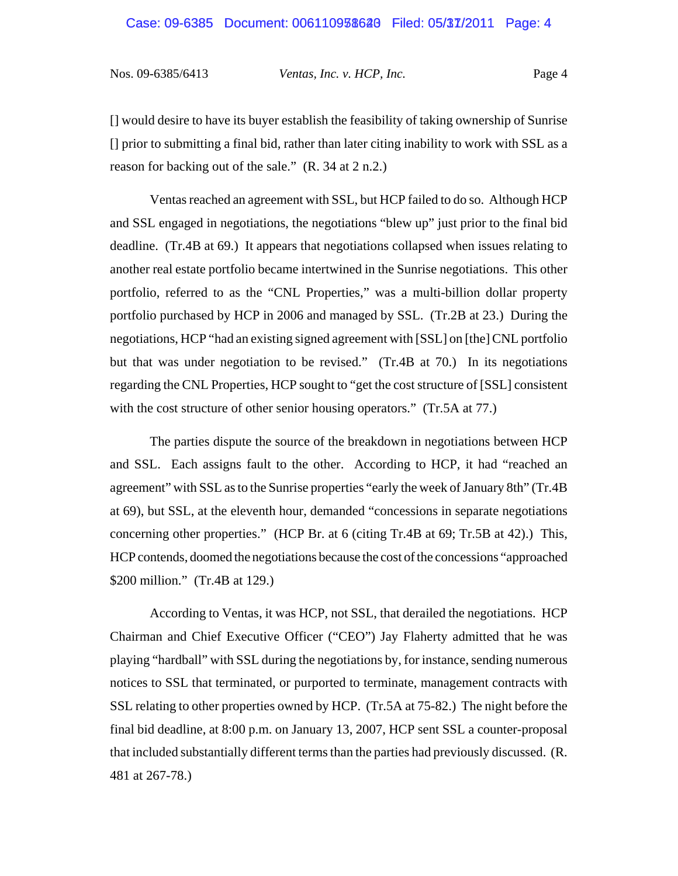[] would desire to have its buyer establish the feasibility of taking ownership of Sunrise [] prior to submitting a final bid, rather than later citing inability to work with SSL as a reason for backing out of the sale." (R. 34 at 2 n.2.)

Ventas reached an agreement with SSL, but HCP failed to do so. Although HCP and SSL engaged in negotiations, the negotiations "blew up" just prior to the final bid deadline. (Tr.4B at 69.) It appears that negotiations collapsed when issues relating to another real estate portfolio became intertwined in the Sunrise negotiations. This other portfolio, referred to as the "CNL Properties," was a multi-billion dollar property portfolio purchased by HCP in 2006 and managed by SSL. (Tr.2B at 23.) During the negotiations, HCP "had an existing signed agreement with [SSL] on [the] CNL portfolio but that was under negotiation to be revised." (Tr.4B at 70.) In its negotiations regarding the CNL Properties, HCP sought to "get the cost structure of [SSL] consistent with the cost structure of other senior housing operators." (Tr.5A at 77.)

The parties dispute the source of the breakdown in negotiations between HCP and SSL. Each assigns fault to the other. According to HCP, it had "reached an agreement" with SSL as to the Sunrise properties "early the week of January 8th" (Tr.4B at 69), but SSL, at the eleventh hour, demanded "concessions in separate negotiations concerning other properties." (HCP Br. at 6 (citing Tr.4B at 69; Tr.5B at 42).) This, HCP contends, doomed the negotiations because the cost of the concessions "approached \$200 million." (Tr.4B at 129.)

According to Ventas, it was HCP, not SSL, that derailed the negotiations. HCP Chairman and Chief Executive Officer ("CEO") Jay Flaherty admitted that he was playing "hardball" with SSL during the negotiations by, for instance, sending numerous notices to SSL that terminated, or purported to terminate, management contracts with SSL relating to other properties owned by HCP. (Tr.5A at 75-82.) The night before the final bid deadline, at 8:00 p.m. on January 13, 2007, HCP sent SSL a counter-proposal that included substantially different terms than the parties had previously discussed. (R. 481 at 267-78.)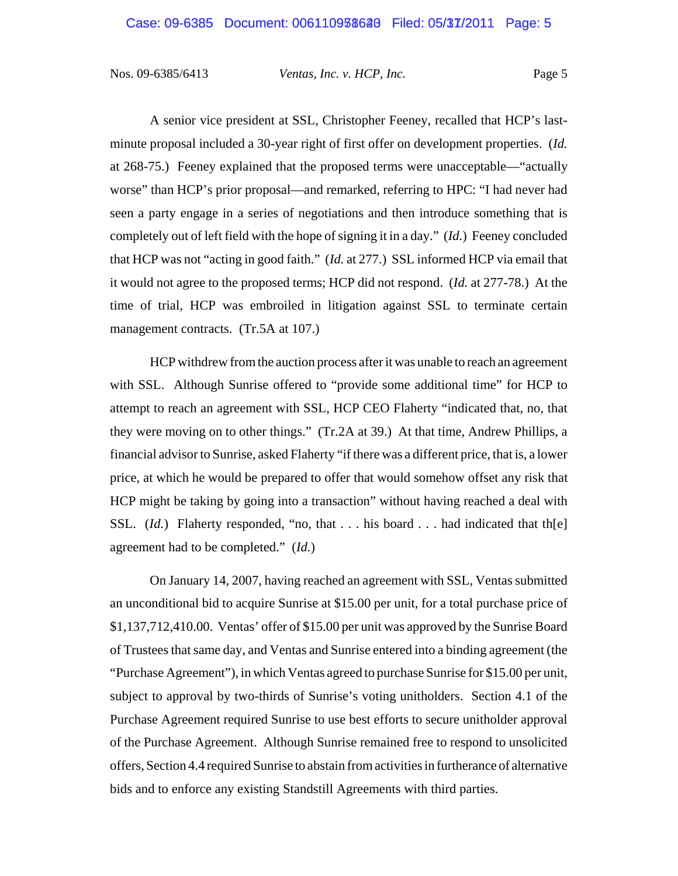A senior vice president at SSL, Christopher Feeney, recalled that HCP's lastminute proposal included a 30-year right of first offer on development properties. (*Id.* at 268-75.) Feeney explained that the proposed terms were unacceptable—"actually worse" than HCP's prior proposal—and remarked, referring to HPC: "I had never had seen a party engage in a series of negotiations and then introduce something that is completely out of left field with the hope of signing it in a day." (*Id.*) Feeney concluded that HCP was not "acting in good faith." (*Id.* at 277.) SSL informed HCP via email that it would not agree to the proposed terms; HCP did not respond. (*Id.* at 277-78.) At the time of trial, HCP was embroiled in litigation against SSL to terminate certain management contracts. (Tr.5A at 107.)

HCP withdrew from the auction process after it was unable to reach an agreement with SSL. Although Sunrise offered to "provide some additional time" for HCP to attempt to reach an agreement with SSL, HCP CEO Flaherty "indicated that, no, that they were moving on to other things." (Tr.2A at 39.) At that time, Andrew Phillips, a financial advisor to Sunrise, asked Flaherty "if there was a different price, that is, a lower price, at which he would be prepared to offer that would somehow offset any risk that HCP might be taking by going into a transaction" without having reached a deal with SSL. (*Id.*) Flaherty responded, "no, that . . . his board . . . had indicated that the agreement had to be completed." (*Id.*)

On January 14, 2007, having reached an agreement with SSL, Ventas submitted an unconditional bid to acquire Sunrise at \$15.00 per unit, for a total purchase price of \$1,137,712,410.00. Ventas' offer of \$15.00 per unit was approved by the Sunrise Board of Trustees that same day, and Ventas and Sunrise entered into a binding agreement (the "Purchase Agreement"), in which Ventas agreed to purchase Sunrise for \$15.00 per unit, subject to approval by two-thirds of Sunrise's voting unitholders. Section 4.1 of the Purchase Agreement required Sunrise to use best efforts to secure unitholder approval of the Purchase Agreement. Although Sunrise remained free to respond to unsolicited offers, Section 4.4 required Sunrise to abstain from activities in furtherance of alternative bids and to enforce any existing Standstill Agreements with third parties.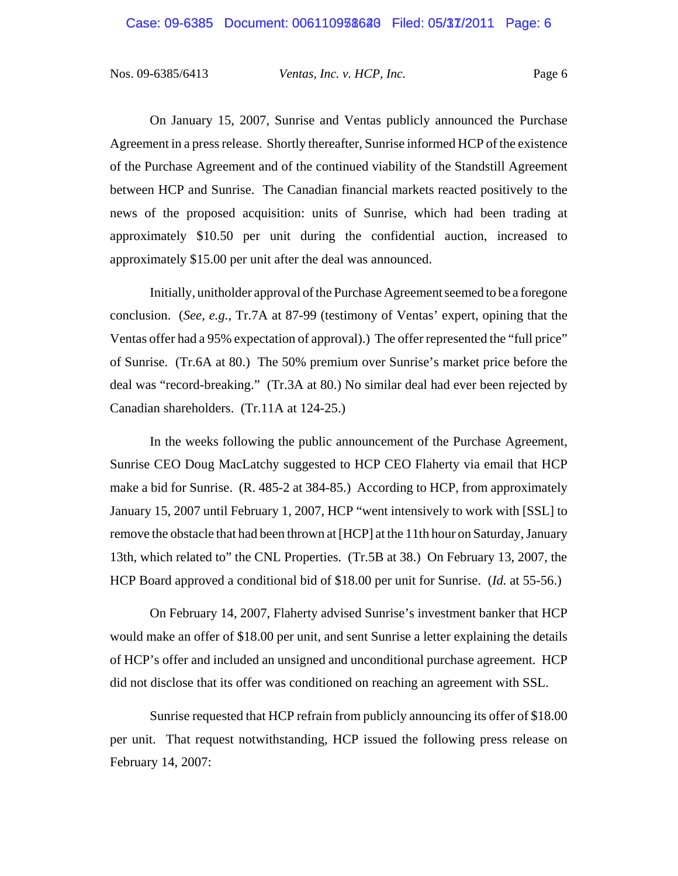On January 15, 2007, Sunrise and Ventas publicly announced the Purchase Agreement in a press release. Shortly thereafter, Sunrise informed HCP of the existence of the Purchase Agreement and of the continued viability of the Standstill Agreement between HCP and Sunrise. The Canadian financial markets reacted positively to the news of the proposed acquisition: units of Sunrise, which had been trading at approximately \$10.50 per unit during the confidential auction, increased to approximately \$15.00 per unit after the deal was announced.

Initially, unitholder approval of the Purchase Agreement seemed to be a foregone conclusion. (*See, e.g.*, Tr.7A at 87-99 (testimony of Ventas' expert, opining that the Ventas offer had a 95% expectation of approval).) The offer represented the "full price" of Sunrise. (Tr.6A at 80.) The 50% premium over Sunrise's market price before the deal was "record-breaking." (Tr.3A at 80.) No similar deal had ever been rejected by Canadian shareholders. (Tr.11A at 124-25.)

In the weeks following the public announcement of the Purchase Agreement, Sunrise CEO Doug MacLatchy suggested to HCP CEO Flaherty via email that HCP make a bid for Sunrise. (R. 485-2 at 384-85.) According to HCP, from approximately January 15, 2007 until February 1, 2007, HCP "went intensively to work with [SSL] to remove the obstacle that had been thrown at [HCP] at the 11th hour on Saturday, January 13th, which related to" the CNL Properties. (Tr.5B at 38.) On February 13, 2007, the HCP Board approved a conditional bid of \$18.00 per unit for Sunrise. (*Id.* at 55-56.)

On February 14, 2007, Flaherty advised Sunrise's investment banker that HCP would make an offer of \$18.00 per unit, and sent Sunrise a letter explaining the details of HCP's offer and included an unsigned and unconditional purchase agreement. HCP did not disclose that its offer was conditioned on reaching an agreement with SSL.

Sunrise requested that HCP refrain from publicly announcing its offer of \$18.00 per unit. That request notwithstanding, HCP issued the following press release on February 14, 2007: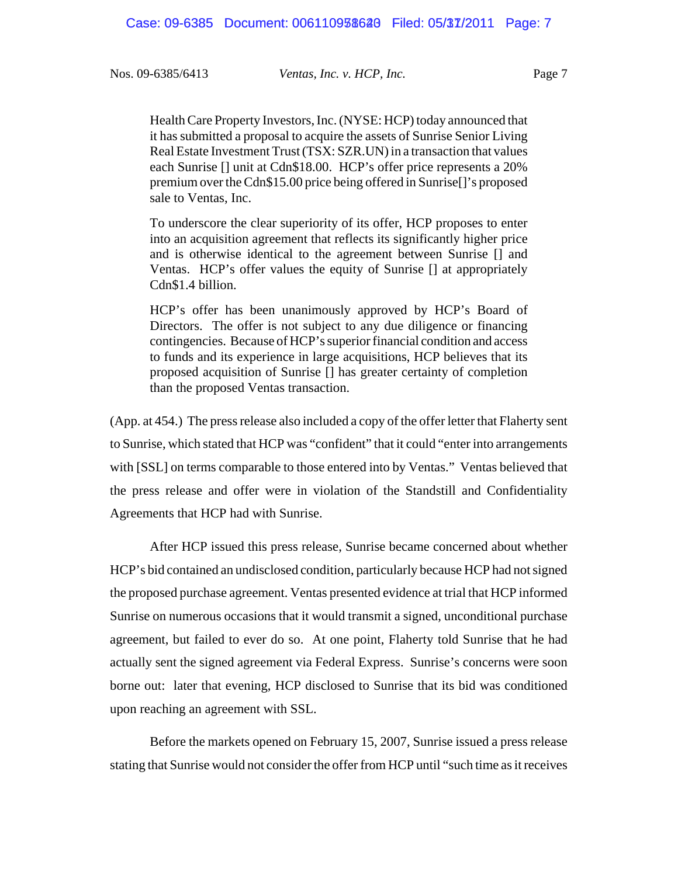Health Care Property Investors, Inc. (NYSE: HCP) today announced that it has submitted a proposal to acquire the assets of Sunrise Senior Living Real Estate Investment Trust (TSX: SZR.UN) in a transaction that values each Sunrise [] unit at Cdn\$18.00. HCP's offer price represents a 20% premium over the Cdn\$15.00 price being offered in Sunrise[]'s proposed sale to Ventas, Inc.

To underscore the clear superiority of its offer, HCP proposes to enter into an acquisition agreement that reflects its significantly higher price and is otherwise identical to the agreement between Sunrise [] and Ventas. HCP's offer values the equity of Sunrise [] at appropriately Cdn\$1.4 billion.

HCP's offer has been unanimously approved by HCP's Board of Directors. The offer is not subject to any due diligence or financing contingencies. Because of HCP's superior financial condition and access to funds and its experience in large acquisitions, HCP believes that its proposed acquisition of Sunrise [] has greater certainty of completion than the proposed Ventas transaction.

(App. at 454.) The press release also included a copy of the offer letter that Flaherty sent to Sunrise, which stated that HCP was "confident" that it could "enter into arrangements with [SSL] on terms comparable to those entered into by Ventas." Ventas believed that the press release and offer were in violation of the Standstill and Confidentiality Agreements that HCP had with Sunrise.

After HCP issued this press release, Sunrise became concerned about whether HCP's bid contained an undisclosed condition, particularly because HCP had not signed the proposed purchase agreement. Ventas presented evidence at trial that HCP informed Sunrise on numerous occasions that it would transmit a signed, unconditional purchase agreement, but failed to ever do so. At one point, Flaherty told Sunrise that he had actually sent the signed agreement via Federal Express. Sunrise's concerns were soon borne out: later that evening, HCP disclosed to Sunrise that its bid was conditioned upon reaching an agreement with SSL.

Before the markets opened on February 15, 2007, Sunrise issued a press release stating that Sunrise would not consider the offer from HCP until "such time as it receives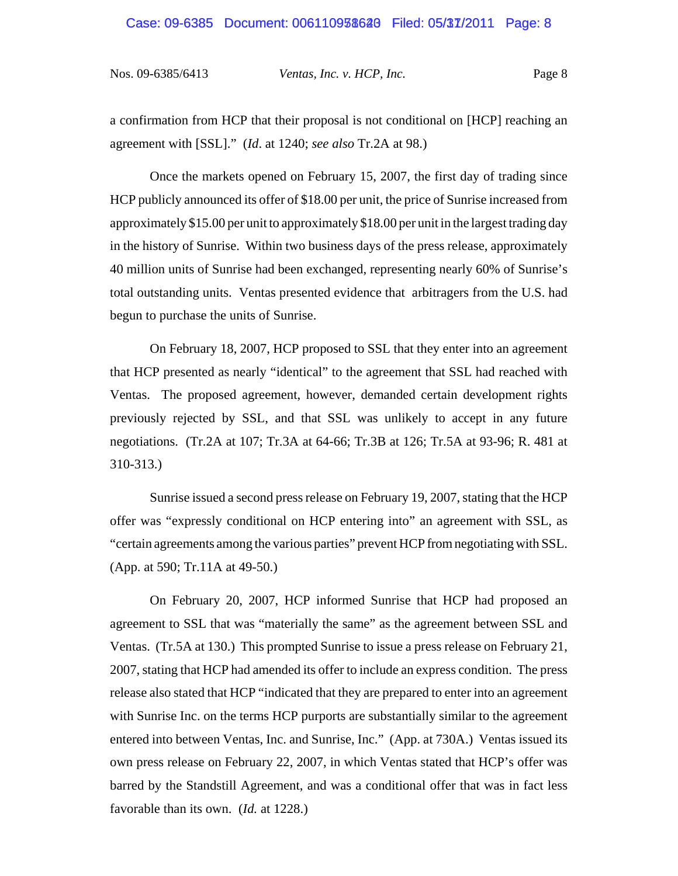#### Case: 09-6385 Document: 006110938628 Filed: 05/37/2011 Page: 8

Nos. 09-6385/6413 *Ventas, Inc. v. HCP, Inc.* Page 8

a confirmation from HCP that their proposal is not conditional on [HCP] reaching an agreement with [SSL]." (*Id*. at 1240; *see also* Tr.2A at 98.)

Once the markets opened on February 15, 2007, the first day of trading since HCP publicly announced its offer of \$18.00 per unit, the price of Sunrise increased from approximately \$15.00 per unit to approximately \$18.00 per unit in the largest trading day in the history of Sunrise. Within two business days of the press release, approximately 40 million units of Sunrise had been exchanged, representing nearly 60% of Sunrise's total outstanding units. Ventas presented evidence that arbitragers from the U.S. had begun to purchase the units of Sunrise.

On February 18, 2007, HCP proposed to SSL that they enter into an agreement that HCP presented as nearly "identical" to the agreement that SSL had reached with Ventas. The proposed agreement, however, demanded certain development rights previously rejected by SSL, and that SSL was unlikely to accept in any future negotiations. (Tr.2A at 107; Tr.3A at 64-66; Tr.3B at 126; Tr.5A at 93-96; R. 481 at 310-313.)

Sunrise issued a second press release on February 19, 2007, stating that the HCP offer was "expressly conditional on HCP entering into" an agreement with SSL, as "certain agreements among the various parties" prevent HCP from negotiating with SSL. (App. at 590; Tr.11A at 49-50.)

On February 20, 2007, HCP informed Sunrise that HCP had proposed an agreement to SSL that was "materially the same" as the agreement between SSL and Ventas. (Tr.5A at 130.) This prompted Sunrise to issue a press release on February 21, 2007, stating that HCP had amended its offer to include an express condition. The press release also stated that HCP "indicated that they are prepared to enter into an agreement with Sunrise Inc. on the terms HCP purports are substantially similar to the agreement entered into between Ventas, Inc. and Sunrise, Inc." (App. at 730A.) Ventas issued its own press release on February 22, 2007, in which Ventas stated that HCP's offer was barred by the Standstill Agreement, and was a conditional offer that was in fact less favorable than its own. (*Id.* at 1228.)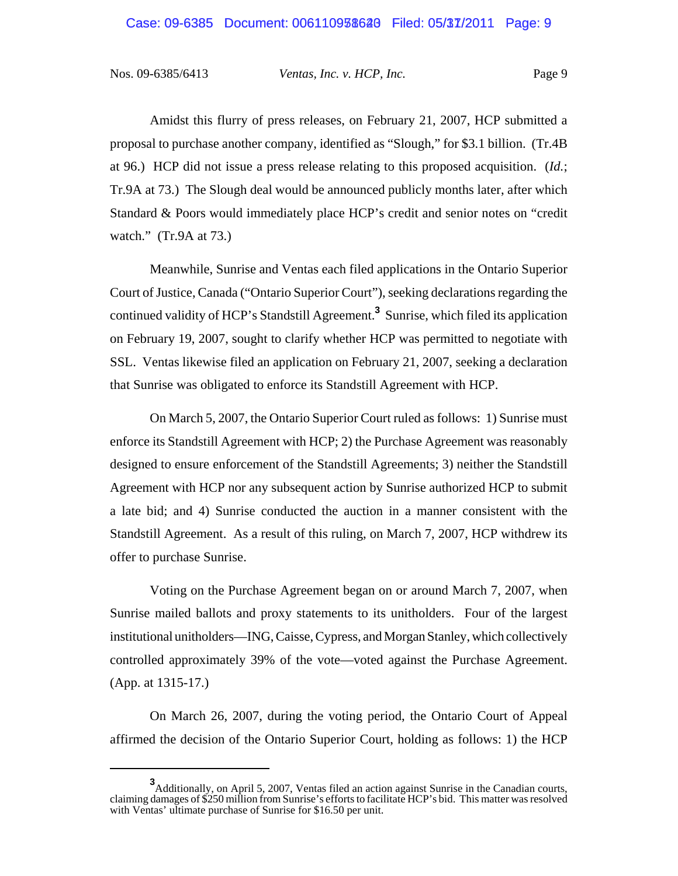#### Case: 09-6385 Document: 006110938628 Filed: 05/37/2011 Page: 9

Nos. 09-6385/6413 *Ventas, Inc. v. HCP, Inc.* Page 9

Amidst this flurry of press releases, on February 21, 2007, HCP submitted a proposal to purchase another company, identified as "Slough," for \$3.1 billion. (Tr.4B at 96.) HCP did not issue a press release relating to this proposed acquisition. (*Id.*; Tr.9A at 73.) The Slough deal would be announced publicly months later, after which Standard & Poors would immediately place HCP's credit and senior notes on "credit watch." (Tr.9A at 73.)

Meanwhile, Sunrise and Ventas each filed applications in the Ontario Superior Court of Justice, Canada ("Ontario Superior Court"), seeking declarations regarding the continued validity of HCP's Standstill Agreement.**<sup>3</sup>** Sunrise, which filed its application on February 19, 2007, sought to clarify whether HCP was permitted to negotiate with SSL. Ventas likewise filed an application on February 21, 2007, seeking a declaration that Sunrise was obligated to enforce its Standstill Agreement with HCP.

On March 5, 2007, the Ontario Superior Court ruled as follows: 1) Sunrise must enforce its Standstill Agreement with HCP; 2) the Purchase Agreement was reasonably designed to ensure enforcement of the Standstill Agreements; 3) neither the Standstill Agreement with HCP nor any subsequent action by Sunrise authorized HCP to submit a late bid; and 4) Sunrise conducted the auction in a manner consistent with the Standstill Agreement. As a result of this ruling, on March 7, 2007, HCP withdrew its offer to purchase Sunrise.

Voting on the Purchase Agreement began on or around March 7, 2007, when Sunrise mailed ballots and proxy statements to its unitholders. Four of the largest institutional unitholders—ING, Caisse, Cypress, and Morgan Stanley, which collectively controlled approximately 39% of the vote—voted against the Purchase Agreement. (App. at 1315-17.)

On March 26, 2007, during the voting period, the Ontario Court of Appeal affirmed the decision of the Ontario Superior Court, holding as follows: 1) the HCP

<sup>&</sup>lt;sup>3</sup>Additionally, on April 5, 2007, Ventas filed an action against Sunrise in the Canadian courts, claiming damages of \$250 million from Sunrise's efforts to facilitate HCP's bid. This matter was resolved with Ventas' ultimate purchase of Sunrise for \$16.50 per unit.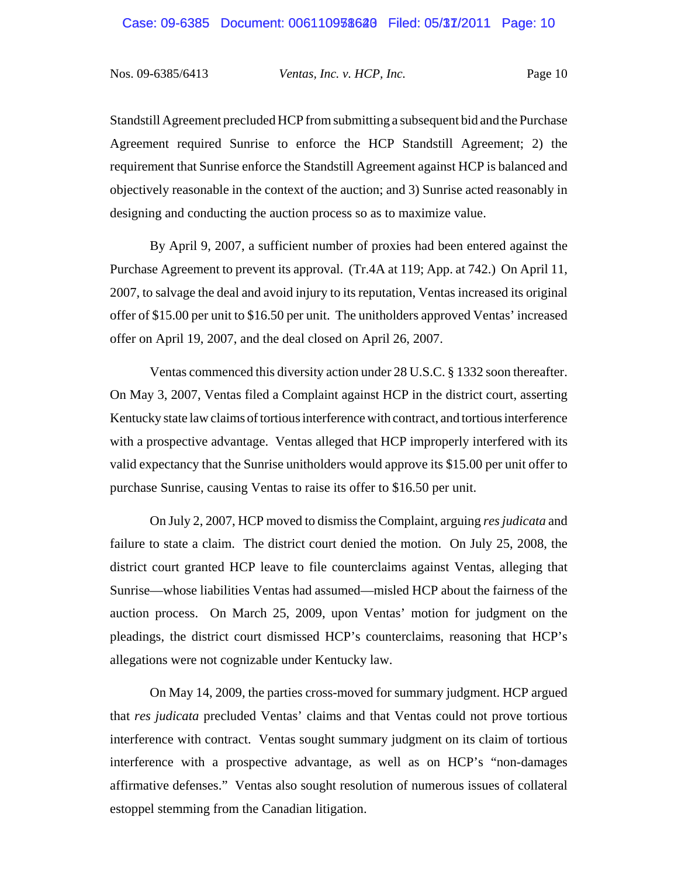Standstill Agreement precluded HCP from submitting a subsequent bid and the Purchase Agreement required Sunrise to enforce the HCP Standstill Agreement; 2) the requirement that Sunrise enforce the Standstill Agreement against HCP is balanced and objectively reasonable in the context of the auction; and 3) Sunrise acted reasonably in designing and conducting the auction process so as to maximize value.

By April 9, 2007, a sufficient number of proxies had been entered against the Purchase Agreement to prevent its approval. (Tr.4A at 119; App. at 742.) On April 11, 2007, to salvage the deal and avoid injury to its reputation, Ventas increased its original offer of \$15.00 per unit to \$16.50 per unit. The unitholders approved Ventas' increased offer on April 19, 2007, and the deal closed on April 26, 2007.

Ventas commenced this diversity action under 28 U.S.C. § 1332 soon thereafter. On May 3, 2007, Ventas filed a Complaint against HCP in the district court, asserting Kentucky state law claims of tortious interference with contract, and tortious interference with a prospective advantage. Ventas alleged that HCP improperly interfered with its valid expectancy that the Sunrise unitholders would approve its \$15.00 per unit offer to purchase Sunrise, causing Ventas to raise its offer to \$16.50 per unit.

On July 2, 2007, HCP moved to dismiss the Complaint, arguing *res judicata* and failure to state a claim. The district court denied the motion. On July 25, 2008, the district court granted HCP leave to file counterclaims against Ventas, alleging that Sunrise—whose liabilities Ventas had assumed—misled HCP about the fairness of the auction process. On March 25, 2009, upon Ventas' motion for judgment on the pleadings, the district court dismissed HCP's counterclaims, reasoning that HCP's allegations were not cognizable under Kentucky law.

On May 14, 2009, the parties cross-moved for summary judgment. HCP argued that *res judicata* precluded Ventas' claims and that Ventas could not prove tortious interference with contract. Ventas sought summary judgment on its claim of tortious interference with a prospective advantage, as well as on HCP's "non-damages affirmative defenses." Ventas also sought resolution of numerous issues of collateral estoppel stemming from the Canadian litigation.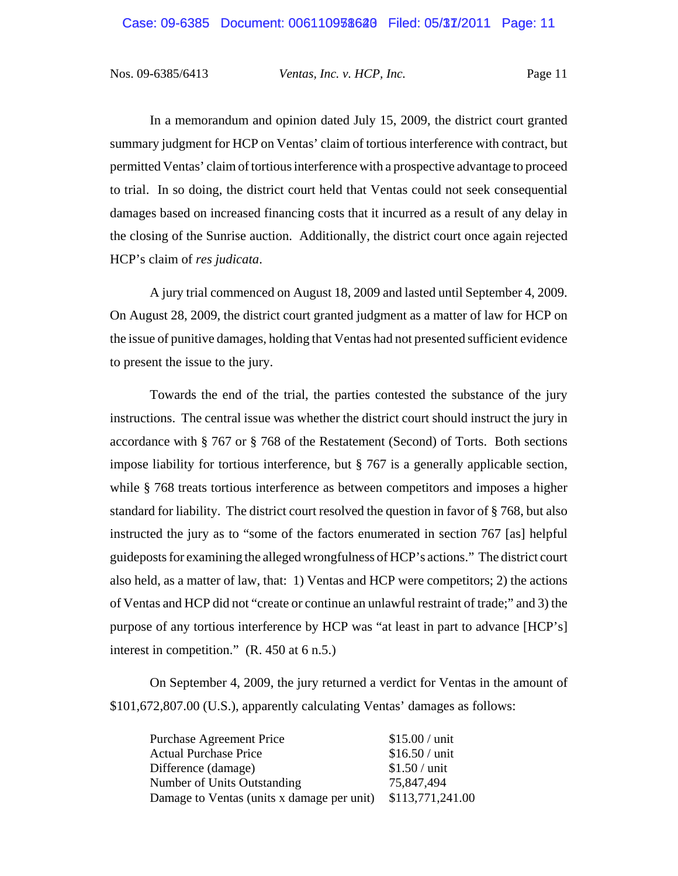In a memorandum and opinion dated July 15, 2009, the district court granted summary judgment for HCP on Ventas' claim of tortious interference with contract, but permitted Ventas' claim of tortious interference with a prospective advantage to proceed to trial. In so doing, the district court held that Ventas could not seek consequential damages based on increased financing costs that it incurred as a result of any delay in the closing of the Sunrise auction. Additionally, the district court once again rejected HCP's claim of *res judicata*.

A jury trial commenced on August 18, 2009 and lasted until September 4, 2009. On August 28, 2009, the district court granted judgment as a matter of law for HCP on the issue of punitive damages, holding that Ventas had not presented sufficient evidence to present the issue to the jury.

Towards the end of the trial, the parties contested the substance of the jury instructions. The central issue was whether the district court should instruct the jury in accordance with § 767 or § 768 of the Restatement (Second) of Torts. Both sections impose liability for tortious interference, but § 767 is a generally applicable section, while § 768 treats tortious interference as between competitors and imposes a higher standard for liability. The district court resolved the question in favor of § 768, but also instructed the jury as to "some of the factors enumerated in section 767 [as] helpful guideposts for examining the alleged wrongfulness of HCP's actions." The district court also held, as a matter of law, that: 1) Ventas and HCP were competitors; 2) the actions of Ventas and HCP did not "create or continue an unlawful restraint of trade;" and 3) the purpose of any tortious interference by HCP was "at least in part to advance [HCP's] interest in competition." (R. 450 at 6 n.5.)

On September 4, 2009, the jury returned a verdict for Ventas in the amount of \$101,672,807.00 (U.S.), apparently calculating Ventas' damages as follows:

| $$15.00 /$ unit                                             |
|-------------------------------------------------------------|
| $$16.50 /$ unit                                             |
| $$1.50 /$ unit                                              |
| 75,847,494                                                  |
| Damage to Ventas (units x damage per unit) \$113,771,241.00 |
|                                                             |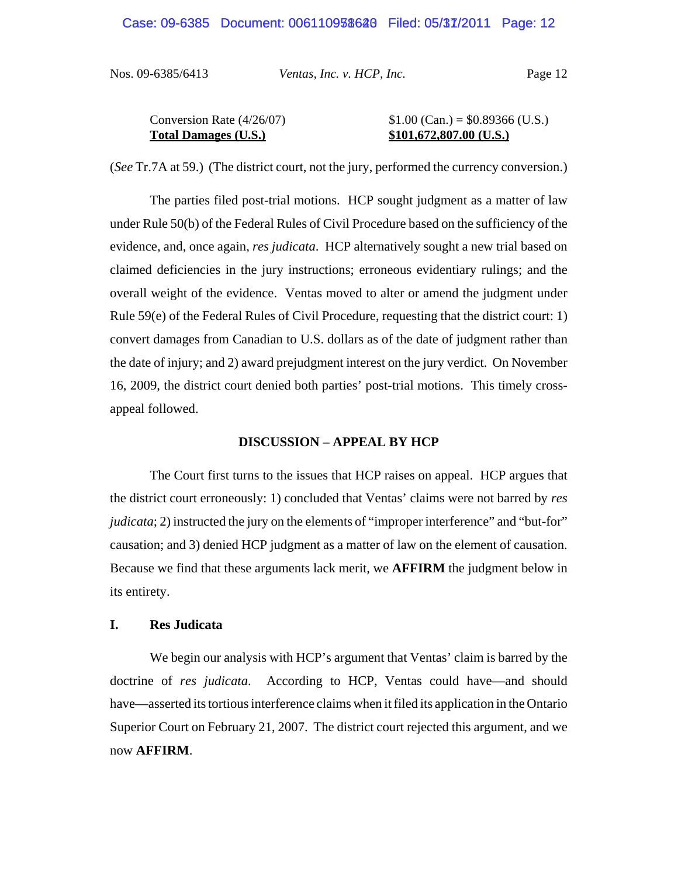| Conversion Rate $(4/26/07)$ | $$1.00$ (Can.) = \$0.89366 (U.S.) |
|-----------------------------|-----------------------------------|
| <b>Total Damages (U.S.)</b> | $$101,672,807.00$ (U.S.)          |

(*See* Tr.7A at 59.) (The district court, not the jury, performed the currency conversion.)

The parties filed post-trial motions. HCP sought judgment as a matter of law under Rule 50(b) of the Federal Rules of Civil Procedure based on the sufficiency of the evidence, and, once again, *res judicata*. HCP alternatively sought a new trial based on claimed deficiencies in the jury instructions; erroneous evidentiary rulings; and the overall weight of the evidence. Ventas moved to alter or amend the judgment under Rule 59(e) of the Federal Rules of Civil Procedure, requesting that the district court: 1) convert damages from Canadian to U.S. dollars as of the date of judgment rather than the date of injury; and 2) award prejudgment interest on the jury verdict. On November 16, 2009, the district court denied both parties' post-trial motions. This timely crossappeal followed.

#### **DISCUSSION – APPEAL BY HCP**

The Court first turns to the issues that HCP raises on appeal. HCP argues that the district court erroneously: 1) concluded that Ventas' claims were not barred by *res judicata*; 2) instructed the jury on the elements of "improper interference" and "but-for" causation; and 3) denied HCP judgment as a matter of law on the element of causation. Because we find that these arguments lack merit, we **AFFIRM** the judgment below in its entirety.

#### **I. Res Judicata**

We begin our analysis with HCP's argument that Ventas' claim is barred by the doctrine of *res judicata*. According to HCP, Ventas could have—and should have—asserted its tortious interference claims when it filed its application in the Ontario Superior Court on February 21, 2007. The district court rejected this argument, and we now **AFFIRM**.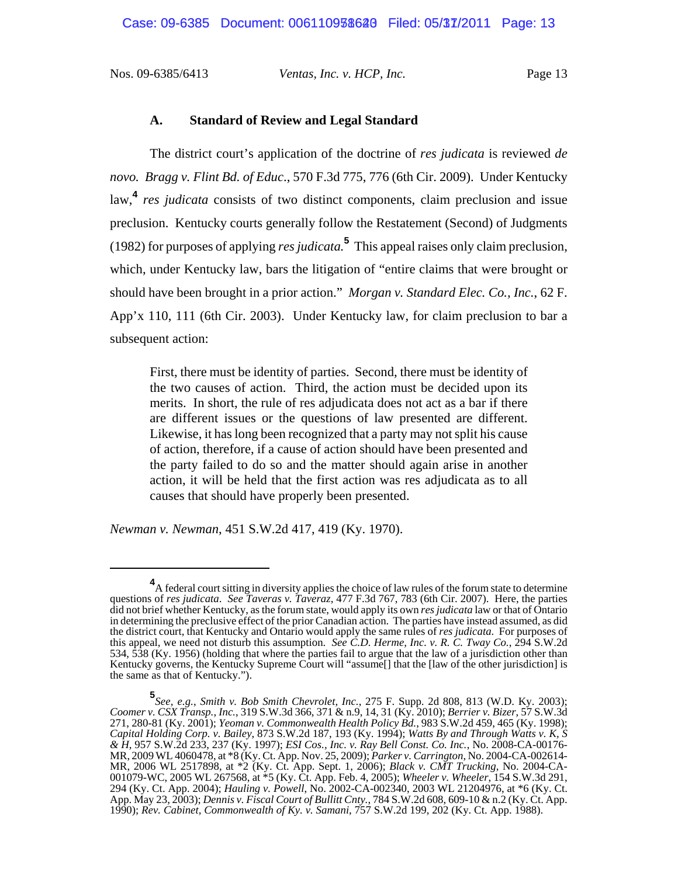#### **A. Standard of Review and Legal Standard**

The district court's application of the doctrine of *res judicata* is reviewed *de novo. Bragg v. Flint Bd. of Educ*., 570 F.3d 775, 776 (6th Cir. 2009). Under Kentucky law,**<sup>4</sup>** *res judicata* consists of two distinct components, claim preclusion and issue preclusion. Kentucky courts generally follow the Restatement (Second) of Judgments (1982) for purposes of applying *res judicata.***<sup>5</sup>** This appeal raises only claim preclusion, which, under Kentucky law, bars the litigation of "entire claims that were brought or should have been brought in a prior action." *Morgan v. Standard Elec. Co., Inc.*, 62 F. App'x 110, 111 (6th Cir. 2003). Under Kentucky law, for claim preclusion to bar a subsequent action:

First, there must be identity of parties. Second, there must be identity of the two causes of action. Third, the action must be decided upon its merits. In short, the rule of res adjudicata does not act as a bar if there are different issues or the questions of law presented are different. Likewise, it has long been recognized that a party may not split his cause of action, therefore, if a cause of action should have been presented and the party failed to do so and the matter should again arise in another action, it will be held that the first action was res adjudicata as to all causes that should have properly been presented.

*Newman v. Newman*, 451 S.W.2d 417, 419 (Ky. 1970).

**<sup>4</sup>** A federal court sitting in diversity applies the choice of law rules of the forum state to determine questions of *res judicata*. *See Taveras v. Taveraz*, 477 F.3d 767, 783 (6th Cir. 2007). Here, the parties did not brief whether Kentucky, as the forum state, would apply its own *res judicata* law or that of Ontario in determining the preclusive effect of the prior Canadian action. The parties have instead assumed, as did the district court, that Kentucky and Ontario would apply the same rules of *res judicata*. For purposes of this appeal, we need not disturb this assumption. *See C.D. Herme, Inc. v. R. C. Tway Co.*, 294 S.W.2d 534, 538 (Ky. 1956) (holding that where the parties fail to argue that the law of a jurisdiction other than Kentucky governs, the Kentucky Supreme Court will "assume[] that the [law of the other jurisdiction] is the same as that of Kentucky.").

**<sup>5</sup>** *See, e.g.*, *Smith v. Bob Smith Chevrolet, Inc.*, 275 F. Supp. 2d 808, 813 (W.D. Ky. 2003); *Coomer v. CSX Transp., Inc.*, 319 S.W.3d 366, 371 & n.9, 14, 31 (Ky. 2010); *Berrier v. Bizer*, 57 S.W.3d 271, 280-81 (Ky. 2001); *Yeoman v. Commonwealth Health Policy Bd.*, 983 S.W.2d 459, 465 (Ky. 1998); *Capital Holding Corp. v. Bailey*, 873 S.W.2d 187, 193 (Ky. 1994); *Watts By and Through Watts v. K, S & H*, 957 S.W.2d 233, 237 (Ky. 1997); *ESI Cos., Inc. v. Ray Bell Const. Co. Inc.*, No. 2008-CA-00176- MR, 2009 WL 4060478, at \*8 (Ky. Ct. App. Nov. 25, 2009); *Parker v. Carrington*, No. 2004-CA-002614- MR, 2006 WL 2517898, at \*2 (Ky. Ct. App. Sept. 1, 2006); *Black v. CMT Trucking*, No. 2004-CA-001079-WC, 2005 WL 267568, at \*5 (Ky. Ct. App. Feb. 4, 2005); *Wheeler v. Wheeler*, 154 S.W.3d 291, 294 (Ky. Ct. App. 2004); *Hauling v. Powell*, No. 2002-CA-002340, 2003 WL 21204976, at \*6 (Ky. Ct. App. May 23, 2003); *Dennis v. Fiscal Court of Bullitt Cnty.*, 784 S.W.2d 608, 609-10 & n.2 (Ky. Ct. App. 1990); *Rev. Cabinet, Commonwealth of Ky. v. Samani*, 757 S.W.2d 199, 202 (Ky. Ct. App. 1988).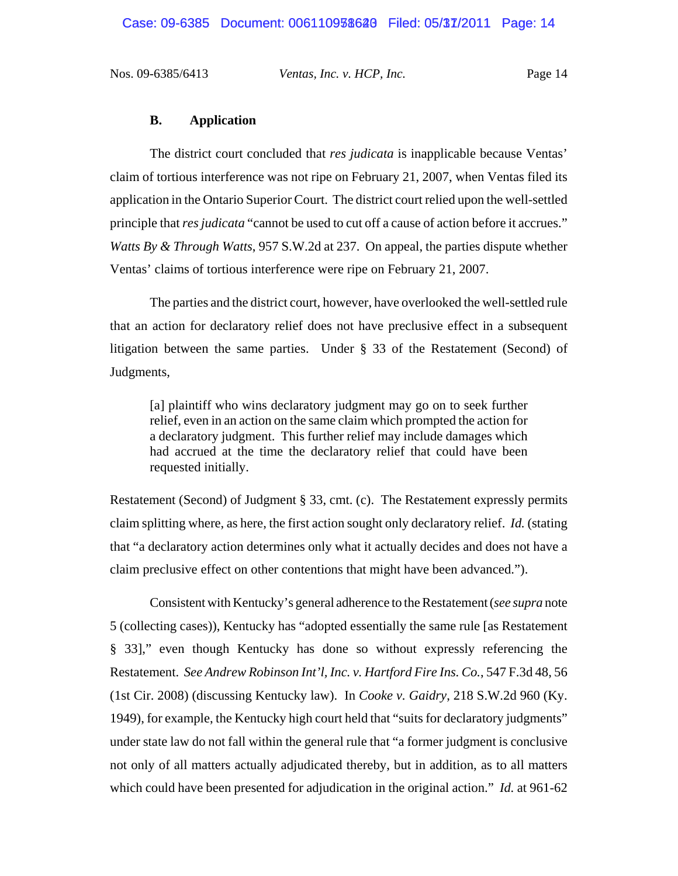#### **B. Application**

The district court concluded that *res judicata* is inapplicable because Ventas' claim of tortious interference was not ripe on February 21, 2007, when Ventas filed its application in the Ontario Superior Court. The district court relied upon the well-settled principle that *res judicata* "cannot be used to cut off a cause of action before it accrues." *Watts By & Through Watts*, 957 S.W.2d at 237. On appeal, the parties dispute whether Ventas' claims of tortious interference were ripe on February 21, 2007.

The parties and the district court, however, have overlooked the well-settled rule that an action for declaratory relief does not have preclusive effect in a subsequent litigation between the same parties. Under § 33 of the Restatement (Second) of Judgments,

[a] plaintiff who wins declaratory judgment may go on to seek further relief, even in an action on the same claim which prompted the action for a declaratory judgment. This further relief may include damages which had accrued at the time the declaratory relief that could have been requested initially.

Restatement (Second) of Judgment § 33, cmt. (c). The Restatement expressly permits claim splitting where, as here, the first action sought only declaratory relief. *Id.* (stating that "a declaratory action determines only what it actually decides and does not have a claim preclusive effect on other contentions that might have been advanced.").

Consistent with Kentucky's general adherence to the Restatement (*see supra* note 5 (collecting cases)), Kentucky has "adopted essentially the same rule [as Restatement § 33]," even though Kentucky has done so without expressly referencing the Restatement. *See Andrew Robinson Int'l, Inc. v. Hartford Fire Ins. Co.*, 547 F.3d 48, 56 (1st Cir. 2008) (discussing Kentucky law). In *Cooke v. Gaidry*, 218 S.W.2d 960 (Ky. 1949), for example, the Kentucky high court held that "suits for declaratory judgments" under state law do not fall within the general rule that "a former judgment is conclusive not only of all matters actually adjudicated thereby, but in addition, as to all matters which could have been presented for adjudication in the original action." *Id.* at 961-62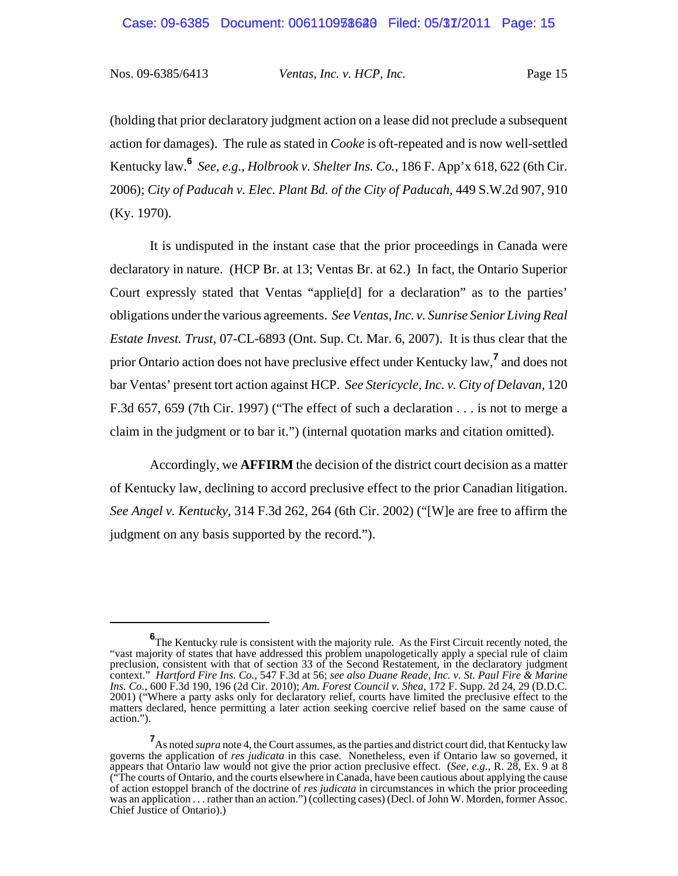(holding that prior declaratory judgment action on a lease did not preclude a subsequent action for damages). The rule as stated in *Cooke* is oft-repeated and is now well-settled Kentucky law.**6** *See, e.g.*, *Holbrook v. Shelter Ins. Co.*, 186 F. App'x 618, 622 (6th Cir. 2006); *City of Paducah v. Elec. Plant Bd. of the City of Paducah*, 449 S.W.2d 907, 910 (Ky. 1970).

It is undisputed in the instant case that the prior proceedings in Canada were declaratory in nature. (HCP Br. at 13; Ventas Br. at 62.) In fact, the Ontario Superior Court expressly stated that Ventas "applie[d] for a declaration" as to the parties' obligations under the various agreements. *See Ventas, Inc. v. Sunrise Senior Living Real Estate Invest. Trust*, 07-CL-6893 (Ont. Sup. Ct. Mar. 6, 2007). It is thus clear that the prior Ontario action does not have preclusive effect under Kentucky law,**<sup>7</sup>** and does not bar Ventas' present tort action against HCP. *See Stericycle*, *Inc. v. City of Delavan*, 120 F.3d 657, 659 (7th Cir. 1997) ("The effect of such a declaration . . . is not to merge a claim in the judgment or to bar it.") (internal quotation marks and citation omitted).

Accordingly, we **AFFIRM** the decision of the district court decision as a matter of Kentucky law, declining to accord preclusive effect to the prior Canadian litigation. *See Angel v. Kentucky*, 314 F.3d 262, 264 (6th Cir. 2002) ("[W]e are free to affirm the judgment on any basis supported by the record.").

**<sup>6</sup>** The Kentucky rule is consistent with the majority rule. As the First Circuit recently noted, the "vast majority of states that have addressed this problem unapologetically apply a special rule of claim preclusion, consistent with that of section 33 of the Second Restatement, in the declaratory judgment context." *Hartford Fire Ins. Co.*, 547 F.3d at 56; *see also Duane Reade, Inc. v. St. Paul Fire & Marine Ins. Co.*, 600 F.3d 190, 196 (2d Cir. 2010); *Am. Forest Council v. Shea*, 172 F. Supp. 2d 24, 29 (D.D.C. 2001) ("Where a party asks only for declaratory relief, courts have limited the preclusive effect to the matters declared, hence permitting a later action seeking coercive relief based on the same cause of action.").

**<sup>7</sup>** As noted *supra* note 4, the Court assumes, as the parties and district court did, that Kentucky law governs the application of *res judicata* in this case. Nonetheless, even if Ontario law so governed, it appears that Ontario law would not give the prior action preclusive effect. (*See, e.g.*, R. 28, Ex. 9 at 8 ("The courts of Ontario, and the courts elsewhere in Canada, have been cautious about applying the cause of action estoppel branch of the doctrine of *res judicata* in circumstances in which the prior proceeding was an application . . . rather than an action.") (collecting cases) (Decl. of John W. Morden, former Assoc. Chief Justice of Ontario).)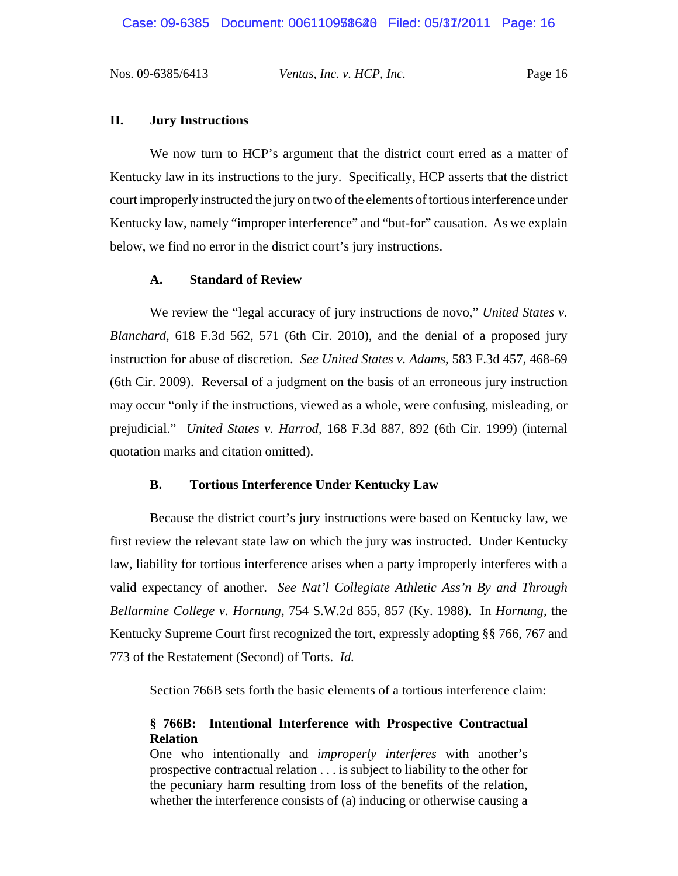### **II. Jury Instructions**

We now turn to HCP's argument that the district court erred as a matter of Kentucky law in its instructions to the jury. Specifically, HCP asserts that the district court improperly instructed the jury on two of the elements of tortious interference under Kentucky law, namely "improper interference" and "but-for" causation. As we explain below, we find no error in the district court's jury instructions.

### **A. Standard of Review**

We review the "legal accuracy of jury instructions de novo," *United States v. Blanchard*, 618 F.3d 562, 571 (6th Cir. 2010), and the denial of a proposed jury instruction for abuse of discretion. *See United States v. Adams*, 583 F.3d 457, 468-69 (6th Cir. 2009). Reversal of a judgment on the basis of an erroneous jury instruction may occur "only if the instructions, viewed as a whole, were confusing, misleading, or prejudicial." *United States v. Harrod*, 168 F.3d 887, 892 (6th Cir. 1999) (internal quotation marks and citation omitted).

#### **B. Tortious Interference Under Kentucky Law**

Because the district court's jury instructions were based on Kentucky law, we first review the relevant state law on which the jury was instructed. Under Kentucky law, liability for tortious interference arises when a party improperly interferes with a valid expectancy of another. *See Nat'l Collegiate Athletic Ass'n By and Through Bellarmine College v. Hornung*, 754 S.W.2d 855, 857 (Ky. 1988). In *Hornung*, the Kentucky Supreme Court first recognized the tort, expressly adopting §§ 766, 767 and 773 of the Restatement (Second) of Torts. *Id.*

Section 766B sets forth the basic elements of a tortious interference claim:

## **§ 766B: Intentional Interference with Prospective Contractual Relation**

One who intentionally and *improperly interferes* with another's prospective contractual relation . . . is subject to liability to the other for the pecuniary harm resulting from loss of the benefits of the relation, whether the interference consists of (a) inducing or otherwise causing a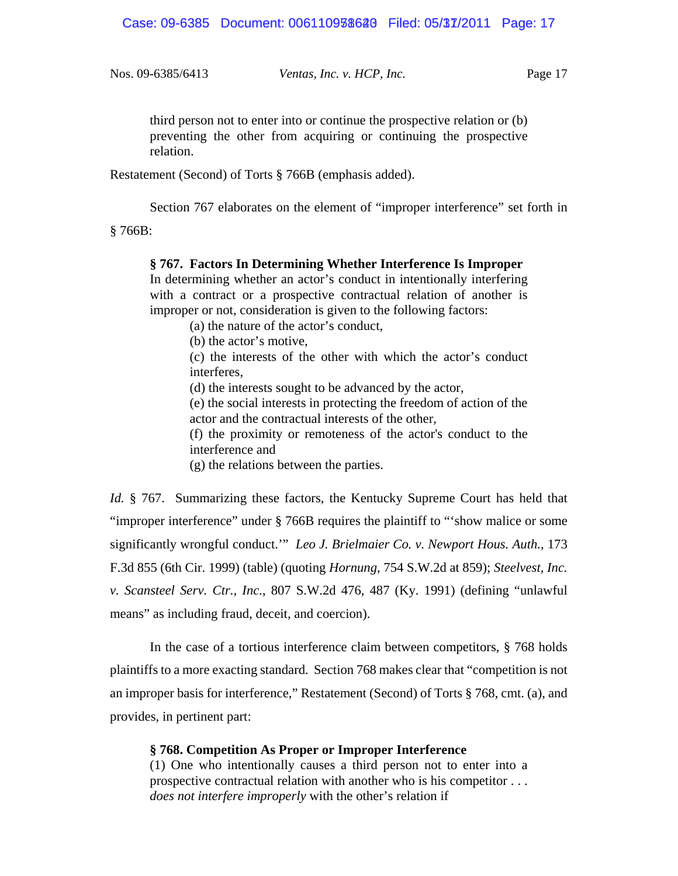third person not to enter into or continue the prospective relation or (b) preventing the other from acquiring or continuing the prospective relation.

Restatement (Second) of Torts § 766B (emphasis added).

Section 767 elaborates on the element of "improper interference" set forth in

§ 766B:

# **§ 767. Factors In Determining Whether Interference Is Improper**

In determining whether an actor's conduct in intentionally interfering with a contract or a prospective contractual relation of another is improper or not, consideration is given to the following factors:

(a) the nature of the actor's conduct,

(b) the actor's motive,

(c) the interests of the other with which the actor's conduct interferes,

(d) the interests sought to be advanced by the actor,

(e) the social interests in protecting the freedom of action of the actor and the contractual interests of the other,

(f) the proximity or remoteness of the actor's conduct to the interference and

(g) the relations between the parties.

*Id.* § 767. Summarizing these factors, the Kentucky Supreme Court has held that "improper interference" under § 766B requires the plaintiff to "'show malice or some significantly wrongful conduct.'" *Leo J. Brielmaier Co. v. Newport Hous. Auth.*, 173 F.3d 855 (6th Cir. 1999) (table) (quoting *Hornung*, 754 S.W.2d at 859); *Steelvest, Inc. v. Scansteel Serv. Ctr., Inc.*, 807 S.W.2d 476, 487 (Ky. 1991) (defining "unlawful means" as including fraud, deceit, and coercion).

In the case of a tortious interference claim between competitors, § 768 holds plaintiffs to a more exacting standard. Section 768 makes clear that "competition is not an improper basis for interference," Restatement (Second) of Torts § 768, cmt. (a), and provides, in pertinent part:

## **§ 768. Competition As Proper or Improper Interference**

(1) One who intentionally causes a third person not to enter into a prospective contractual relation with another who is his competitor . . . *does not interfere improperly* with the other's relation if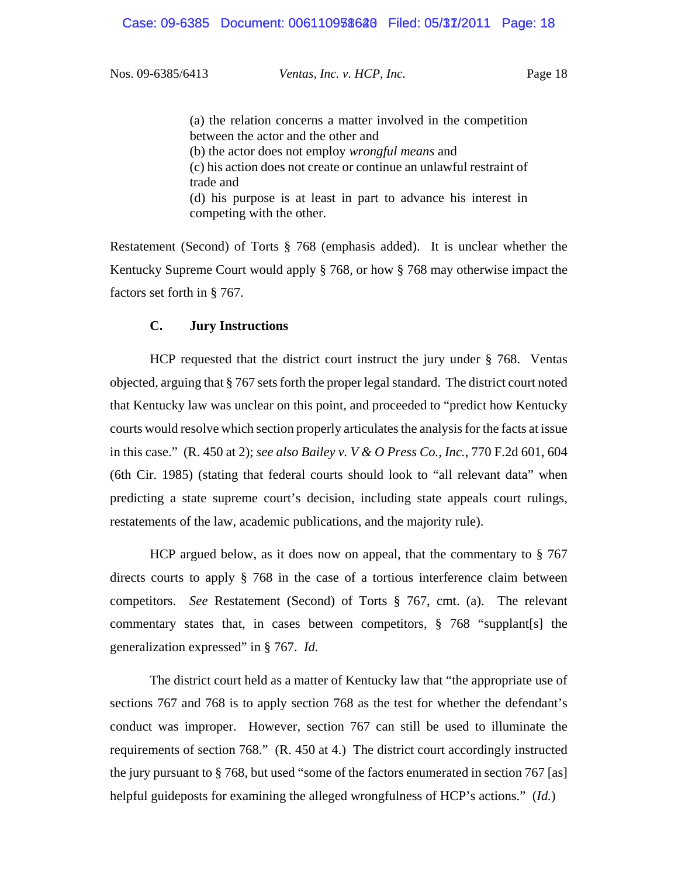(a) the relation concerns a matter involved in the competition between the actor and the other and (b) the actor does not employ *wrongful means* and (c) his action does not create or continue an unlawful restraint of trade and (d) his purpose is at least in part to advance his interest in competing with the other.

Restatement (Second) of Torts § 768 (emphasis added). It is unclear whether the Kentucky Supreme Court would apply § 768, or how § 768 may otherwise impact the factors set forth in § 767.

#### **C. Jury Instructions**

HCP requested that the district court instruct the jury under § 768. Ventas objected, arguing that § 767 sets forth the proper legal standard. The district court noted that Kentucky law was unclear on this point, and proceeded to "predict how Kentucky courts would resolve which section properly articulates the analysis for the facts at issue in this case." (R. 450 at 2); *see also Bailey v. V & O Press Co., Inc.*, 770 F.2d 601, 604 (6th Cir. 1985) (stating that federal courts should look to "all relevant data" when predicting a state supreme court's decision, including state appeals court rulings, restatements of the law, academic publications, and the majority rule).

HCP argued below, as it does now on appeal, that the commentary to § 767 directs courts to apply § 768 in the case of a tortious interference claim between competitors. *See* Restatement (Second) of Torts § 767, cmt. (a). The relevant commentary states that, in cases between competitors, § 768 "supplant[s] the generalization expressed" in § 767. *Id.*

The district court held as a matter of Kentucky law that "the appropriate use of sections 767 and 768 is to apply section 768 as the test for whether the defendant's conduct was improper. However, section 767 can still be used to illuminate the requirements of section 768." (R. 450 at 4.) The district court accordingly instructed the jury pursuant to § 768, but used "some of the factors enumerated in section 767 [as] helpful guideposts for examining the alleged wrongfulness of HCP's actions." (*Id.*)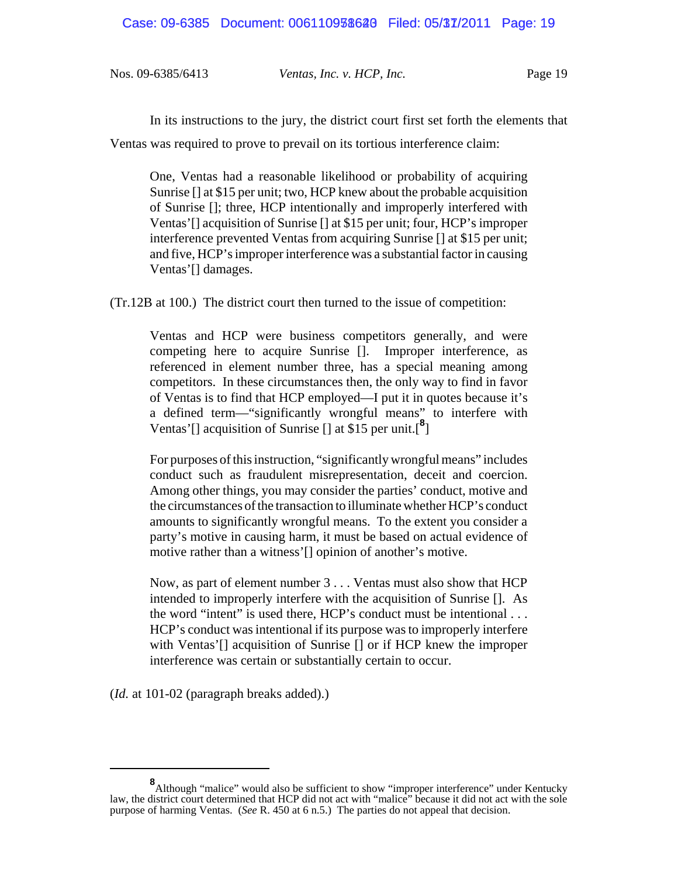In its instructions to the jury, the district court first set forth the elements that Ventas was required to prove to prevail on its tortious interference claim:

One, Ventas had a reasonable likelihood or probability of acquiring Sunrise [] at \$15 per unit; two, HCP knew about the probable acquisition of Sunrise []; three, HCP intentionally and improperly interfered with Ventas'[] acquisition of Sunrise [] at \$15 per unit; four, HCP's improper interference prevented Ventas from acquiring Sunrise [] at \$15 per unit; and five, HCP's improper interference was a substantial factor in causing Ventas'[] damages.

(Tr.12B at 100.) The district court then turned to the issue of competition:

Ventas and HCP were business competitors generally, and were competing here to acquire Sunrise []. Improper interference, as referenced in element number three, has a special meaning among competitors. In these circumstances then, the only way to find in favor of Ventas is to find that HCP employed—I put it in quotes because it's a defined term—"significantly wrongful means" to interfere with Ventas'[] acquisition of Sunrise [] at \$15 per unit.[**<sup>8</sup>** ]

For purposes of this instruction, "significantly wrongful means" includes conduct such as fraudulent misrepresentation, deceit and coercion. Among other things, you may consider the parties' conduct, motive and the circumstances of the transaction to illuminate whether HCP's conduct amounts to significantly wrongful means. To the extent you consider a party's motive in causing harm, it must be based on actual evidence of motive rather than a witness'[] opinion of another's motive.

Now, as part of element number 3 . . . Ventas must also show that HCP intended to improperly interfere with the acquisition of Sunrise []. As the word "intent" is used there, HCP's conduct must be intentional . . . HCP's conduct was intentional if its purpose was to improperly interfere with Ventas'<sup>[]</sup> acquisition of Sunrise<sup>[]</sup> or if HCP knew the improper interference was certain or substantially certain to occur.

(*Id.* at 101-02 (paragraph breaks added).)

<sup>&</sup>lt;sup>8</sup>Although "malice" would also be sufficient to show "improper interference" under Kentucky law, the district court determined that HCP did not act with "malice" because it did not act with the sole purpose of harming Ventas. (*See* R. 450 at 6 n.5.) The parties do not appeal that decision.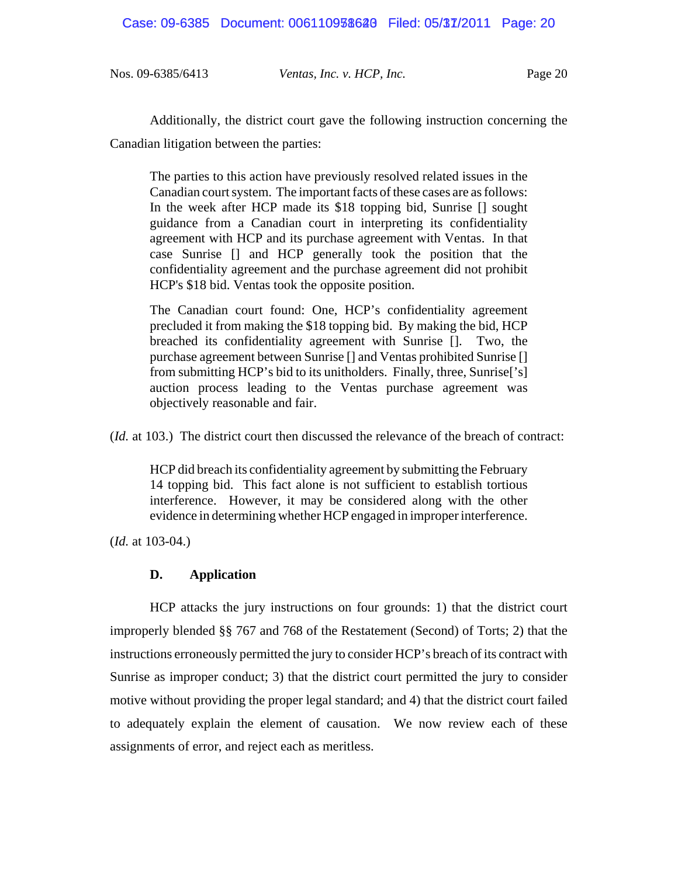Additionally, the district court gave the following instruction concerning the Canadian litigation between the parties:

The parties to this action have previously resolved related issues in the Canadian court system. The important facts of these cases are as follows: In the week after HCP made its \$18 topping bid, Sunrise [] sought guidance from a Canadian court in interpreting its confidentiality agreement with HCP and its purchase agreement with Ventas. In that case Sunrise [] and HCP generally took the position that the confidentiality agreement and the purchase agreement did not prohibit HCP's \$18 bid. Ventas took the opposite position.

The Canadian court found: One, HCP's confidentiality agreement precluded it from making the \$18 topping bid. By making the bid, HCP breached its confidentiality agreement with Sunrise []. Two, the purchase agreement between Sunrise [] and Ventas prohibited Sunrise [] from submitting HCP's bid to its unitholders. Finally, three, Sunrise['s] auction process leading to the Ventas purchase agreement was objectively reasonable and fair.

(*Id.* at 103.) The district court then discussed the relevance of the breach of contract:

HCP did breach its confidentiality agreement by submitting the February 14 topping bid. This fact alone is not sufficient to establish tortious interference. However, it may be considered along with the other evidence in determining whether HCP engaged in improper interference.

(*Id.* at 103-04.)

# **D. Application**

HCP attacks the jury instructions on four grounds: 1) that the district court improperly blended §§ 767 and 768 of the Restatement (Second) of Torts; 2) that the instructions erroneously permitted the jury to consider HCP's breach of its contract with Sunrise as improper conduct; 3) that the district court permitted the jury to consider motive without providing the proper legal standard; and 4) that the district court failed to adequately explain the element of causation. We now review each of these assignments of error, and reject each as meritless.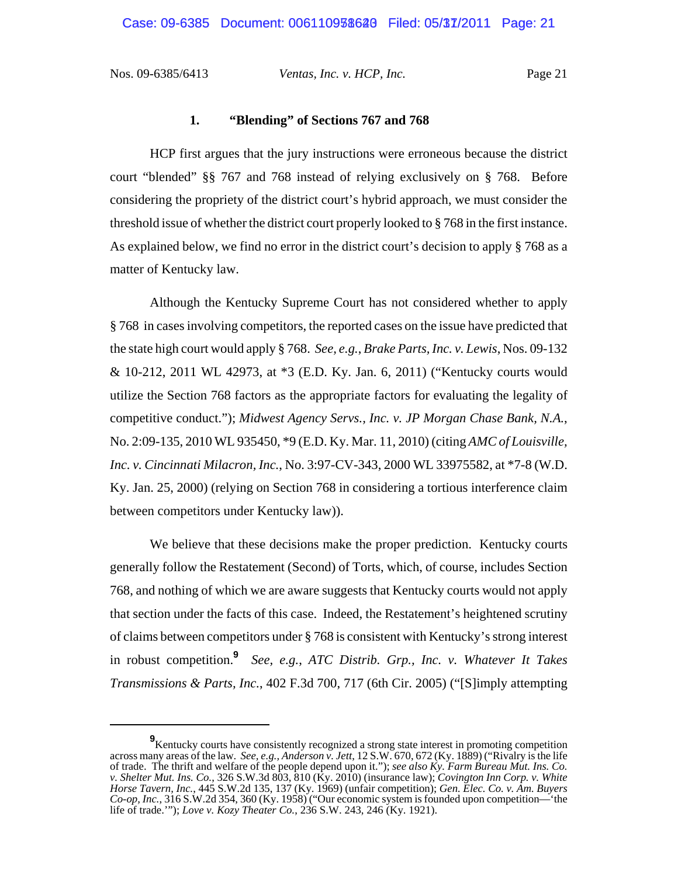#### **1. "Blending" of Sections 767 and 768**

HCP first argues that the jury instructions were erroneous because the district court "blended" §§ 767 and 768 instead of relying exclusively on § 768. Before considering the propriety of the district court's hybrid approach, we must consider the threshold issue of whether the district court properly looked to § 768 in the first instance. As explained below, we find no error in the district court's decision to apply § 768 as a matter of Kentucky law.

Although the Kentucky Supreme Court has not considered whether to apply § 768 in cases involving competitors, the reported cases on the issue have predicted that the state high court would apply § 768. *See, e.g.*, *Brake Parts, Inc. v. Lewis*, Nos. 09-132 & 10-212, 2011 WL 42973, at \*3 (E.D. Ky. Jan. 6, 2011) ("Kentucky courts would utilize the Section 768 factors as the appropriate factors for evaluating the legality of competitive conduct."); *Midwest Agency Servs., Inc. v. JP Morgan Chase Bank, N.A.*, No. 2:09-135, 2010 WL 935450, \*9 (E.D. Ky. Mar. 11, 2010) (citing *AMC of Louisville, Inc. v. Cincinnati Milacron, Inc.*, No. 3:97-CV-343, 2000 WL 33975582, at \*7-8 (W.D. Ky. Jan. 25, 2000) (relying on Section 768 in considering a tortious interference claim between competitors under Kentucky law)).

We believe that these decisions make the proper prediction. Kentucky courts generally follow the Restatement (Second) of Torts, which, of course, includes Section 768, and nothing of which we are aware suggests that Kentucky courts would not apply that section under the facts of this case. Indeed, the Restatement's heightened scrutiny of claims between competitors under § 768 is consistent with Kentucky's strong interest in robust competition.**<sup>9</sup>** *See, e.g.*, *ATC Distrib. Grp., Inc. v. Whatever It Takes Transmissions & Parts, Inc.*, 402 F.3d 700, 717 (6th Cir. 2005) ("[S]imply attempting

**<sup>9</sup>** Kentucky courts have consistently recognized a strong state interest in promoting competition across many areas of the law. *See, e.g., Anderson v. Jett*, 12 S.W. 670, 672 (Ky. 1889) ("Rivalry is the life of trade. The thrift and welfare of the people depend upon it."); *see also Ky. Farm Bureau Mut. Ins. Co. v. Shelter Mut. Ins. Co.*, 326 S.W.3d 803, 810 (Ky. 2010) (insurance law); *Covington Inn Corp. v. White Horse Tavern, Inc.*, 445 S.W.2d 135, 137 (Ky. 1969) (unfair competition); *Gen. Elec. Co. v. Am. Buyers Co-op, Inc.*, 316 S.W.2d 354, 360 (Ky. 1958) ("Our economic system is founded upon competition—'the life of trade.'"); *Love v. Kozy Theater Co.*, 236 S.W. 243, 246 (Ky. 1921).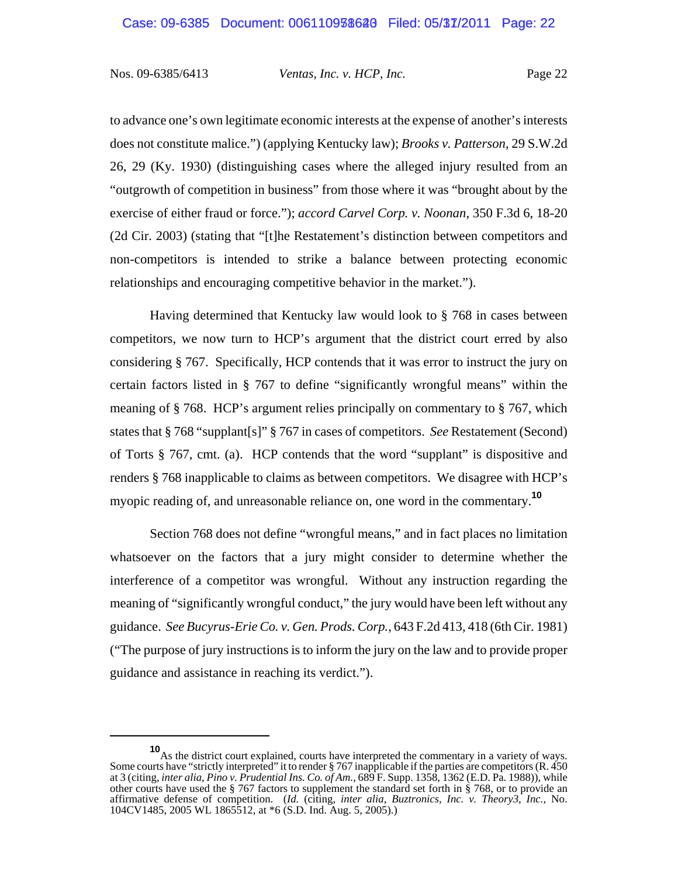to advance one's own legitimate economic interests at the expense of another's interests does not constitute malice.") (applying Kentucky law); *Brooks v. Patterson*, 29 S.W.2d 26, 29 (Ky. 1930) (distinguishing cases where the alleged injury resulted from an "outgrowth of competition in business" from those where it was "brought about by the exercise of either fraud or force."); *accord Carvel Corp. v. Noonan*, 350 F.3d 6, 18-20 (2d Cir. 2003) (stating that "[t]he Restatement's distinction between competitors and non-competitors is intended to strike a balance between protecting economic relationships and encouraging competitive behavior in the market.").

Having determined that Kentucky law would look to § 768 in cases between competitors, we now turn to HCP's argument that the district court erred by also considering § 767. Specifically, HCP contends that it was error to instruct the jury on certain factors listed in § 767 to define "significantly wrongful means" within the meaning of § 768. HCP's argument relies principally on commentary to § 767, which states that § 768 "supplant[s]" § 767 in cases of competitors. *See* Restatement (Second) of Torts § 767, cmt. (a). HCP contends that the word "supplant" is dispositive and renders § 768 inapplicable to claims as between competitors. We disagree with HCP's myopic reading of, and unreasonable reliance on, one word in the commentary.**<sup>10</sup>**

Section 768 does not define "wrongful means," and in fact places no limitation whatsoever on the factors that a jury might consider to determine whether the interference of a competitor was wrongful. Without any instruction regarding the meaning of "significantly wrongful conduct," the jury would have been left without any guidance. *See Bucyrus-Erie Co. v. Gen. Prods. Corp.*, 643 F.2d 413, 418 (6th Cir. 1981) ("The purpose of jury instructions is to inform the jury on the law and to provide proper guidance and assistance in reaching its verdict.").

**<sup>10</sup>**As the district court explained, courts have interpreted the commentary in a variety of ways. Some courts have "strictly interpreted" it to render § 767 inapplicable if the parties are competitors (R. 450 at 3 (citing, *inter alia*, *Pino v. Prudential Ins. Co. of Am.*, 689 F. Supp. 1358, 1362 (E.D. Pa. 1988)), while other courts have used the § 767 factors to supplement the standard set forth in § 768, or to provide an affirmative defense of competition. (*Id.* (citing, *inter alia*, *Buztronics, Inc. v. Theory3, Inc.*, No. 104CV1485, 2005 WL 1865512, at \*6 (S.D. Ind. Aug. 5, 2005).)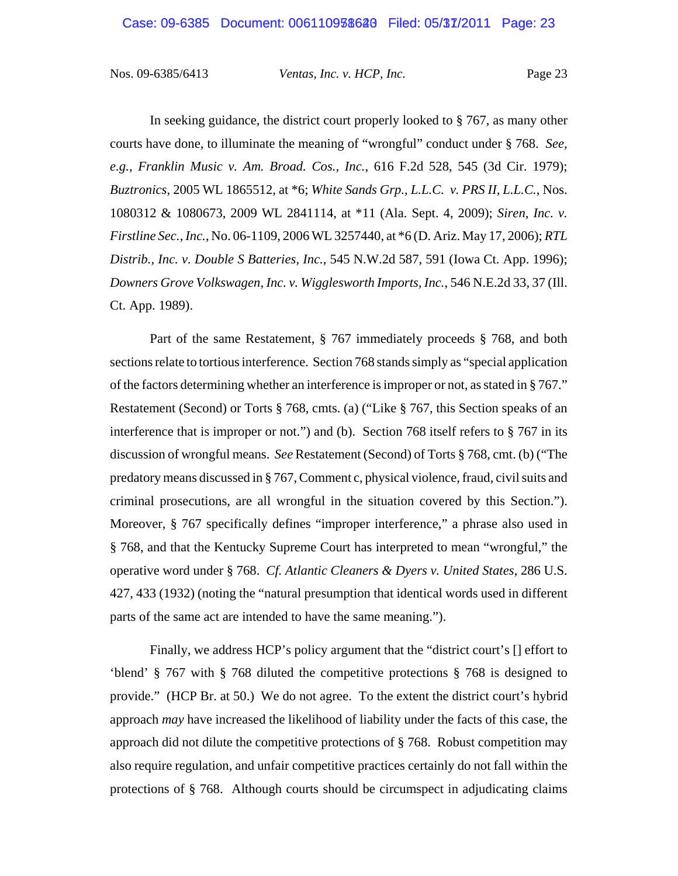In seeking guidance, the district court properly looked to § 767, as many other courts have done, to illuminate the meaning of "wrongful" conduct under § 768. *See, e.g.*, *Franklin Music v. Am. Broad. Cos., Inc.*, 616 F.2d 528, 545 (3d Cir. 1979); *Buztronics*, 2005 WL 1865512, at \*6; *White Sands Grp., L.L.C. v. PRS II, L.L.C.*, Nos. 1080312 & 1080673, 2009 WL 2841114, at \*11 (Ala. Sept. 4, 2009); *Siren, Inc. v. Firstline Sec., Inc.*, No. 06-1109, 2006 WL 3257440, at \*6 (D. Ariz. May 17, 2006); *RTL Distrib., Inc. v. Double S Batteries, Inc.*, 545 N.W.2d 587, 591 (Iowa Ct. App. 1996); *Downers Grove Volkswagen, Inc. v. Wigglesworth Imports, Inc.*, 546 N.E.2d 33, 37 (Ill. Ct. App. 1989).

Part of the same Restatement, § 767 immediately proceeds § 768, and both sections relate to tortious interference. Section 768 stands simply as "special application of the factors determining whether an interference is improper or not, as stated in § 767." Restatement (Second) or Torts § 768, cmts. (a) ("Like § 767, this Section speaks of an interference that is improper or not.") and (b). Section 768 itself refers to § 767 in its discussion of wrongful means. *See* Restatement (Second) of Torts § 768, cmt. (b) ("The predatory means discussed in § 767, Comment c, physical violence, fraud, civil suits and criminal prosecutions, are all wrongful in the situation covered by this Section."). Moreover, § 767 specifically defines "improper interference," a phrase also used in § 768, and that the Kentucky Supreme Court has interpreted to mean "wrongful," the operative word under § 768. *Cf. Atlantic Cleaners & Dyers v. United States*, 286 U.S. 427, 433 (1932) (noting the "natural presumption that identical words used in different parts of the same act are intended to have the same meaning.").

Finally, we address HCP's policy argument that the "district court's [] effort to 'blend' § 767 with § 768 diluted the competitive protections § 768 is designed to provide." (HCP Br. at 50.) We do not agree. To the extent the district court's hybrid approach *may* have increased the likelihood of liability under the facts of this case, the approach did not dilute the competitive protections of § 768. Robust competition may also require regulation, and unfair competitive practices certainly do not fall within the protections of § 768. Although courts should be circumspect in adjudicating claims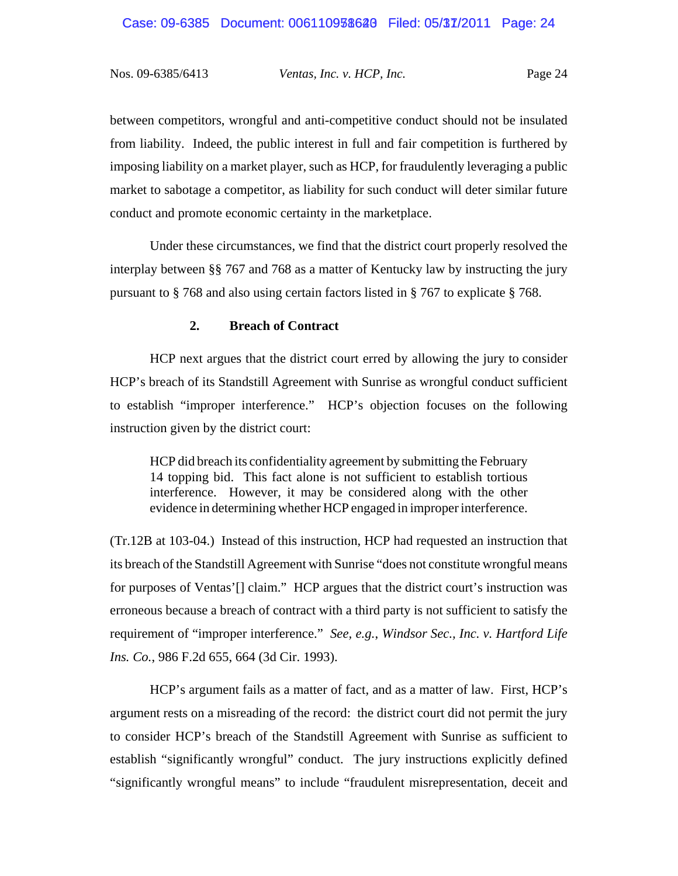between competitors, wrongful and anti-competitive conduct should not be insulated from liability. Indeed, the public interest in full and fair competition is furthered by imposing liability on a market player, such as HCP, for fraudulently leveraging a public market to sabotage a competitor, as liability for such conduct will deter similar future conduct and promote economic certainty in the marketplace.

Under these circumstances, we find that the district court properly resolved the interplay between §§ 767 and 768 as a matter of Kentucky law by instructing the jury pursuant to § 768 and also using certain factors listed in § 767 to explicate § 768.

### **2. Breach of Contract**

 HCP next argues that the district court erred by allowing the jury to consider HCP's breach of its Standstill Agreement with Sunrise as wrongful conduct sufficient to establish "improper interference." HCP's objection focuses on the following instruction given by the district court:

HCP did breach its confidentiality agreement by submitting the February 14 topping bid. This fact alone is not sufficient to establish tortious interference. However, it may be considered along with the other evidence in determining whether HCP engaged in improper interference.

(Tr.12B at 103-04.) Instead of this instruction, HCP had requested an instruction that its breach of the Standstill Agreement with Sunrise "does not constitute wrongful means for purposes of Ventas'[] claim." HCP argues that the district court's instruction was erroneous because a breach of contract with a third party is not sufficient to satisfy the requirement of "improper interference." *See, e.g.*, *Windsor Sec., Inc. v. Hartford Life Ins. Co.*, 986 F.2d 655, 664 (3d Cir. 1993).

HCP's argument fails as a matter of fact, and as a matter of law. First, HCP's argument rests on a misreading of the record: the district court did not permit the jury to consider HCP's breach of the Standstill Agreement with Sunrise as sufficient to establish "significantly wrongful" conduct. The jury instructions explicitly defined "significantly wrongful means" to include "fraudulent misrepresentation, deceit and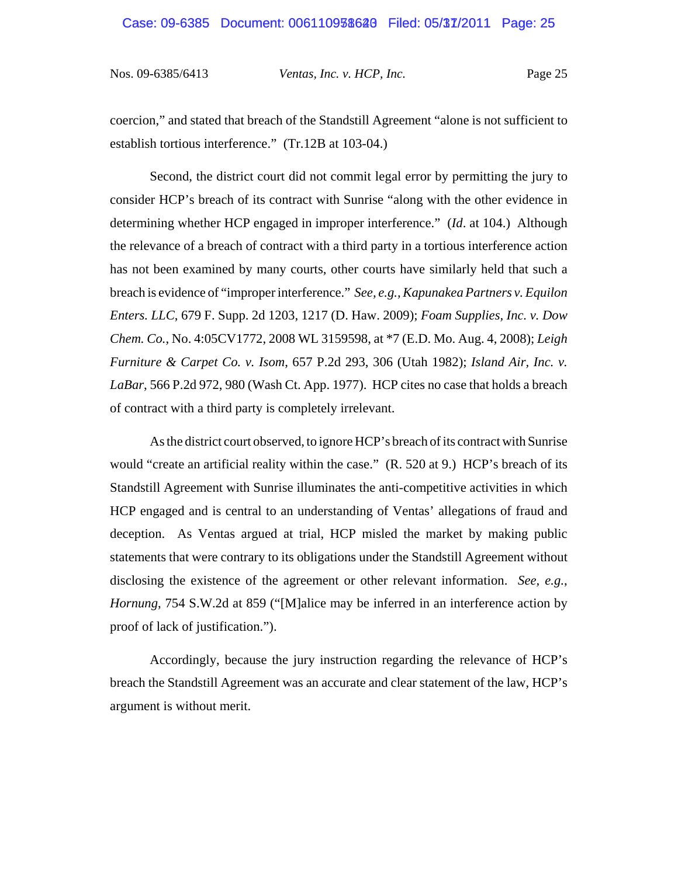coercion," and stated that breach of the Standstill Agreement "alone is not sufficient to establish tortious interference." (Tr.12B at 103-04.)

Second, the district court did not commit legal error by permitting the jury to consider HCP's breach of its contract with Sunrise "along with the other evidence in determining whether HCP engaged in improper interference." (*Id*. at 104.) Although the relevance of a breach of contract with a third party in a tortious interference action has not been examined by many courts, other courts have similarly held that such a breach is evidence of "improper interference." *See, e.g., Kapunakea Partners v. Equilon Enters. LLC*, 679 F. Supp. 2d 1203, 1217 (D. Haw. 2009); *Foam Supplies, Inc. v. Dow Chem. Co.*, No. 4:05CV1772, 2008 WL 3159598, at \*7 (E.D. Mo. Aug. 4, 2008); *Leigh Furniture & Carpet Co. v. Isom*, 657 P.2d 293, 306 (Utah 1982); *Island Air, Inc. v. LaBar*, 566 P.2d 972, 980 (Wash Ct. App. 1977). HCP cites no case that holds a breach of contract with a third party is completely irrelevant.

As the district court observed, to ignore HCP's breach of its contract with Sunrise would "create an artificial reality within the case." (R. 520 at 9.) HCP's breach of its Standstill Agreement with Sunrise illuminates the anti-competitive activities in which HCP engaged and is central to an understanding of Ventas' allegations of fraud and deception. As Ventas argued at trial, HCP misled the market by making public statements that were contrary to its obligations under the Standstill Agreement without disclosing the existence of the agreement or other relevant information. *See, e.g.*, *Hornung*, 754 S.W.2d at 859 ("[M]alice may be inferred in an interference action by proof of lack of justification.").

Accordingly, because the jury instruction regarding the relevance of HCP's breach the Standstill Agreement was an accurate and clear statement of the law, HCP's argument is without merit.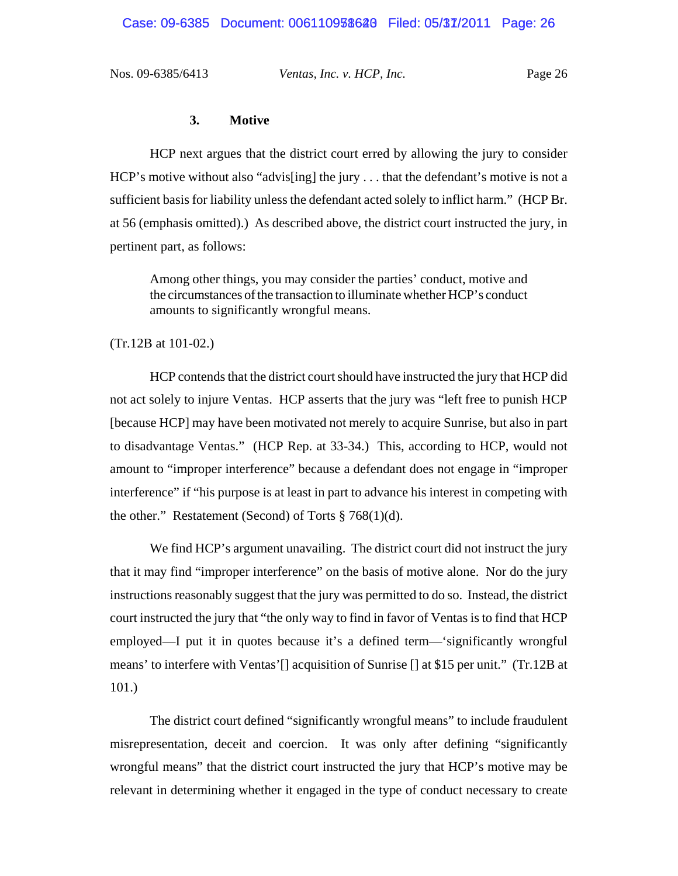#### **3. Motive**

HCP next argues that the district court erred by allowing the jury to consider HCP's motive without also "advis[ing] the jury . . . that the defendant's motive is not a sufficient basis for liability unless the defendant acted solely to inflict harm." (HCP Br. at 56 (emphasis omitted).) As described above, the district court instructed the jury, in pertinent part, as follows:

Among other things, you may consider the parties' conduct, motive and the circumstances of the transaction to illuminate whether HCP's conduct amounts to significantly wrongful means.

(Tr.12B at 101-02.)

HCP contends that the district court should have instructed the jury that HCP did not act solely to injure Ventas. HCP asserts that the jury was "left free to punish HCP [because HCP] may have been motivated not merely to acquire Sunrise, but also in part to disadvantage Ventas." (HCP Rep. at 33-34.) This, according to HCP, would not amount to "improper interference" because a defendant does not engage in "improper interference" if "his purpose is at least in part to advance his interest in competing with the other." Restatement (Second) of Torts  $\S 768(1)(d)$ .

We find HCP's argument unavailing. The district court did not instruct the jury that it may find "improper interference" on the basis of motive alone. Nor do the jury instructions reasonably suggest that the jury was permitted to do so. Instead, the district court instructed the jury that "the only way to find in favor of Ventas is to find that HCP employed—I put it in quotes because it's a defined term—'significantly wrongful means' to interfere with Ventas'[] acquisition of Sunrise [] at \$15 per unit." (Tr.12B at 101.)

The district court defined "significantly wrongful means" to include fraudulent misrepresentation, deceit and coercion. It was only after defining "significantly wrongful means" that the district court instructed the jury that HCP's motive may be relevant in determining whether it engaged in the type of conduct necessary to create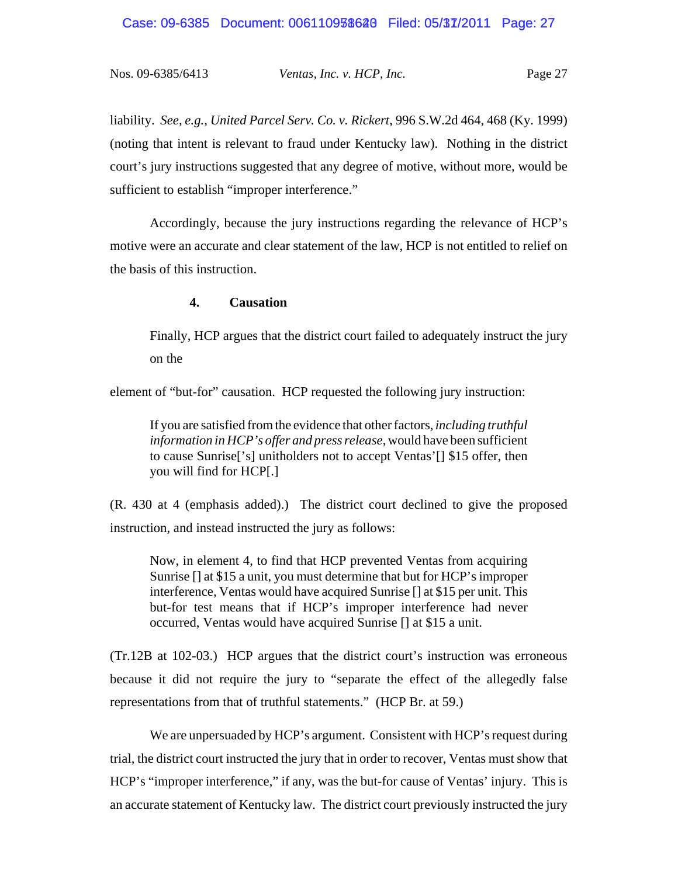liability. *See, e.g.*, *United Parcel Serv. Co. v. Rickert*, 996 S.W.2d 464, 468 (Ky. 1999) (noting that intent is relevant to fraud under Kentucky law). Nothing in the district court's jury instructions suggested that any degree of motive, without more, would be sufficient to establish "improper interference."

Accordingly, because the jury instructions regarding the relevance of HCP's motive were an accurate and clear statement of the law, HCP is not entitled to relief on the basis of this instruction.

#### **4. Causation**

Finally, HCP argues that the district court failed to adequately instruct the jury on the

element of "but-for" causation. HCP requested the following jury instruction:

If you are satisfied from the evidence that other factors, *including truthful information in HCP's offer and press release*, would have been sufficient to cause Sunrise['s] unitholders not to accept Ventas'[] \$15 offer, then you will find for HCP[.]

(R. 430 at 4 (emphasis added).) The district court declined to give the proposed instruction, and instead instructed the jury as follows:

Now, in element 4, to find that HCP prevented Ventas from acquiring Sunrise [] at \$15 a unit, you must determine that but for HCP's improper interference, Ventas would have acquired Sunrise [] at \$15 per unit. This but-for test means that if HCP's improper interference had never occurred, Ventas would have acquired Sunrise [] at \$15 a unit.

(Tr.12B at 102-03.) HCP argues that the district court's instruction was erroneous because it did not require the jury to "separate the effect of the allegedly false representations from that of truthful statements." (HCP Br. at 59.)

We are unpersuaded by HCP's argument. Consistent with HCP's request during trial, the district court instructed the jury that in order to recover, Ventas must show that HCP's "improper interference," if any, was the but-for cause of Ventas' injury. This is an accurate statement of Kentucky law. The district court previously instructed the jury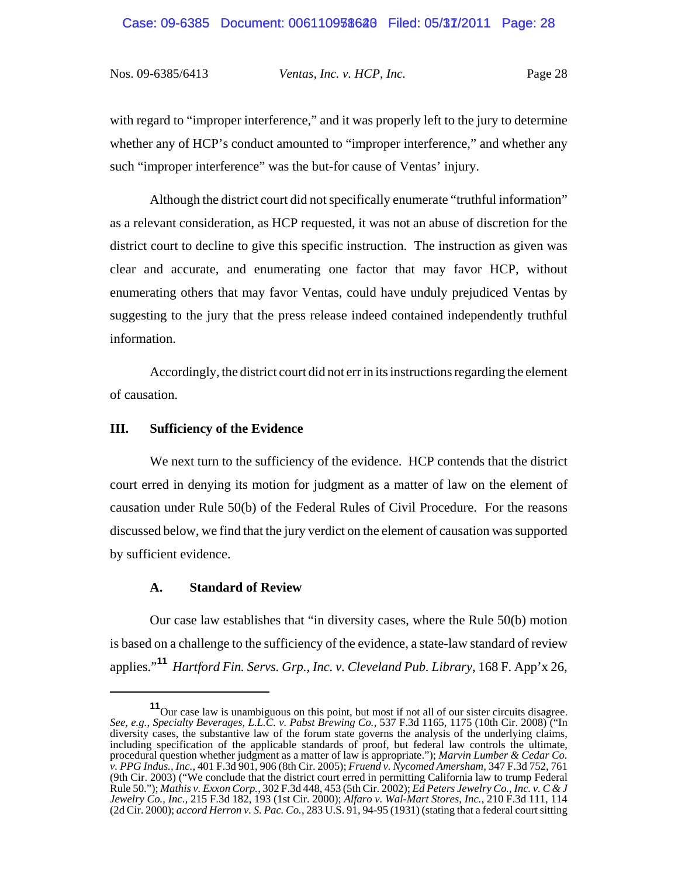with regard to "improper interference," and it was properly left to the jury to determine whether any of HCP's conduct amounted to "improper interference," and whether any such "improper interference" was the but-for cause of Ventas' injury.

Although the district court did not specifically enumerate "truthful information" as a relevant consideration, as HCP requested, it was not an abuse of discretion for the district court to decline to give this specific instruction. The instruction as given was clear and accurate, and enumerating one factor that may favor HCP, without enumerating others that may favor Ventas, could have unduly prejudiced Ventas by suggesting to the jury that the press release indeed contained independently truthful information.

Accordingly, the district court did not err in its instructions regarding the element of causation.

#### **III. Sufficiency of the Evidence**

We next turn to the sufficiency of the evidence. HCP contends that the district court erred in denying its motion for judgment as a matter of law on the element of causation under Rule 50(b) of the Federal Rules of Civil Procedure. For the reasons discussed below, we find that the jury verdict on the element of causation was supported by sufficient evidence.

#### **A. Standard of Review**

Our case law establishes that "in diversity cases, where the Rule 50(b) motion is based on a challenge to the sufficiency of the evidence, a state-law standard of review applies."**<sup>11</sup>** *Hartford Fin. Servs. Grp., Inc. v. Cleveland Pub. Library*, 168 F. App'x 26,

<sup>&</sup>lt;sup>11</sup>Our case law is unambiguous on this point, but most if not all of our sister circuits disagree. *See, e.g.*, *Specialty Beverages, L.L.C. v. Pabst Brewing Co.*, 537 F.3d 1165, 1175 (10th Cir. 2008) ("In diversity cases, the substantive law of the forum state governs the analysis of the underlying claims, including specification of the applicable standards of proof, but federal law controls the ultimate, procedural question whether judgment as a matter of law is appropriate."); *Marvin Lumber & Cedar Co. v. PPG Indus., Inc.*, 401 F.3d 901, 906 (8th Cir. 2005); *Fruend v. Nycomed Amersham*, 347 F.3d 752, 761 (9th Cir. 2003) ("We conclude that the district court erred in permitting California law to trump Federal Rule 50."); *Mathis v. Exxon Corp.*, 302 F.3d 448, 453 (5th Cir. 2002); *Ed Peters Jewelry Co., Inc. v. C & J Jewelry Co., Inc.*, 215 F.3d 182, 193 (1st Cir. 2000); *Alfaro v. Wal-Mart Stores, Inc.*, 210 F.3d 111, 114 (2d Cir. 2000); *accord Herron v. S. Pac. Co.*, 283 U.S. 91, 94-95 (1931) (stating that a federal court sitting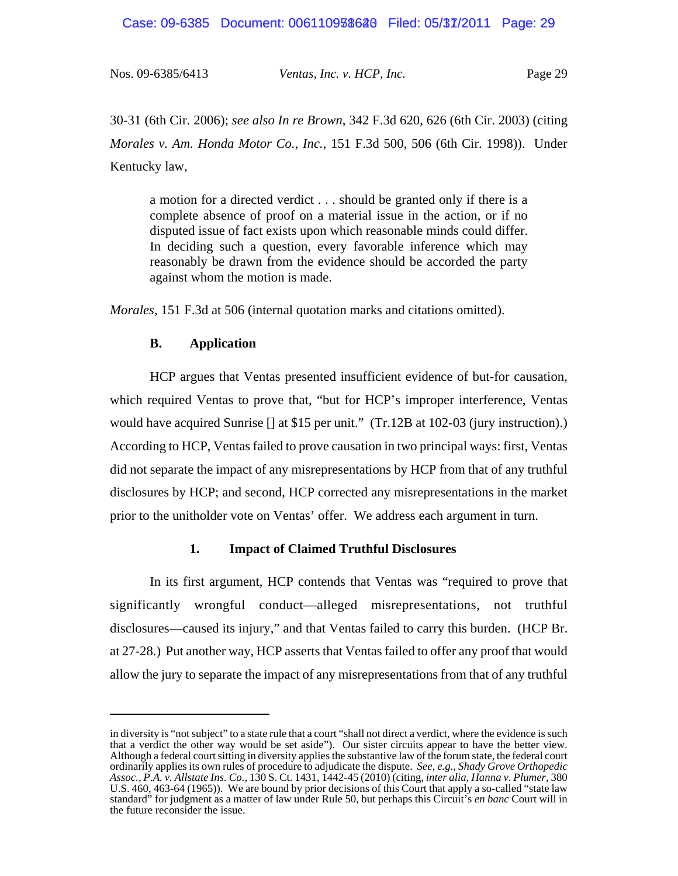Case: 09-6385 Document: 006110938628 Filed: 05/37/2011 Page: 29

| Nos. 09-6385/6413 | Ventas, Inc. v. HCP, Inc. | Page 29 |
|-------------------|---------------------------|---------|

30-31 (6th Cir. 2006); *see also In re Brown*, 342 F.3d 620, 626 (6th Cir. 2003) (citing *Morales v. Am. Honda Motor Co., Inc.*, 151 F.3d 500, 506 (6th Cir. 1998)). Under Kentucky law,

a motion for a directed verdict . . . should be granted only if there is a complete absence of proof on a material issue in the action, or if no disputed issue of fact exists upon which reasonable minds could differ. In deciding such a question, every favorable inference which may reasonably be drawn from the evidence should be accorded the party against whom the motion is made.

*Morales*, 151 F.3d at 506 (internal quotation marks and citations omitted).

### **B. Application**

HCP argues that Ventas presented insufficient evidence of but-for causation, which required Ventas to prove that, "but for HCP's improper interference, Ventas would have acquired Sunrise [] at \$15 per unit." (Tr.12B at 102-03 (jury instruction).) According to HCP, Ventas failed to prove causation in two principal ways: first, Ventas did not separate the impact of any misrepresentations by HCP from that of any truthful disclosures by HCP; and second, HCP corrected any misrepresentations in the market prior to the unitholder vote on Ventas' offer. We address each argument in turn.

### **1. Impact of Claimed Truthful Disclosures**

In its first argument, HCP contends that Ventas was "required to prove that significantly wrongful conduct—alleged misrepresentations, not truthful disclosures—caused its injury," and that Ventas failed to carry this burden. (HCP Br. at 27-28.) Put another way, HCP asserts that Ventas failed to offer any proof that would allow the jury to separate the impact of any misrepresentations from that of any truthful

in diversity is "not subject" to a state rule that a court "shall not direct a verdict, where the evidence is such that a verdict the other way would be set aside"). Our sister circuits appear to have the better view. Although a federal court sitting in diversity applies the substantive law of the forum state, the federal court ordinarily applies its own rules of procedure to adjudicate the dispute. *See, e.g.*, *Shady Grove Orthopedic Assoc., P.A. v. Allstate Ins. Co.*, 130 S. Ct. 1431, 1442-45 (2010) (citing, *inter alia*, *Hanna v. Plumer*, 380 U.S. 460, 463-64 (1965)). We are bound by prior decisions of this Court that apply a so-called "state law standard" for judgment as a matter of law under Rule 50, but perhaps this Circuit's *en banc* Court will in the future reconsider the issue.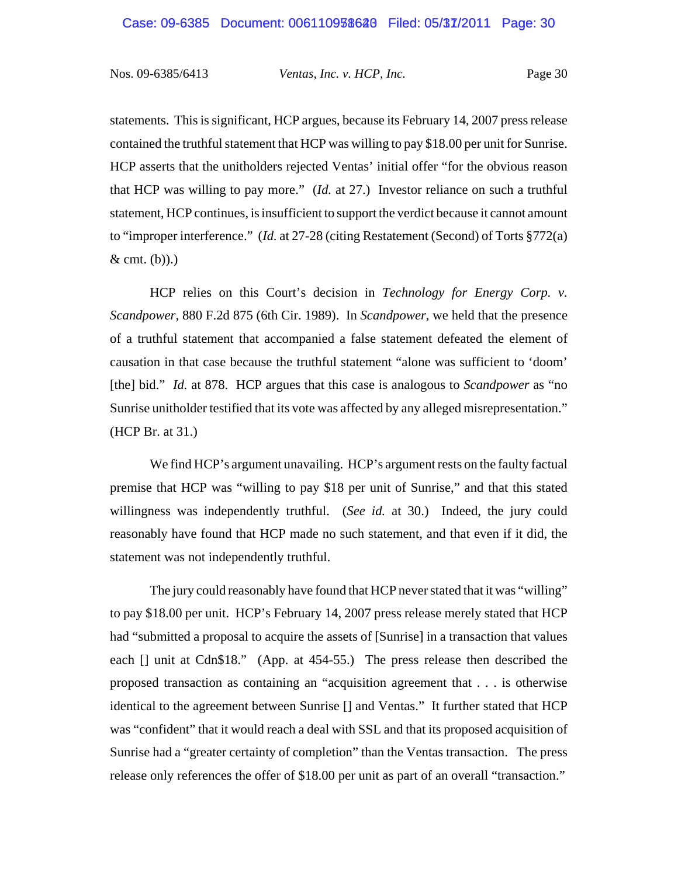statements. This is significant, HCP argues, because its February 14, 2007 press release contained the truthful statement that HCP was willing to pay \$18.00 per unit for Sunrise. HCP asserts that the unitholders rejected Ventas' initial offer "for the obvious reason that HCP was willing to pay more." (*Id.* at 27.) Investor reliance on such a truthful statement, HCP continues, is insufficient to support the verdict because it cannot amount to "improper interference." (*Id.* at 27-28 (citing Restatement (Second) of Torts §772(a)  $&$  cmt. (b)).)

HCP relies on this Court's decision in *Technology for Energy Corp. v. Scandpower*, 880 F.2d 875 (6th Cir. 1989). In *Scandpower*, we held that the presence of a truthful statement that accompanied a false statement defeated the element of causation in that case because the truthful statement "alone was sufficient to 'doom' [the] bid." *Id.* at 878. HCP argues that this case is analogous to *Scandpower* as "no Sunrise unitholder testified that its vote was affected by any alleged misrepresentation." (HCP Br. at 31.)

We find HCP's argument unavailing. HCP's argument rests on the faulty factual premise that HCP was "willing to pay \$18 per unit of Sunrise," and that this stated willingness was independently truthful. (*See id.* at 30.) Indeed, the jury could reasonably have found that HCP made no such statement, and that even if it did, the statement was not independently truthful.

The jury could reasonably have found that HCP never stated that it was "willing" to pay \$18.00 per unit. HCP's February 14, 2007 press release merely stated that HCP had "submitted a proposal to acquire the assets of [Sunrise] in a transaction that values each [] unit at Cdn\$18." (App. at 454-55.) The press release then described the proposed transaction as containing an "acquisition agreement that . . . is otherwise identical to the agreement between Sunrise [] and Ventas." It further stated that HCP was "confident" that it would reach a deal with SSL and that its proposed acquisition of Sunrise had a "greater certainty of completion" than the Ventas transaction. The press release only references the offer of \$18.00 per unit as part of an overall "transaction."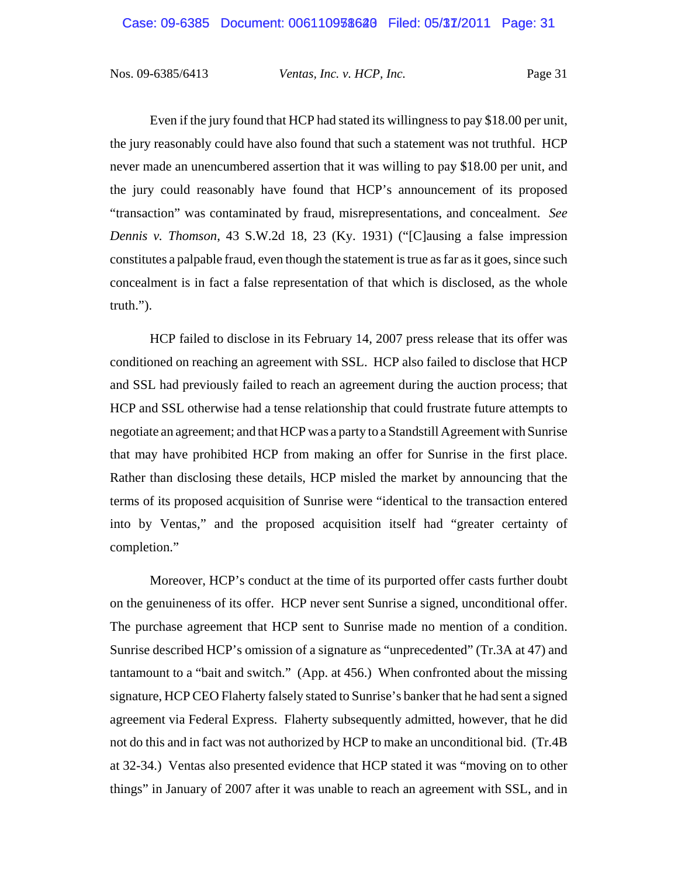Even if the jury found that HCP had stated its willingness to pay \$18.00 per unit, the jury reasonably could have also found that such a statement was not truthful. HCP never made an unencumbered assertion that it was willing to pay \$18.00 per unit, and the jury could reasonably have found that HCP's announcement of its proposed "transaction" was contaminated by fraud, misrepresentations, and concealment. *See Dennis v. Thomson*, 43 S.W.2d 18, 23 (Ky. 1931) ("[C]ausing a false impression constitutes a palpable fraud, even though the statement is true as far as it goes, since such concealment is in fact a false representation of that which is disclosed, as the whole truth.").

HCP failed to disclose in its February 14, 2007 press release that its offer was conditioned on reaching an agreement with SSL. HCP also failed to disclose that HCP and SSL had previously failed to reach an agreement during the auction process; that HCP and SSL otherwise had a tense relationship that could frustrate future attempts to negotiate an agreement; and that HCP was a party to a Standstill Agreement with Sunrise that may have prohibited HCP from making an offer for Sunrise in the first place. Rather than disclosing these details, HCP misled the market by announcing that the terms of its proposed acquisition of Sunrise were "identical to the transaction entered into by Ventas," and the proposed acquisition itself had "greater certainty of completion."

Moreover, HCP's conduct at the time of its purported offer casts further doubt on the genuineness of its offer. HCP never sent Sunrise a signed, unconditional offer. The purchase agreement that HCP sent to Sunrise made no mention of a condition. Sunrise described HCP's omission of a signature as "unprecedented" (Tr.3A at 47) and tantamount to a "bait and switch." (App. at 456.) When confronted about the missing signature, HCP CEO Flaherty falsely stated to Sunrise's banker that he had sent a signed agreement via Federal Express. Flaherty subsequently admitted, however, that he did not do this and in fact was not authorized by HCP to make an unconditional bid. (Tr.4B at 32-34.) Ventas also presented evidence that HCP stated it was "moving on to other things" in January of 2007 after it was unable to reach an agreement with SSL, and in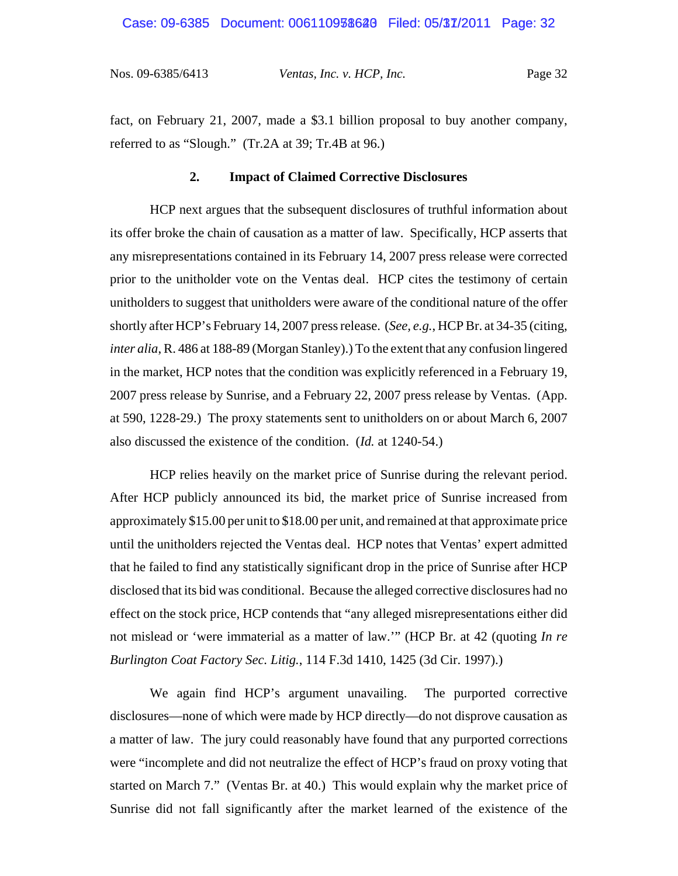fact, on February 21, 2007, made a \$3.1 billion proposal to buy another company, referred to as "Slough." (Tr.2A at 39; Tr.4B at 96.)

### **2. Impact of Claimed Corrective Disclosures**

HCP next argues that the subsequent disclosures of truthful information about its offer broke the chain of causation as a matter of law. Specifically, HCP asserts that any misrepresentations contained in its February 14, 2007 press release were corrected prior to the unitholder vote on the Ventas deal. HCP cites the testimony of certain unitholders to suggest that unitholders were aware of the conditional nature of the offer shortly after HCP's February 14, 2007 press release. (*See, e.g.*, HCP Br. at 34-35 (citing, *inter alia*, R. 486 at 188-89 (Morgan Stanley).) To the extent that any confusion lingered in the market, HCP notes that the condition was explicitly referenced in a February 19, 2007 press release by Sunrise, and a February 22, 2007 press release by Ventas. (App. at 590, 1228-29.) The proxy statements sent to unitholders on or about March 6, 2007 also discussed the existence of the condition. (*Id.* at 1240-54.)

HCP relies heavily on the market price of Sunrise during the relevant period. After HCP publicly announced its bid, the market price of Sunrise increased from approximately \$15.00 per unit to \$18.00 per unit, and remained at that approximate price until the unitholders rejected the Ventas deal. HCP notes that Ventas' expert admitted that he failed to find any statistically significant drop in the price of Sunrise after HCP disclosed that its bid was conditional. Because the alleged corrective disclosures had no effect on the stock price, HCP contends that "any alleged misrepresentations either did not mislead or 'were immaterial as a matter of law.'" (HCP Br. at 42 (quoting *In re Burlington Coat Factory Sec. Litig.*, 114 F.3d 1410, 1425 (3d Cir. 1997).)

We again find HCP's argument unavailing. The purported corrective disclosures—none of which were made by HCP directly—do not disprove causation as a matter of law. The jury could reasonably have found that any purported corrections were "incomplete and did not neutralize the effect of HCP's fraud on proxy voting that started on March 7." (Ventas Br. at 40.) This would explain why the market price of Sunrise did not fall significantly after the market learned of the existence of the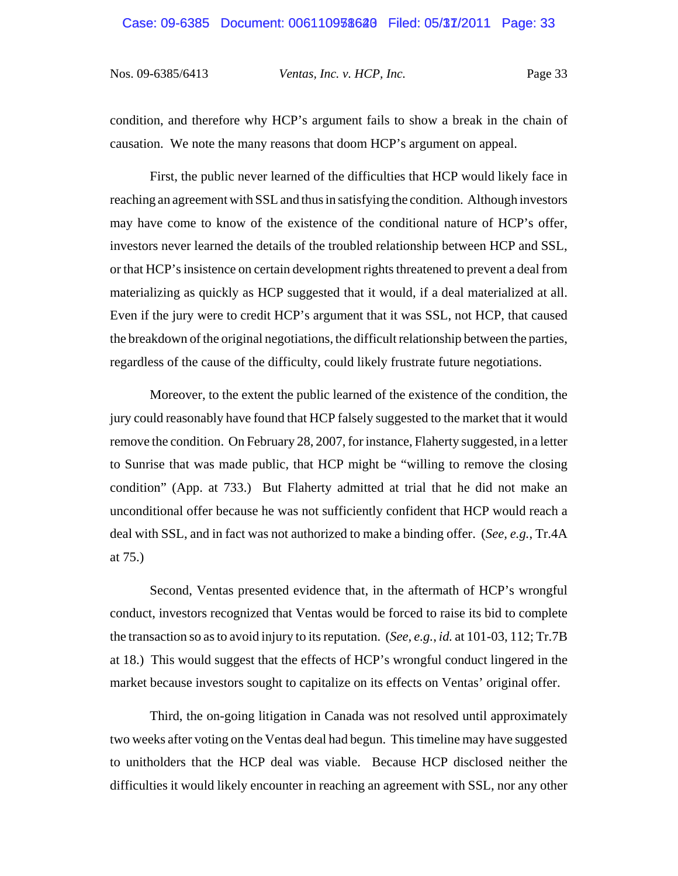condition, and therefore why HCP's argument fails to show a break in the chain of causation. We note the many reasons that doom HCP's argument on appeal.

First, the public never learned of the difficulties that HCP would likely face in reaching an agreement with SSL and thus in satisfying the condition. Although investors may have come to know of the existence of the conditional nature of HCP's offer, investors never learned the details of the troubled relationship between HCP and SSL, or that HCP's insistence on certain development rights threatened to prevent a deal from materializing as quickly as HCP suggested that it would, if a deal materialized at all. Even if the jury were to credit HCP's argument that it was SSL, not HCP, that caused the breakdown of the original negotiations, the difficult relationship between the parties, regardless of the cause of the difficulty, could likely frustrate future negotiations.

Moreover, to the extent the public learned of the existence of the condition, the jury could reasonably have found that HCP falsely suggested to the market that it would remove the condition. On February 28, 2007, for instance, Flaherty suggested, in a letter to Sunrise that was made public, that HCP might be "willing to remove the closing condition" (App. at 733.) But Flaherty admitted at trial that he did not make an unconditional offer because he was not sufficiently confident that HCP would reach a deal with SSL, and in fact was not authorized to make a binding offer. (*See, e.g.*, Tr.4A at 75.)

Second, Ventas presented evidence that, in the aftermath of HCP's wrongful conduct, investors recognized that Ventas would be forced to raise its bid to complete the transaction so as to avoid injury to its reputation. (*See, e.g.*, *id.* at 101-03, 112; Tr.7B at 18.) This would suggest that the effects of HCP's wrongful conduct lingered in the market because investors sought to capitalize on its effects on Ventas' original offer.

Third, the on-going litigation in Canada was not resolved until approximately two weeks after voting on the Ventas deal had begun. This timeline may have suggested to unitholders that the HCP deal was viable. Because HCP disclosed neither the difficulties it would likely encounter in reaching an agreement with SSL, nor any other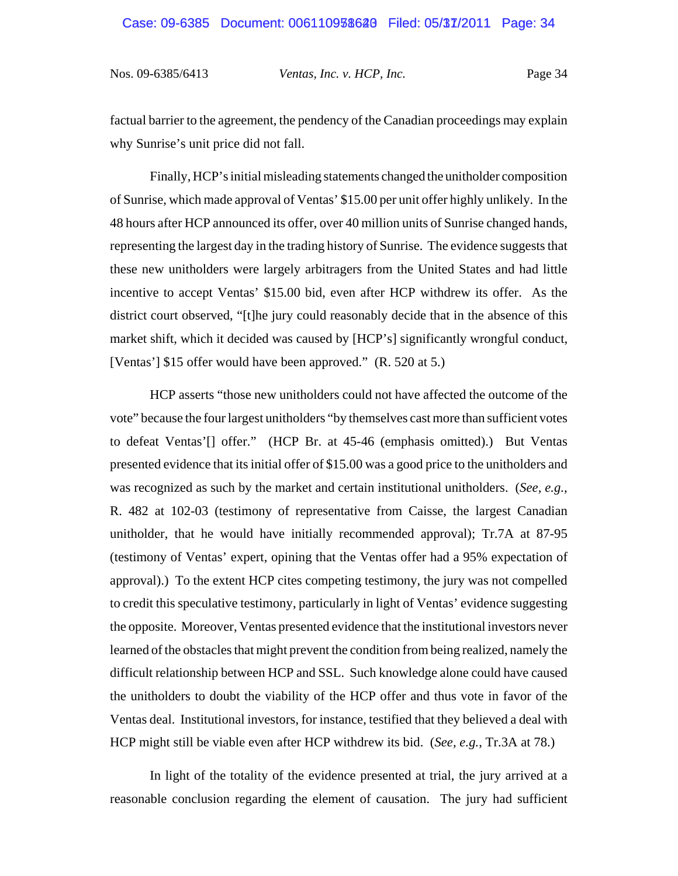factual barrier to the agreement, the pendency of the Canadian proceedings may explain why Sunrise's unit price did not fall.

Finally, HCP's initial misleading statements changed the unitholder composition of Sunrise, which made approval of Ventas' \$15.00 per unit offer highly unlikely. In the 48 hours after HCP announced its offer, over 40 million units of Sunrise changed hands, representing the largest day in the trading history of Sunrise. The evidence suggests that these new unitholders were largely arbitragers from the United States and had little incentive to accept Ventas' \$15.00 bid, even after HCP withdrew its offer. As the district court observed, "[t]he jury could reasonably decide that in the absence of this market shift, which it decided was caused by [HCP's] significantly wrongful conduct, [Ventas'] \$15 offer would have been approved." (R. 520 at 5.)

HCP asserts "those new unitholders could not have affected the outcome of the vote" because the four largest unitholders "by themselves cast more than sufficient votes to defeat Ventas'[] offer." (HCP Br. at 45-46 (emphasis omitted).) But Ventas presented evidence that its initial offer of \$15.00 was a good price to the unitholders and was recognized as such by the market and certain institutional unitholders. (*See, e.g.*, R. 482 at 102-03 (testimony of representative from Caisse, the largest Canadian unitholder, that he would have initially recommended approval); Tr.7A at 87-95 (testimony of Ventas' expert, opining that the Ventas offer had a 95% expectation of approval).) To the extent HCP cites competing testimony, the jury was not compelled to credit this speculative testimony, particularly in light of Ventas' evidence suggesting the opposite. Moreover, Ventas presented evidence that the institutional investors never learned of the obstacles that might prevent the condition from being realized, namely the difficult relationship between HCP and SSL. Such knowledge alone could have caused the unitholders to doubt the viability of the HCP offer and thus vote in favor of the Ventas deal. Institutional investors, for instance, testified that they believed a deal with HCP might still be viable even after HCP withdrew its bid. (*See, e.g.*, Tr.3A at 78.)

In light of the totality of the evidence presented at trial, the jury arrived at a reasonable conclusion regarding the element of causation. The jury had sufficient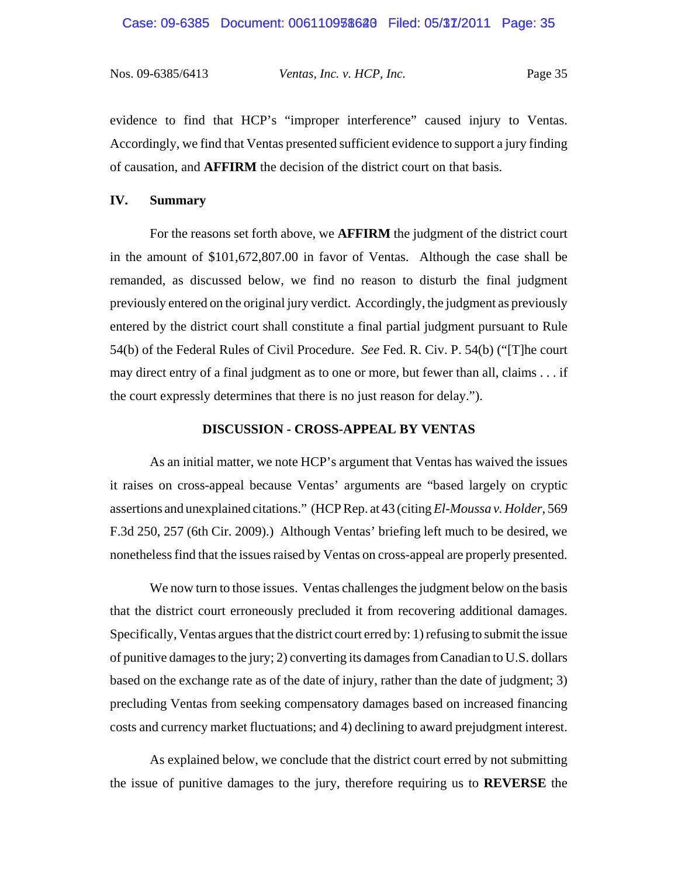evidence to find that HCP's "improper interference" caused injury to Ventas. Accordingly, we find that Ventas presented sufficient evidence to support a jury finding of causation, and **AFFIRM** the decision of the district court on that basis.

## **IV. Summary**

For the reasons set forth above, we **AFFIRM** the judgment of the district court in the amount of \$101,672,807.00 in favor of Ventas. Although the case shall be remanded, as discussed below, we find no reason to disturb the final judgment previously entered on the original jury verdict. Accordingly, the judgment as previously entered by the district court shall constitute a final partial judgment pursuant to Rule 54(b) of the Federal Rules of Civil Procedure. *See* Fed. R. Civ. P. 54(b) ("[T]he court may direct entry of a final judgment as to one or more, but fewer than all, claims . . . if the court expressly determines that there is no just reason for delay.").

#### **DISCUSSION - CROSS-APPEAL BY VENTAS**

As an initial matter, we note HCP's argument that Ventas has waived the issues it raises on cross-appeal because Ventas' arguments are "based largely on cryptic assertions and unexplained citations." (HCP Rep. at 43 (citing *El-Moussa v. Holder*, 569 F.3d 250, 257 (6th Cir. 2009).) Although Ventas' briefing left much to be desired, we nonetheless find that the issues raised by Ventas on cross-appeal are properly presented.

We now turn to those issues. Ventas challenges the judgment below on the basis that the district court erroneously precluded it from recovering additional damages. Specifically, Ventas argues that the district court erred by: 1) refusing to submit the issue of punitive damages to the jury; 2) converting its damages from Canadian to U.S. dollars based on the exchange rate as of the date of injury, rather than the date of judgment; 3) precluding Ventas from seeking compensatory damages based on increased financing costs and currency market fluctuations; and 4) declining to award prejudgment interest.

As explained below, we conclude that the district court erred by not submitting the issue of punitive damages to the jury, therefore requiring us to **REVERSE** the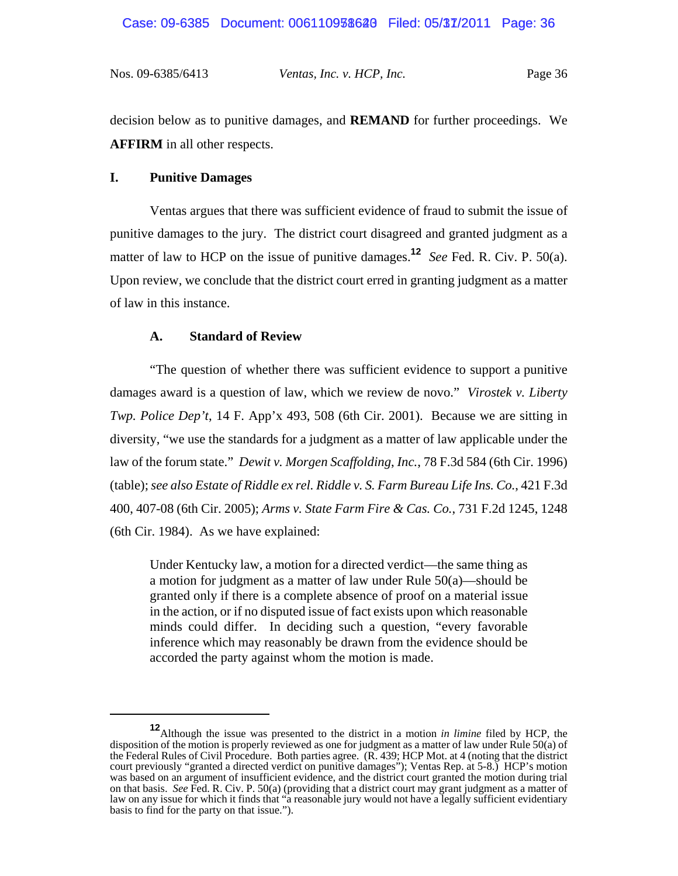# Case: 09-6385 Document: 006110938628 Filed: 05/37/2011 Page: 36

Nos. 09-6385/6413 *Ventas, Inc. v. HCP, Inc.* Page 36

decision below as to punitive damages, and **REMAND** for further proceedings. We **AFFIRM** in all other respects.

### **I. Punitive Damages**

Ventas argues that there was sufficient evidence of fraud to submit the issue of punitive damages to the jury. The district court disagreed and granted judgment as a matter of law to HCP on the issue of punitive damages.**<sup>12</sup>** *See* Fed. R. Civ. P. 50(a). Upon review, we conclude that the district court erred in granting judgment as a matter of law in this instance.

#### **A. Standard of Review**

 "The question of whether there was sufficient evidence to support a punitive damages award is a question of law, which we review de novo." *Virostek v. Liberty Twp. Police Dep't*, 14 F. App'x 493, 508 (6th Cir. 2001). Because we are sitting in diversity, "we use the standards for a judgment as a matter of law applicable under the law of the forum state." *Dewit v. Morgen Scaffolding*, *Inc.*, 78 F.3d 584 (6th Cir. 1996) (table); *see also Estate of Riddle ex rel. Riddle v. S. Farm Bureau Life Ins. Co.*, 421 F.3d 400, 407-08 (6th Cir. 2005); *Arms v. State Farm Fire & Cas. Co.*, 731 F.2d 1245, 1248 (6th Cir. 1984). As we have explained:

Under Kentucky law, a motion for a directed verdict—the same thing as a motion for judgment as a matter of law under Rule 50(a)—should be granted only if there is a complete absence of proof on a material issue in the action, or if no disputed issue of fact exists upon which reasonable minds could differ. In deciding such a question, "every favorable inference which may reasonably be drawn from the evidence should be accorded the party against whom the motion is made.

**<sup>12</sup>**Although the issue was presented to the district in a motion *in limine* filed by HCP, the disposition of the motion is properly reviewed as one for judgment as a matter of law under Rule 50(a) of the Federal Rules of Civil Procedure. Both parties agree. (R. 439; HCP Mot. at 4 (noting that the district court previously "granted a directed verdict on punitive damages"); Ventas Rep. at 5-8.) HCP's motion was based on an argument of insufficient evidence, and the district court granted the motion during trial on that basis. *See* Fed. R. Civ. P. 50(a) (providing that a district court may grant judgment as a matter of law on any issue for which it finds that "a reasonable jury would not have a legally sufficient evidentiary basis to find for the party on that issue.").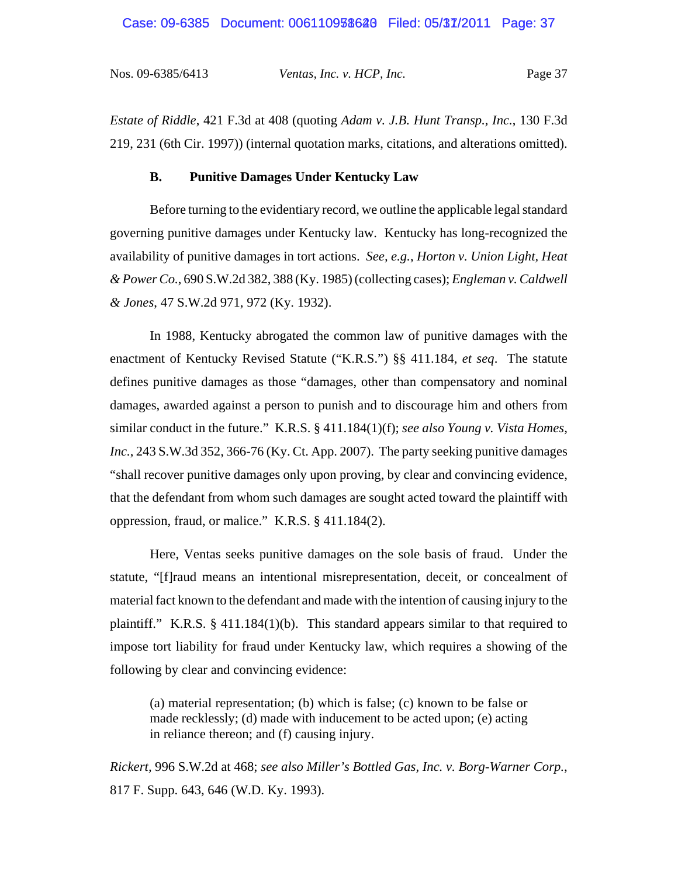#### Case: 09-6385 Document: 006110938628 Filed: 05/37/2011 Page: 37

Nos. 09-6385/6413 *Ventas, Inc. v. HCP, Inc.* Page 37

*Estate of Riddle*, 421 F.3d at 408 (quoting *Adam v. J.B. Hunt Transp., Inc.*, 130 F.3d 219, 231 (6th Cir. 1997)) (internal quotation marks, citations, and alterations omitted).

## **B. Punitive Damages Under Kentucky Law**

Before turning to the evidentiary record, we outline the applicable legal standard governing punitive damages under Kentucky law. Kentucky has long-recognized the availability of punitive damages in tort actions. *See, e.g.*, *Horton v. Union Light, Heat & Power Co.*, 690 S.W.2d 382, 388 (Ky. 1985) (collecting cases); *Engleman v. Caldwell & Jones*, 47 S.W.2d 971, 972 (Ky. 1932).

In 1988, Kentucky abrogated the common law of punitive damages with the enactment of Kentucky Revised Statute ("K.R.S.") §§ 411.184, *et seq*. The statute defines punitive damages as those "damages, other than compensatory and nominal damages, awarded against a person to punish and to discourage him and others from similar conduct in the future." K.R.S. § 411.184(1)(f); *see also Young v. Vista Homes, Inc.*, 243 S.W.3d 352, 366-76 (Ky. Ct. App. 2007). The party seeking punitive damages "shall recover punitive damages only upon proving, by clear and convincing evidence, that the defendant from whom such damages are sought acted toward the plaintiff with oppression, fraud, or malice." K.R.S. § 411.184(2).

Here, Ventas seeks punitive damages on the sole basis of fraud. Under the statute, "[f]raud means an intentional misrepresentation, deceit, or concealment of material fact known to the defendant and made with the intention of causing injury to the plaintiff." K.R.S. § 411.184(1)(b). This standard appears similar to that required to impose tort liability for fraud under Kentucky law, which requires a showing of the following by clear and convincing evidence:

(a) material representation; (b) which is false; (c) known to be false or made recklessly; (d) made with inducement to be acted upon; (e) acting in reliance thereon; and (f) causing injury.

*Rickert,* 996 S.W.2d at 468; *see also Miller's Bottled Gas, Inc. v. Borg-Warner Corp.*, 817 F. Supp. 643, 646 (W.D. Ky. 1993).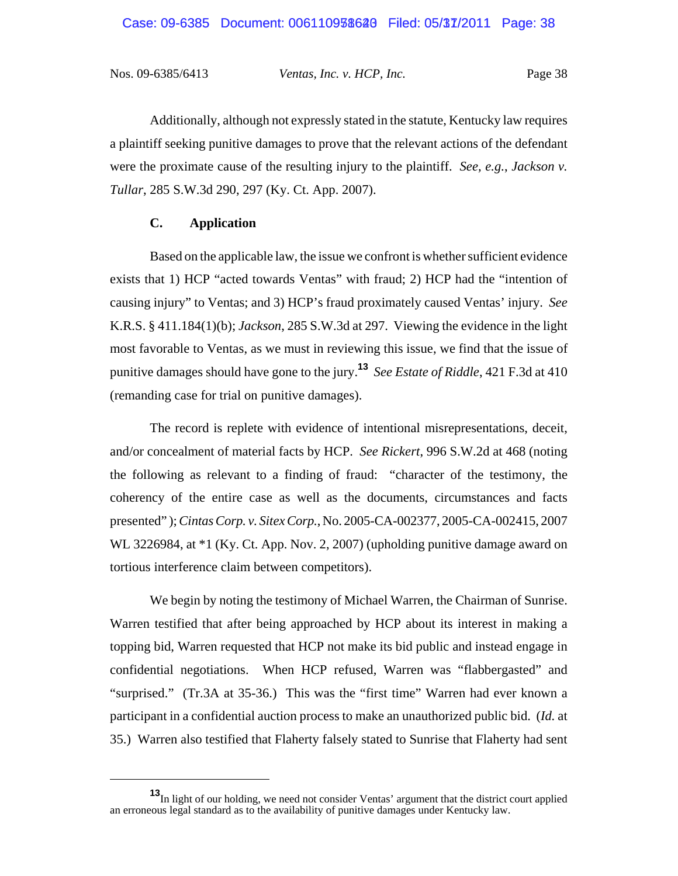Additionally, although not expressly stated in the statute, Kentucky law requires a plaintiff seeking punitive damages to prove that the relevant actions of the defendant were the proximate cause of the resulting injury to the plaintiff. *See, e.g.*, *Jackson v. Tullar*, 285 S.W.3d 290, 297 (Ky. Ct. App. 2007).

### **C. Application**

Based on the applicable law, the issue we confront is whether sufficient evidence exists that 1) HCP "acted towards Ventas" with fraud; 2) HCP had the "intention of causing injury" to Ventas; and 3) HCP's fraud proximately caused Ventas' injury. *See* K.R.S. § 411.184(1)(b); *Jackson*, 285 S.W.3d at 297. Viewing the evidence in the light most favorable to Ventas, as we must in reviewing this issue, we find that the issue of punitive damages should have gone to the jury.**<sup>13</sup>** *See Estate of Riddle*, 421 F.3d at 410 (remanding case for trial on punitive damages).

The record is replete with evidence of intentional misrepresentations, deceit, and/or concealment of material facts by HCP. *See Rickert*, 996 S.W.2d at 468 (noting the following as relevant to a finding of fraud: "character of the testimony, the coherency of the entire case as well as the documents, circumstances and facts presented" ); *Cintas Corp. v. Sitex Corp.*, No. 2005-CA-002377, 2005-CA-002415, 2007 WL 3226984, at \*1 (Ky. Ct. App. Nov. 2, 2007) (upholding punitive damage award on tortious interference claim between competitors).

We begin by noting the testimony of Michael Warren, the Chairman of Sunrise. Warren testified that after being approached by HCP about its interest in making a topping bid, Warren requested that HCP not make its bid public and instead engage in confidential negotiations. When HCP refused, Warren was "flabbergasted" and "surprised." (Tr.3A at 35-36.) This was the "first time" Warren had ever known a participant in a confidential auction process to make an unauthorized public bid. (*Id.* at 35.) Warren also testified that Flaherty falsely stated to Sunrise that Flaherty had sent

**<sup>13</sup>**In light of our holding, we need not consider Ventas' argument that the district court applied an erroneous legal standard as to the availability of punitive damages under Kentucky law.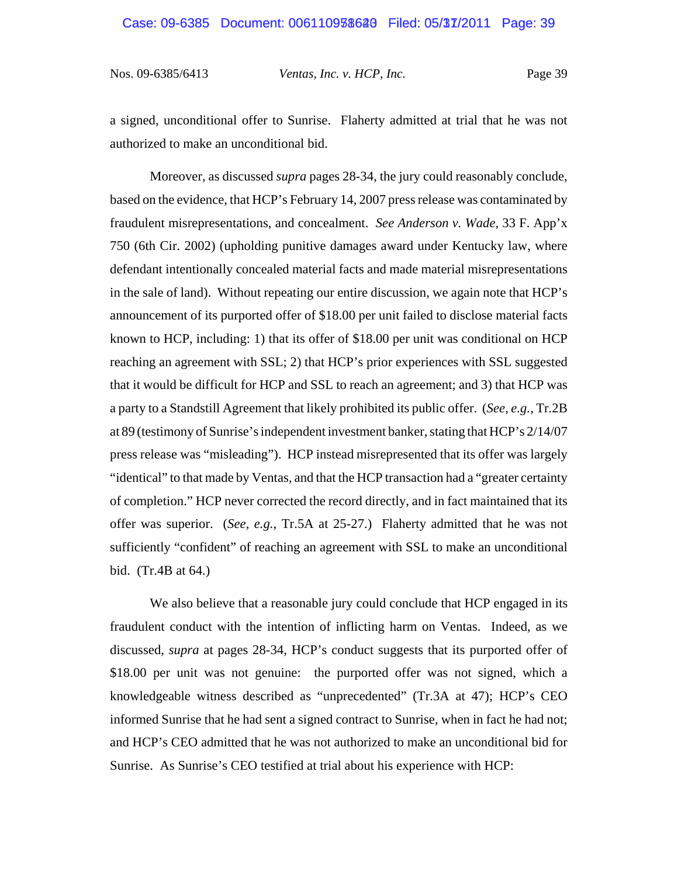a signed, unconditional offer to Sunrise. Flaherty admitted at trial that he was not authorized to make an unconditional bid.

Moreover, as discussed *supra* pages 28-34, the jury could reasonably conclude, based on the evidence, that HCP's February 14, 2007 press release was contaminated by fraudulent misrepresentations, and concealment. *See Anderson v. Wade,* 33 F. App'x 750 (6th Cir. 2002) (upholding punitive damages award under Kentucky law, where defendant intentionally concealed material facts and made material misrepresentations in the sale of land). Without repeating our entire discussion, we again note that HCP's announcement of its purported offer of \$18.00 per unit failed to disclose material facts known to HCP, including: 1) that its offer of \$18.00 per unit was conditional on HCP reaching an agreement with SSL; 2) that HCP's prior experiences with SSL suggested that it would be difficult for HCP and SSL to reach an agreement; and 3) that HCP was a party to a Standstill Agreement that likely prohibited its public offer. (*See, e.g.*, Tr.2B at 89 (testimony of Sunrise's independent investment banker, stating that HCP's 2/14/07 press release was "misleading"). HCP instead misrepresented that its offer was largely "identical" to that made by Ventas, and that the HCP transaction had a "greater certainty of completion." HCP never corrected the record directly, and in fact maintained that its offer was superior. (*See, e.g.*, Tr.5A at 25-27.) Flaherty admitted that he was not sufficiently "confident" of reaching an agreement with SSL to make an unconditional bid. (Tr.4B at 64.)

We also believe that a reasonable jury could conclude that HCP engaged in its fraudulent conduct with the intention of inflicting harm on Ventas. Indeed, as we discussed, *supra* at pages 28-34, HCP's conduct suggests that its purported offer of \$18.00 per unit was not genuine: the purported offer was not signed, which a knowledgeable witness described as "unprecedented" (Tr.3A at 47); HCP's CEO informed Sunrise that he had sent a signed contract to Sunrise, when in fact he had not; and HCP's CEO admitted that he was not authorized to make an unconditional bid for Sunrise. As Sunrise's CEO testified at trial about his experience with HCP: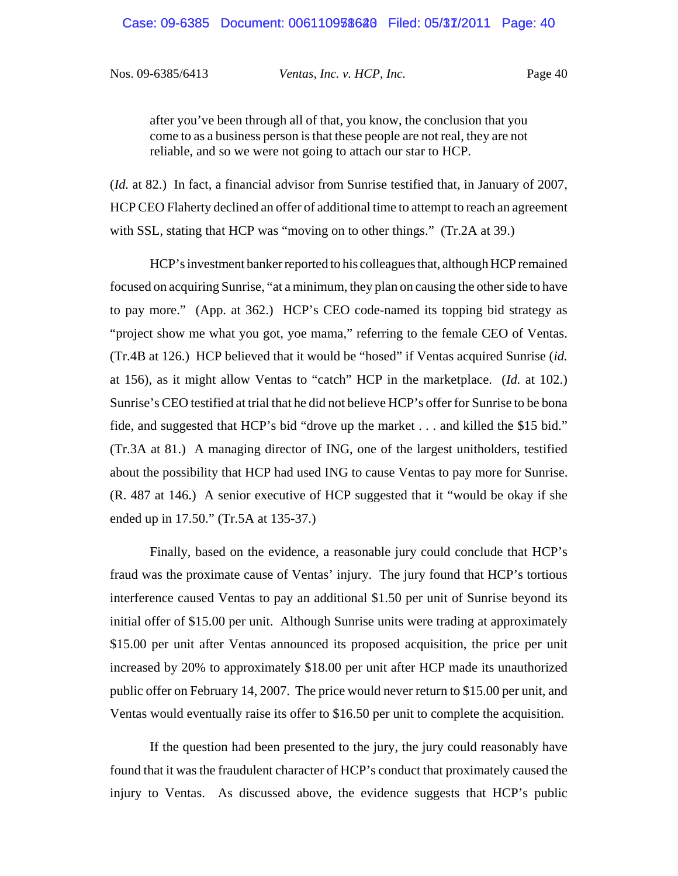after you've been through all of that, you know, the conclusion that you come to as a business person is that these people are not real, they are not reliable, and so we were not going to attach our star to HCP.

(*Id.* at 82.) In fact, a financial advisor from Sunrise testified that, in January of 2007, HCP CEO Flaherty declined an offer of additional time to attempt to reach an agreement with SSL, stating that HCP was "moving on to other things." (Tr.2A at 39.)

HCP's investment banker reported to his colleagues that, although HCP remained focused on acquiring Sunrise, "at a minimum, they plan on causing the other side to have to pay more." (App. at 362.) HCP's CEO code-named its topping bid strategy as "project show me what you got, yoe mama," referring to the female CEO of Ventas. (Tr.4B at 126.) HCP believed that it would be "hosed" if Ventas acquired Sunrise (*id.* at 156), as it might allow Ventas to "catch" HCP in the marketplace. (*Id.* at 102.) Sunrise's CEO testified at trial that he did not believe HCP's offer for Sunrise to be bona fide, and suggested that HCP's bid "drove up the market . . . and killed the \$15 bid." (Tr.3A at 81.) A managing director of ING, one of the largest unitholders, testified about the possibility that HCP had used ING to cause Ventas to pay more for Sunrise. (R. 487 at 146.) A senior executive of HCP suggested that it "would be okay if she ended up in 17.50." (Tr.5A at 135-37.)

Finally, based on the evidence, a reasonable jury could conclude that HCP's fraud was the proximate cause of Ventas' injury. The jury found that HCP's tortious interference caused Ventas to pay an additional \$1.50 per unit of Sunrise beyond its initial offer of \$15.00 per unit. Although Sunrise units were trading at approximately \$15.00 per unit after Ventas announced its proposed acquisition, the price per unit increased by 20% to approximately \$18.00 per unit after HCP made its unauthorized public offer on February 14, 2007. The price would never return to \$15.00 per unit, and Ventas would eventually raise its offer to \$16.50 per unit to complete the acquisition.

If the question had been presented to the jury, the jury could reasonably have found that it was the fraudulent character of HCP's conduct that proximately caused the injury to Ventas. As discussed above, the evidence suggests that HCP's public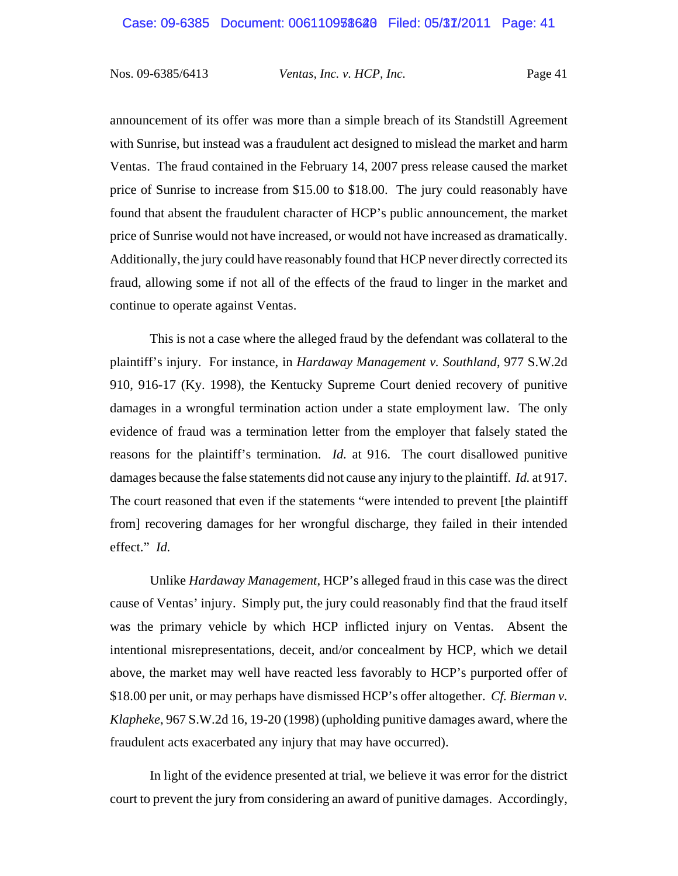announcement of its offer was more than a simple breach of its Standstill Agreement with Sunrise, but instead was a fraudulent act designed to mislead the market and harm Ventas. The fraud contained in the February 14, 2007 press release caused the market price of Sunrise to increase from \$15.00 to \$18.00. The jury could reasonably have found that absent the fraudulent character of HCP's public announcement, the market price of Sunrise would not have increased, or would not have increased as dramatically. Additionally, the jury could have reasonably found that HCP never directly corrected its fraud, allowing some if not all of the effects of the fraud to linger in the market and continue to operate against Ventas.

This is not a case where the alleged fraud by the defendant was collateral to the plaintiff's injury. For instance, in *Hardaway Management v. Southland*, 977 S.W.2d 910, 916-17 (Ky. 1998), the Kentucky Supreme Court denied recovery of punitive damages in a wrongful termination action under a state employment law. The only evidence of fraud was a termination letter from the employer that falsely stated the reasons for the plaintiff's termination. *Id.* at 916. The court disallowed punitive damages because the false statements did not cause any injury to the plaintiff. *Id.* at 917. The court reasoned that even if the statements "were intended to prevent [the plaintiff from] recovering damages for her wrongful discharge, they failed in their intended effect." *Id.*

Unlike *Hardaway Management*, HCP's alleged fraud in this case was the direct cause of Ventas' injury. Simply put, the jury could reasonably find that the fraud itself was the primary vehicle by which HCP inflicted injury on Ventas. Absent the intentional misrepresentations, deceit, and/or concealment by HCP, which we detail above, the market may well have reacted less favorably to HCP's purported offer of \$18.00 per unit, or may perhaps have dismissed HCP's offer altogether. *Cf. Bierman v. Klapheke*, 967 S.W.2d 16, 19-20 (1998) (upholding punitive damages award, where the fraudulent acts exacerbated any injury that may have occurred).

In light of the evidence presented at trial, we believe it was error for the district court to prevent the jury from considering an award of punitive damages. Accordingly,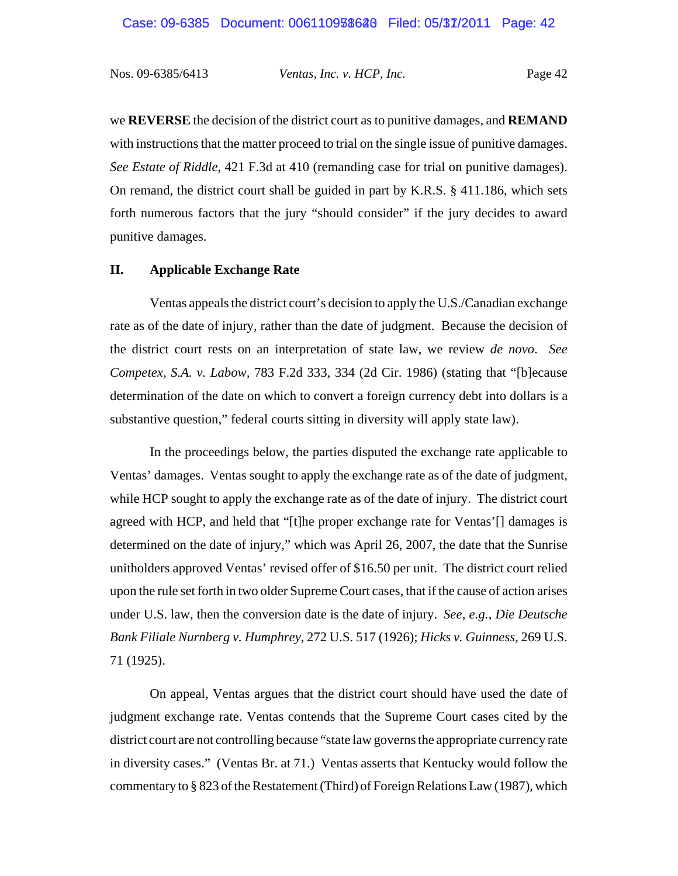we **REVERSE** the decision of the district court as to punitive damages, and **REMAND** with instructions that the matter proceed to trial on the single issue of punitive damages. *See Estate of Riddle*, 421 F.3d at 410 (remanding case for trial on punitive damages). On remand, the district court shall be guided in part by K.R.S. § 411.186, which sets forth numerous factors that the jury "should consider" if the jury decides to award punitive damages.

## **II. Applicable Exchange Rate**

Ventas appeals the district court's decision to apply the U.S./Canadian exchange rate as of the date of injury, rather than the date of judgment. Because the decision of the district court rests on an interpretation of state law, we review *de novo*. *See Competex, S.A. v. Labow,* 783 F.2d 333, 334 (2d Cir. 1986) (stating that "[b]ecause determination of the date on which to convert a foreign currency debt into dollars is a substantive question," federal courts sitting in diversity will apply state law).

In the proceedings below, the parties disputed the exchange rate applicable to Ventas' damages. Ventas sought to apply the exchange rate as of the date of judgment, while HCP sought to apply the exchange rate as of the date of injury. The district court agreed with HCP, and held that "[t]he proper exchange rate for Ventas'[] damages is determined on the date of injury," which was April 26, 2007, the date that the Sunrise unitholders approved Ventas' revised offer of \$16.50 per unit. The district court relied upon the rule set forth in two older Supreme Court cases, that if the cause of action arises under U.S. law, then the conversion date is the date of injury. *See, e.g.*, *Die Deutsche Bank Filiale Nurnberg v. Humphrey*, 272 U.S. 517 (1926); *Hicks v. Guinness*, 269 U.S. 71 (1925).

On appeal, Ventas argues that the district court should have used the date of judgment exchange rate. Ventas contends that the Supreme Court cases cited by the district court are not controlling because "state law governs the appropriate currency rate in diversity cases." (Ventas Br. at 71.) Ventas asserts that Kentucky would follow the commentary to § 823 of the Restatement (Third) of Foreign Relations Law (1987), which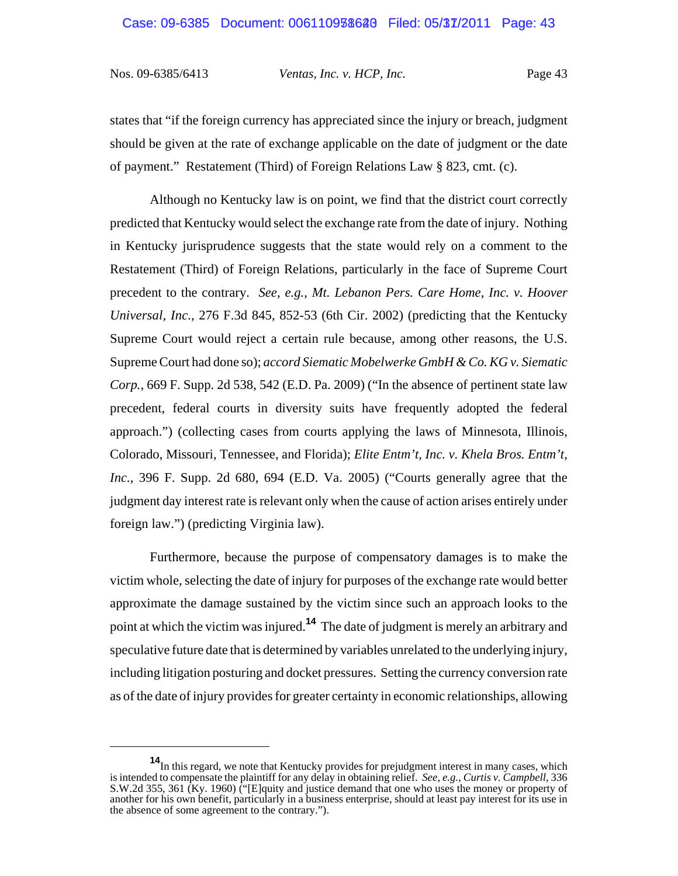states that "if the foreign currency has appreciated since the injury or breach, judgment should be given at the rate of exchange applicable on the date of judgment or the date of payment." Restatement (Third) of Foreign Relations Law § 823, cmt. (c).

Although no Kentucky law is on point, we find that the district court correctly predicted that Kentucky would select the exchange rate from the date of injury. Nothing in Kentucky jurisprudence suggests that the state would rely on a comment to the Restatement (Third) of Foreign Relations, particularly in the face of Supreme Court precedent to the contrary. *See, e.g.*, *Mt. Lebanon Pers. Care Home, Inc. v. Hoover Universal, Inc.*, 276 F.3d 845, 852-53 (6th Cir. 2002) (predicting that the Kentucky Supreme Court would reject a certain rule because, among other reasons, the U.S. Supreme Court had done so); *accord Siematic Mobelwerke GmbH & Co. KG v. Siematic Corp.*, 669 F. Supp. 2d 538, 542 (E.D. Pa. 2009) ("In the absence of pertinent state law precedent, federal courts in diversity suits have frequently adopted the federal approach.") (collecting cases from courts applying the laws of Minnesota, Illinois, Colorado, Missouri, Tennessee, and Florida); *Elite Entm't, Inc. v. Khela Bros. Entm't, Inc.*, 396 F. Supp. 2d 680, 694 (E.D. Va. 2005) ("Courts generally agree that the judgment day interest rate is relevant only when the cause of action arises entirely under foreign law.") (predicting Virginia law).

Furthermore, because the purpose of compensatory damages is to make the victim whole, selecting the date of injury for purposes of the exchange rate would better approximate the damage sustained by the victim since such an approach looks to the point at which the victim was injured.**<sup>14</sup>** The date of judgment is merely an arbitrary and speculative future date that is determined by variables unrelated to the underlying injury, including litigation posturing and docket pressures. Setting the currency conversion rate as of the date of injury provides for greater certainty in economic relationships, allowing

**<sup>14</sup>**In this regard, we note that Kentucky provides for prejudgment interest in many cases, which is intended to compensate the plaintiff for any delay in obtaining relief. *See, e.g.*, *Curtis v. Campbell*, 336 S.W.2d 355, 361 (Ky. 1960) ("[E]quity and justice demand that one who uses the money or property of another for his own benefit, particularly in a business enterprise, should at least pay interest for its use in the absence of some agreement to the contrary.").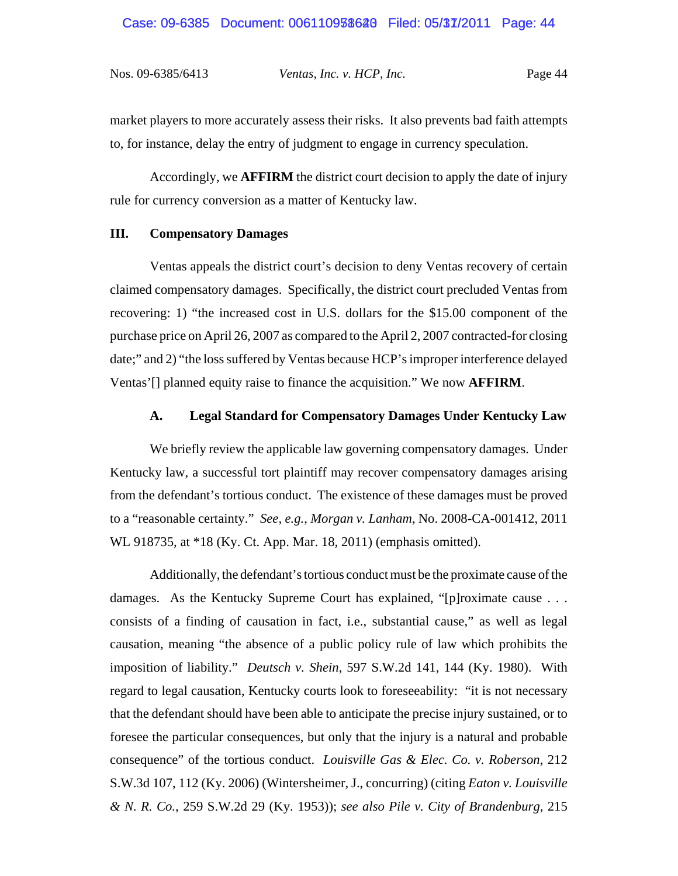market players to more accurately assess their risks. It also prevents bad faith attempts to, for instance, delay the entry of judgment to engage in currency speculation.

Accordingly, we **AFFIRM** the district court decision to apply the date of injury rule for currency conversion as a matter of Kentucky law.

#### **III. Compensatory Damages**

Ventas appeals the district court's decision to deny Ventas recovery of certain claimed compensatory damages. Specifically, the district court precluded Ventas from recovering: 1) "the increased cost in U.S. dollars for the \$15.00 component of the purchase price on April 26, 2007 as compared to the April 2, 2007 contracted-for closing date;" and 2) "the loss suffered by Ventas because HCP's improper interference delayed Ventas'[] planned equity raise to finance the acquisition." We now **AFFIRM**.

#### **A. Legal Standard for Compensatory Damages Under Kentucky Law**

We briefly review the applicable law governing compensatory damages. Under Kentucky law, a successful tort plaintiff may recover compensatory damages arising from the defendant's tortious conduct. The existence of these damages must be proved to a "reasonable certainty." *See, e.g.*, *Morgan v. Lanham*, No. 2008-CA-001412, 2011 WL 918735, at \*18 (Ky. Ct. App. Mar. 18, 2011) (emphasis omitted).

Additionally, the defendant's tortious conduct must be the proximate cause of the damages. As the Kentucky Supreme Court has explained, "[p]roximate cause . . . consists of a finding of causation in fact, i.e., substantial cause," as well as legal causation, meaning "the absence of a public policy rule of law which prohibits the imposition of liability." *Deutsch v. Shein*, 597 S.W.2d 141, 144 (Ky. 1980). With regard to legal causation, Kentucky courts look to foreseeability: "it is not necessary that the defendant should have been able to anticipate the precise injury sustained, or to foresee the particular consequences, but only that the injury is a natural and probable consequence" of the tortious conduct. *Louisville Gas & Elec. Co. v. Roberson*, 212 S.W.3d 107, 112 (Ky. 2006) (Wintersheimer, J., concurring) (citing *Eaton v. Louisville & N. R. Co.*, 259 S.W.2d 29 (Ky. 1953)); *see also Pile v. City of Brandenburg*, 215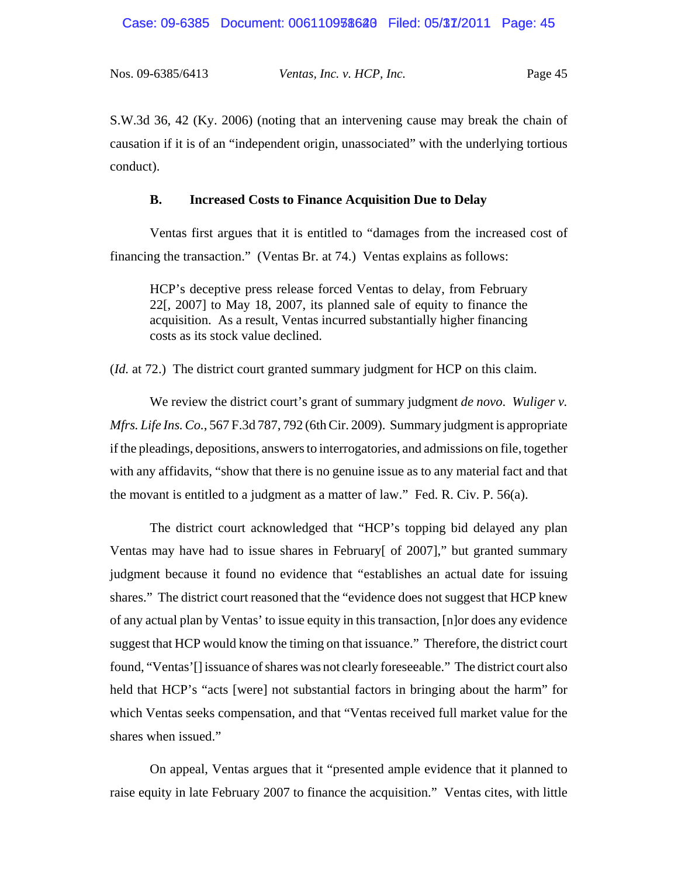S.W.3d 36, 42 (Ky. 2006) (noting that an intervening cause may break the chain of causation if it is of an "independent origin, unassociated" with the underlying tortious conduct).

#### **B. Increased Costs to Finance Acquisition Due to Delay**

Ventas first argues that it is entitled to "damages from the increased cost of financing the transaction." (Ventas Br. at 74.) Ventas explains as follows:

HCP's deceptive press release forced Ventas to delay, from February 22[, 2007] to May 18, 2007, its planned sale of equity to finance the acquisition. As a result, Ventas incurred substantially higher financing costs as its stock value declined.

(*Id.* at 72.) The district court granted summary judgment for HCP on this claim.

We review the district court's grant of summary judgment *de novo*. *Wuliger v. Mfrs. Life Ins. Co.*, 567 F.3d 787, 792 (6th Cir. 2009). Summary judgment is appropriate if the pleadings, depositions, answers to interrogatories, and admissions on file, together with any affidavits, "show that there is no genuine issue as to any material fact and that the movant is entitled to a judgment as a matter of law." Fed. R. Civ. P. 56(a).

The district court acknowledged that "HCP's topping bid delayed any plan Ventas may have had to issue shares in February[ of 2007]," but granted summary judgment because it found no evidence that "establishes an actual date for issuing shares." The district court reasoned that the "evidence does not suggest that HCP knew of any actual plan by Ventas' to issue equity in this transaction, [n]or does any evidence suggest that HCP would know the timing on that issuance." Therefore, the district court found, "Ventas'[] issuance of shares was not clearly foreseeable." The district court also held that HCP's "acts [were] not substantial factors in bringing about the harm" for which Ventas seeks compensation, and that "Ventas received full market value for the shares when issued."

On appeal, Ventas argues that it "presented ample evidence that it planned to raise equity in late February 2007 to finance the acquisition." Ventas cites, with little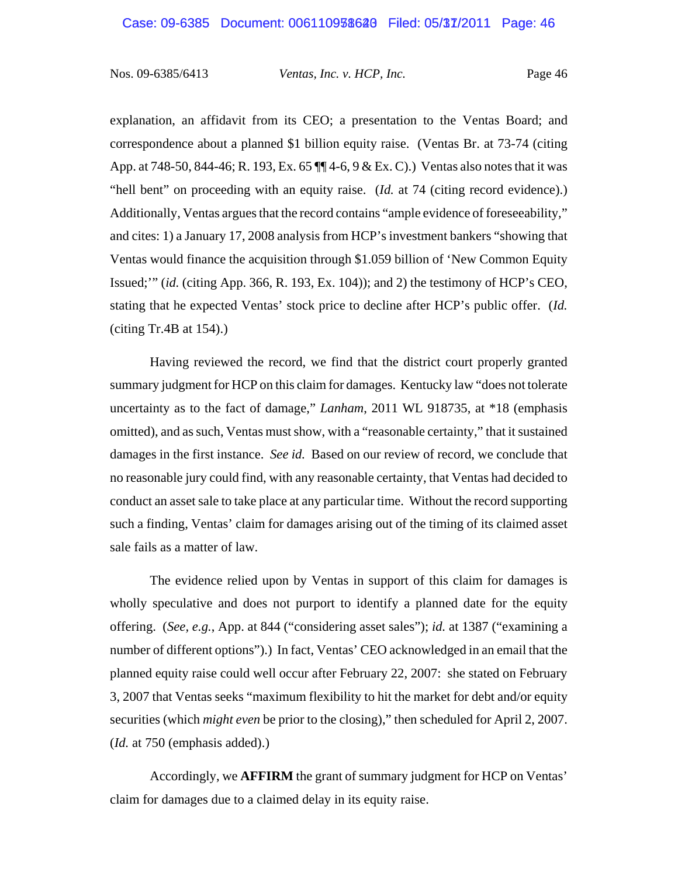explanation, an affidavit from its CEO; a presentation to the Ventas Board; and correspondence about a planned \$1 billion equity raise. (Ventas Br. at 73-74 (citing App. at 748-50, 844-46; R. 193, Ex. 65 ¶¶ 4-6, 9 & Ex. C).) Ventas also notes that it was "hell bent" on proceeding with an equity raise. (*Id.* at 74 (citing record evidence).) Additionally, Ventas argues that the record contains "ample evidence of foreseeability*,*" and cites: 1) a January 17, 2008 analysis from HCP's investment bankers "showing that Ventas would finance the acquisition through \$1.059 billion of 'New Common Equity Issued;'" (*id.* (citing App. 366, R. 193, Ex. 104)); and 2) the testimony of HCP's CEO, stating that he expected Ventas' stock price to decline after HCP's public offer. (*Id.* (citing Tr.4B at 154).)

Having reviewed the record, we find that the district court properly granted summary judgment for HCP on this claim for damages. Kentucky law "does not tolerate uncertainty as to the fact of damage," *Lanham*, 2011 WL 918735, at \*18 (emphasis omitted), and as such, Ventas must show, with a "reasonable certainty," that it sustained damages in the first instance. *See id.* Based on our review of record, we conclude that no reasonable jury could find, with any reasonable certainty, that Ventas had decided to conduct an asset sale to take place at any particular time. Without the record supporting such a finding, Ventas' claim for damages arising out of the timing of its claimed asset sale fails as a matter of law.

The evidence relied upon by Ventas in support of this claim for damages is wholly speculative and does not purport to identify a planned date for the equity offering. (*See, e.g.*, App. at 844 ("considering asset sales"); *id.* at 1387 ("examining a number of different options").) In fact, Ventas' CEO acknowledged in an email that the planned equity raise could well occur after February 22, 2007: she stated on February 3, 2007 that Ventas seeks "maximum flexibility to hit the market for debt and/or equity securities (which *might even* be prior to the closing)," then scheduled for April 2, 2007. (*Id.* at 750 (emphasis added).)

Accordingly, we **AFFIRM** the grant of summary judgment for HCP on Ventas' claim for damages due to a claimed delay in its equity raise.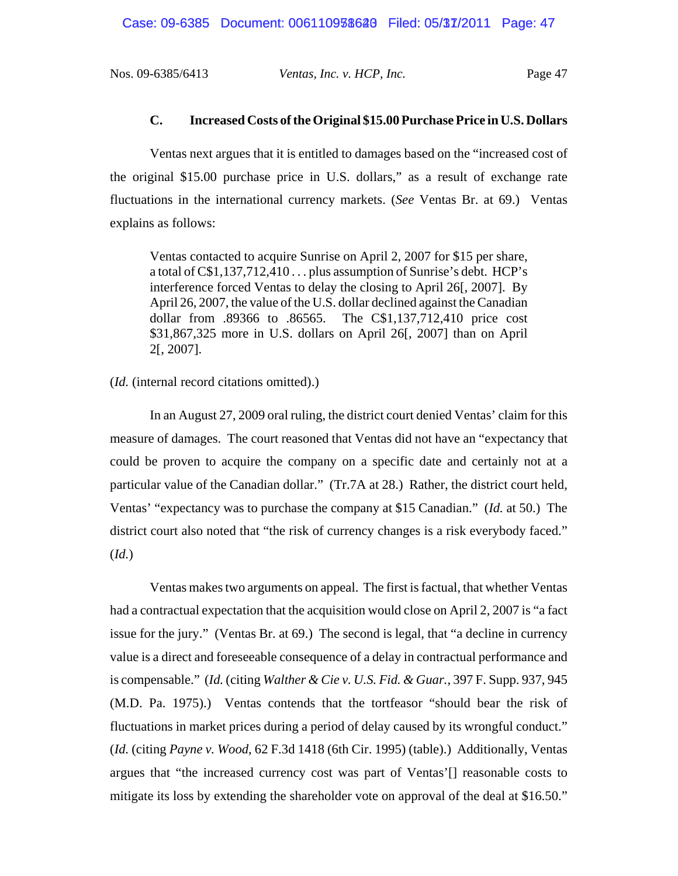### **C. Increased Costs of the Original \$15.00 Purchase Price in U.S. Dollars**

Ventas next argues that it is entitled to damages based on the "increased cost of the original \$15.00 purchase price in U.S. dollars," as a result of exchange rate fluctuations in the international currency markets. (*See* Ventas Br. at 69.) Ventas explains as follows:

Ventas contacted to acquire Sunrise on April 2, 2007 for \$15 per share, a total of C\$1,137,712,410 . . . plus assumption of Sunrise's debt. HCP's interference forced Ventas to delay the closing to April 26[, 2007]. By April 26, 2007, the value of the U.S. dollar declined against the Canadian dollar from .89366 to .86565. The C\$1,137,712,410 price cost \$31,867,325 more in U.S. dollars on April 26[, 2007] than on April 2[, 2007].

### (*Id.* (internal record citations omitted).)

In an August 27, 2009 oral ruling, the district court denied Ventas' claim for this measure of damages. The court reasoned that Ventas did not have an "expectancy that could be proven to acquire the company on a specific date and certainly not at a particular value of the Canadian dollar." (Tr.7A at 28.) Rather, the district court held, Ventas' "expectancy was to purchase the company at \$15 Canadian." (*Id.* at 50.) The district court also noted that "the risk of currency changes is a risk everybody faced." (*Id.*)

Ventas makes two arguments on appeal. The first is factual, that whether Ventas had a contractual expectation that the acquisition would close on April 2, 2007 is "a fact issue for the jury." (Ventas Br. at 69.) The second is legal, that "a decline in currency value is a direct and foreseeable consequence of a delay in contractual performance and is compensable." (*Id.* (citing *Walther & Cie v. U.S. Fid. & Guar.*, 397 F. Supp. 937, 945 (M.D. Pa. 1975).) Ventas contends that the tortfeasor "should bear the risk of fluctuations in market prices during a period of delay caused by its wrongful conduct." (*Id.* (citing *Payne v. Wood*, 62 F.3d 1418 (6th Cir. 1995) (table).) Additionally, Ventas argues that "the increased currency cost was part of Ventas'[] reasonable costs to mitigate its loss by extending the shareholder vote on approval of the deal at \$16.50."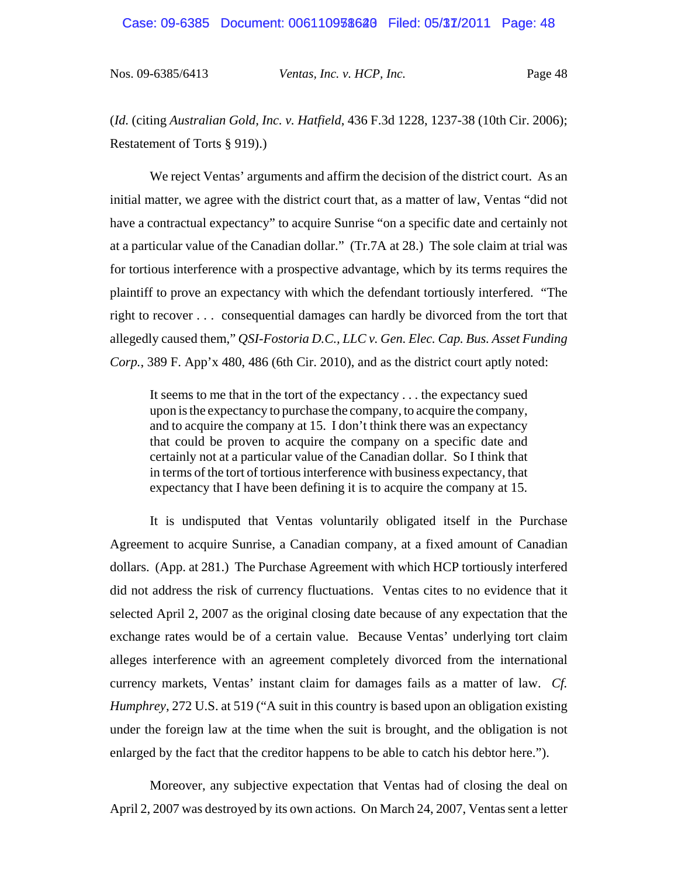(*Id.* (citing *Australian Gold, Inc. v. Hatfield*, 436 F.3d 1228, 1237-38 (10th Cir. 2006); Restatement of Torts § 919).)

We reject Ventas' arguments and affirm the decision of the district court. As an initial matter, we agree with the district court that, as a matter of law, Ventas "did not have a contractual expectancy" to acquire Sunrise "on a specific date and certainly not at a particular value of the Canadian dollar." (Tr.7A at 28.) The sole claim at trial was for tortious interference with a prospective advantage, which by its terms requires the plaintiff to prove an expectancy with which the defendant tortiously interfered. "The right to recover . . . consequential damages can hardly be divorced from the tort that allegedly caused them," *QSI-Fostoria D.C., LLC v. Gen. Elec. Cap. Bus. Asset Funding Corp.*, 389 F. App'x 480, 486 (6th Cir. 2010), and as the district court aptly noted:

It seems to me that in the tort of the expectancy . . . the expectancy sued upon is the expectancy to purchase the company, to acquire the company, and to acquire the company at 15. I don't think there was an expectancy that could be proven to acquire the company on a specific date and certainly not at a particular value of the Canadian dollar. So I think that in terms of the tort of tortious interference with business expectancy, that expectancy that I have been defining it is to acquire the company at 15.

It is undisputed that Ventas voluntarily obligated itself in the Purchase Agreement to acquire Sunrise, a Canadian company, at a fixed amount of Canadian dollars. (App. at 281.) The Purchase Agreement with which HCP tortiously interfered did not address the risk of currency fluctuations. Ventas cites to no evidence that it selected April 2, 2007 as the original closing date because of any expectation that the exchange rates would be of a certain value. Because Ventas' underlying tort claim alleges interference with an agreement completely divorced from the international currency markets, Ventas' instant claim for damages fails as a matter of law. *Cf. Humphrey*, 272 U.S. at 519 ("A suit in this country is based upon an obligation existing under the foreign law at the time when the suit is brought, and the obligation is not enlarged by the fact that the creditor happens to be able to catch his debtor here.").

Moreover, any subjective expectation that Ventas had of closing the deal on April 2, 2007 was destroyed by its own actions. On March 24, 2007, Ventas sent a letter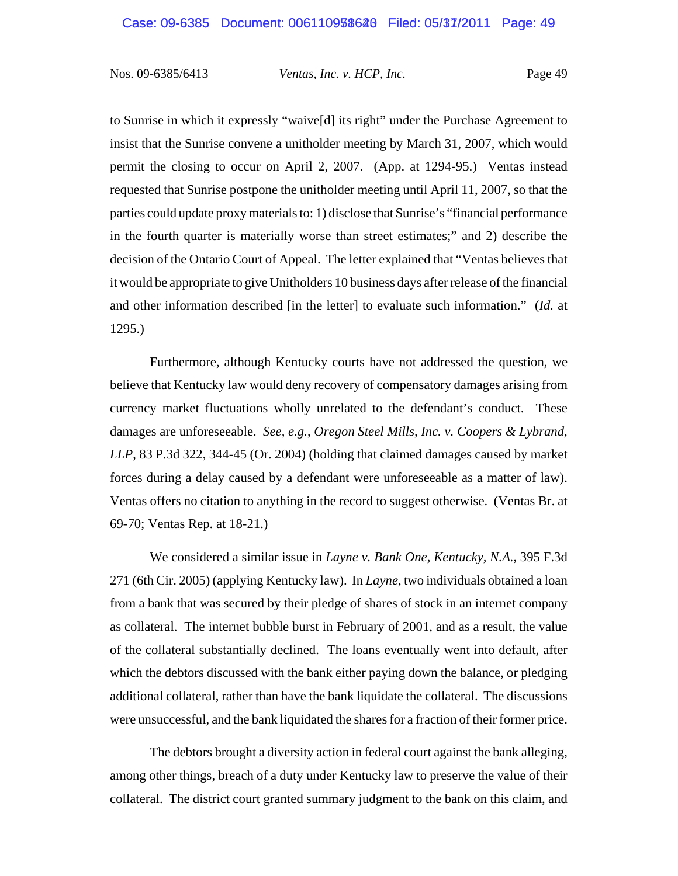to Sunrise in which it expressly "waive[d] its right" under the Purchase Agreement to insist that the Sunrise convene a unitholder meeting by March 31, 2007, which would permit the closing to occur on April 2, 2007. (App. at 1294-95.) Ventas instead requested that Sunrise postpone the unitholder meeting until April 11, 2007, so that the parties could update proxy materials to: 1) disclose that Sunrise's "financial performance in the fourth quarter is materially worse than street estimates;" and 2) describe the decision of the Ontario Court of Appeal. The letter explained that "Ventas believes that it would be appropriate to give Unitholders 10 business days after release of the financial and other information described [in the letter] to evaluate such information." (*Id.* at 1295.)

Furthermore, although Kentucky courts have not addressed the question, we believe that Kentucky law would deny recovery of compensatory damages arising from currency market fluctuations wholly unrelated to the defendant's conduct. These damages are unforeseeable. *See, e.g.*, *Oregon Steel Mills, Inc. v. Coopers & Lybrand, LLP*, 83 P.3d 322, 344-45 (Or. 2004) (holding that claimed damages caused by market forces during a delay caused by a defendant were unforeseeable as a matter of law). Ventas offers no citation to anything in the record to suggest otherwise. (Ventas Br. at 69-70; Ventas Rep. at 18-21.)

We considered a similar issue in *Layne v. Bank One, Kentucky, N.A.*, 395 F.3d 271 (6th Cir. 2005) (applying Kentucky law). In *Layne*, two individuals obtained a loan from a bank that was secured by their pledge of shares of stock in an internet company as collateral. The internet bubble burst in February of 2001, and as a result, the value of the collateral substantially declined. The loans eventually went into default, after which the debtors discussed with the bank either paying down the balance, or pledging additional collateral, rather than have the bank liquidate the collateral. The discussions were unsuccessful, and the bank liquidated the shares for a fraction of their former price.

The debtors brought a diversity action in federal court against the bank alleging, among other things, breach of a duty under Kentucky law to preserve the value of their collateral. The district court granted summary judgment to the bank on this claim, and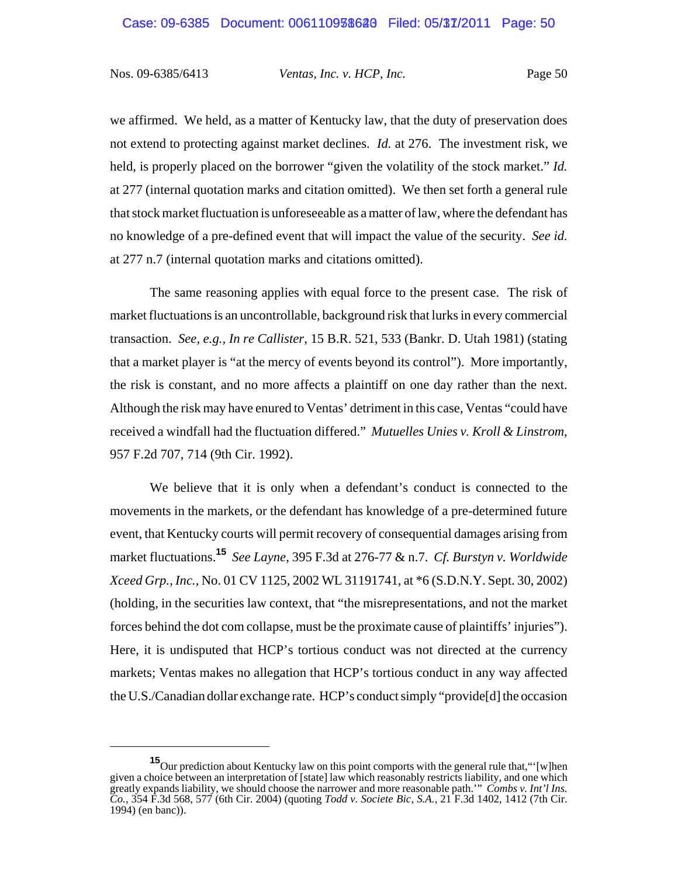Nos. 09-6385/6413 *Ventas, Inc. v. HCP, Inc.* Page 50

we affirmed. We held, as a matter of Kentucky law, that the duty of preservation does not extend to protecting against market declines. *Id.* at 276. The investment risk, we held, is properly placed on the borrower "given the volatility of the stock market." *Id.* at 277 (internal quotation marks and citation omitted). We then set forth a general rule that stock market fluctuation is unforeseeable as a matter of law, where the defendant has no knowledge of a pre-defined event that will impact the value of the security. *See id.* at 277 n.7 (internal quotation marks and citations omitted).

The same reasoning applies with equal force to the present case. The risk of market fluctuations is an uncontrollable, background risk that lurks in every commercial transaction. *See, e.g., In re Callister*, 15 B.R. 521, 533 (Bankr. D. Utah 1981) (stating that a market player is "at the mercy of events beyond its control"). More importantly, the risk is constant, and no more affects a plaintiff on one day rather than the next. Although the risk may have enured to Ventas' detriment in this case, Ventas "could have received a windfall had the fluctuation differed." *Mutuelles Unies v. Kroll & Linstrom*, 957 F.2d 707, 714 (9th Cir. 1992).

We believe that it is only when a defendant's conduct is connected to the movements in the markets, or the defendant has knowledge of a pre-determined future event, that Kentucky courts will permit recovery of consequential damages arising from market fluctuations.**<sup>15</sup>** *See Layne*, 395 F.3d at 276-77 & n.7. *Cf. Burstyn v. Worldwide Xceed Grp., Inc.,* No. 01 CV 1125, 2002 WL 31191741, at \*6 (S.D.N.Y. Sept. 30, 2002) (holding, in the securities law context, that "the misrepresentations, and not the market forces behind the dot com collapse, must be the proximate cause of plaintiffs' injuries"). Here, it is undisputed that HCP's tortious conduct was not directed at the currency markets; Ventas makes no allegation that HCP's tortious conduct in any way affected the U.S./Canadian dollar exchange rate. HCP's conduct simply "provide[d] the occasion

**<sup>15</sup>**Our prediction about Kentucky law on this point comports with the general rule that,"'[w]hen given a choice between an interpretation of [state] law which reasonably restricts liability, and one which greatly expands liability, we should choose the narrower and more reasonable path.'" *Combs v. Int'l Ins. Co.*, 354 F.3d 568, 577 (6th Cir. 2004) (quoting *Todd v. Societe Bic, S.A.*, 21 F.3d 1402, 1412 (7th Cir. 1994) (en banc)).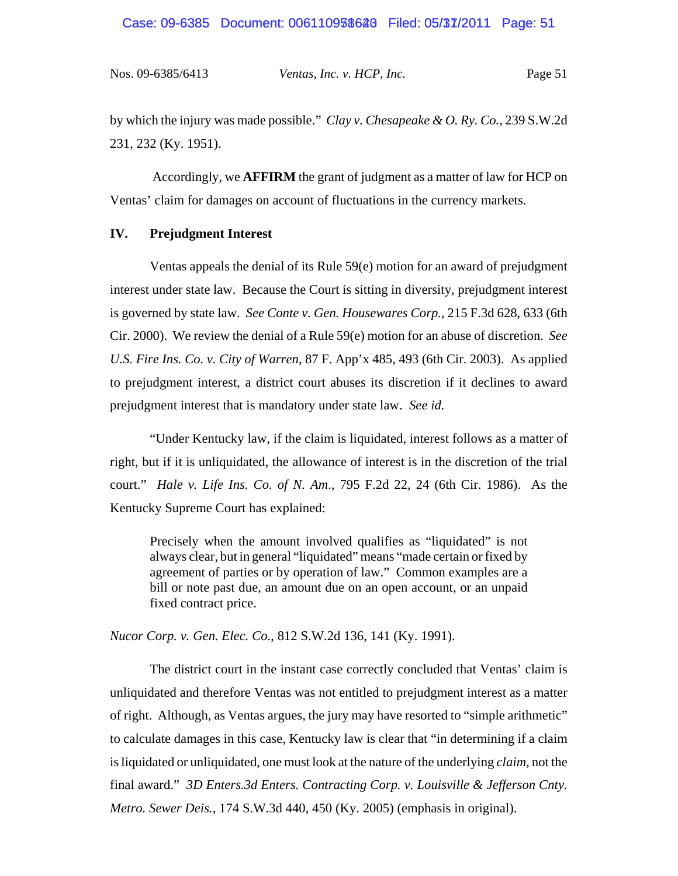# Case: 09-6385 Document: 006110938628 Filed: 05/37/2011 Page: 51

Nos. 09-6385/6413 *Ventas, Inc. v. HCP, Inc.* Page 51

by which the injury was made possible." *Clay v. Chesapeake & O. Ry. Co.*, 239 S.W.2d 231, 232 (Ky. 1951).

 Accordingly, we **AFFIRM** the grant of judgment as a matter of law for HCP on Ventas' claim for damages on account of fluctuations in the currency markets.

# **IV. Prejudgment Interest**

Ventas appeals the denial of its Rule 59(e) motion for an award of prejudgment interest under state law. Because the Court is sitting in diversity, prejudgment interest is governed by state law. *See Conte v. Gen. Housewares Corp.*, 215 F.3d 628, 633 (6th Cir. 2000). We review the denial of a Rule 59(e) motion for an abuse of discretion. *See U.S. Fire Ins. Co. v. City of Warren*, 87 F. App'x 485, 493 (6th Cir. 2003). As applied to prejudgment interest, a district court abuses its discretion if it declines to award prejudgment interest that is mandatory under state law. *See id.* 

"Under Kentucky law, if the claim is liquidated, interest follows as a matter of right, but if it is unliquidated, the allowance of interest is in the discretion of the trial court." *Hale v. Life Ins. Co. of N. Am*., 795 F.2d 22, 24 (6th Cir. 1986). As the Kentucky Supreme Court has explained:

Precisely when the amount involved qualifies as "liquidated" is not always clear, but in general "liquidated" means "made certain or fixed by agreement of parties or by operation of law." Common examples are a bill or note past due, an amount due on an open account, or an unpaid fixed contract price.

*Nucor Corp. v. Gen. Elec. Co.*, 812 S.W.2d 136, 141 (Ky. 1991).

The district court in the instant case correctly concluded that Ventas' claim is unliquidated and therefore Ventas was not entitled to prejudgment interest as a matter of right. Although, as Ventas argues, the jury may have resorted to "simple arithmetic" to calculate damages in this case, Kentucky law is clear that "in determining if a claim is liquidated or unliquidated, one must look at the nature of the underlying *claim*, not the final award." *3D Enters.3d Enters. Contracting Corp. v. Louisville & Jefferson Cnty. Metro. Sewer Deis.*, 174 S.W.3d 440, 450 (Ky. 2005) (emphasis in original).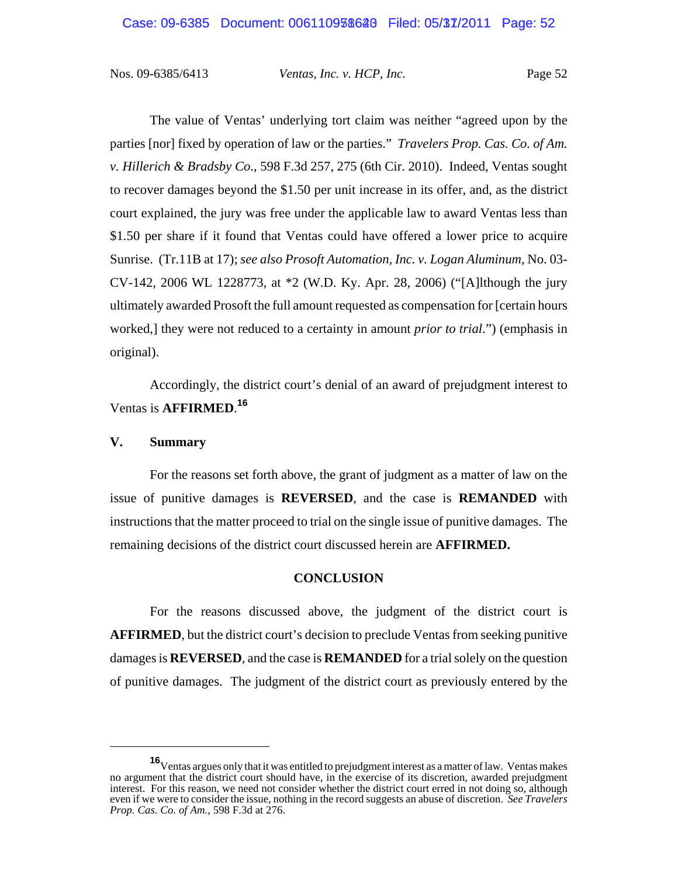Nos. 09-6385/6413 *Ventas, Inc. v. HCP, Inc.* Page 52

The value of Ventas' underlying tort claim was neither "agreed upon by the parties [nor] fixed by operation of law or the parties." *Travelers Prop. Cas. Co. of Am. v. Hillerich & Bradsby Co.*, 598 F.3d 257, 275 (6th Cir. 2010). Indeed, Ventas sought to recover damages beyond the \$1.50 per unit increase in its offer, and, as the district court explained, the jury was free under the applicable law to award Ventas less than \$1.50 per share if it found that Ventas could have offered a lower price to acquire Sunrise. (Tr.11B at 17); *see also Prosoft Automation, Inc. v. Logan Aluminum*, No. 03- CV-142, 2006 WL 1228773, at \*2 (W.D. Ky. Apr. 28, 2006) ("[A]lthough the jury ultimately awarded Prosoft the full amount requested as compensation for [certain hours worked,] they were not reduced to a certainty in amount *prior to trial*.") (emphasis in original).

Accordingly, the district court's denial of an award of prejudgment interest to Ventas is **AFFIRMED**. **16**

# **V. Summary**

For the reasons set forth above, the grant of judgment as a matter of law on the issue of punitive damages is **REVERSED**, and the case is **REMANDED** with instructions that the matter proceed to trial on the single issue of punitive damages. The remaining decisions of the district court discussed herein are **AFFIRMED.**

## **CONCLUSION**

For the reasons discussed above, the judgment of the district court is **AFFIRMED**, but the district court's decision to preclude Ventas from seeking punitive damages is **REVERSED**, and the case is **REMANDED** for a trial solely on the question of punitive damages. The judgment of the district court as previously entered by the

**<sup>16</sup>**Ventas argues only that it was entitled to prejudgment interest as a matter of law. Ventas makes no argument that the district court should have, in the exercise of its discretion, awarded prejudgment interest. For this reason, we need not consider whether the district court erred in not doing so, although even if we were to consider the issue, nothing in the record suggests an abuse of discretion. *See Travelers Prop. Cas. Co. of Am.*, 598 F.3d at 276.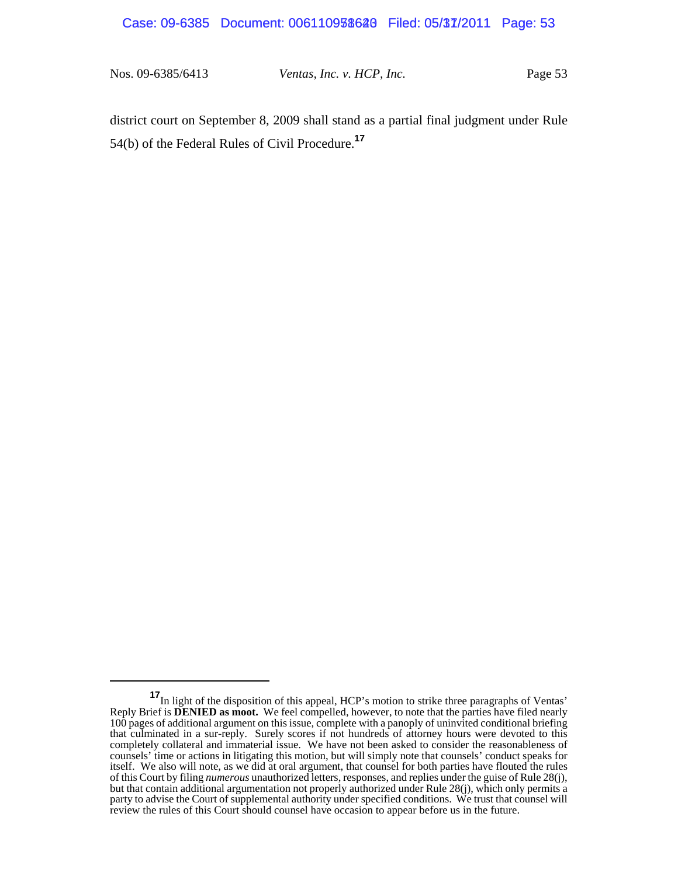# Case: 09-6385 Document: 006110938628 Filed: 05/37/2011 Page: 53

Nos. 09-6385/6413 *Ventas, Inc. v. HCP, Inc.* Page 53

district court on September 8, 2009 shall stand as a partial final judgment under Rule 54(b) of the Federal Rules of Civil Procedure.**<sup>17</sup>**

**<sup>17</sup>**In light of the disposition of this appeal, HCP's motion to strike three paragraphs of Ventas' Reply Brief is **DENIED as moot.** We feel compelled, however, to note that the parties have filed nearly 100 pages of additional argument on this issue, complete with a panoply of uninvited conditional briefing that culminated in a sur-reply. Surely scores if not hundreds of attorney hours were devoted to this completely collateral and immaterial issue. We have not been asked to consider the reasonableness of counsels' time or actions in litigating this motion, but will simply note that counsels' conduct speaks for itself. We also will note, as we did at oral argument, that counsel for both parties have flouted the rules of this Court by filing *numerous* unauthorized letters, responses, and replies under the guise of Rule 28(j), but that contain additional argumentation not properly authorized under Rule 28(j), which only permits a party to advise the Court of supplemental authority under specified conditions. We trust that counsel will review the rules of this Court should counsel have occasion to appear before us in the future.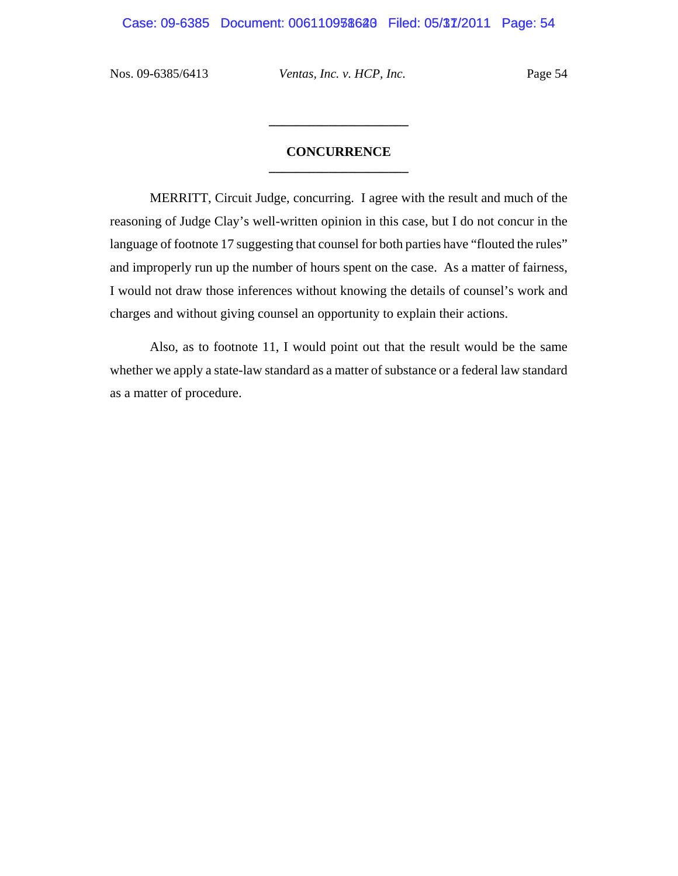Nos. 09-6385/6413 *Ventas, Inc. v. HCP, Inc.* Page 54

# **CONCURRENCE \_\_\_\_\_\_\_\_\_\_\_\_\_\_\_\_\_\_\_\_\_**

**\_\_\_\_\_\_\_\_\_\_\_\_\_\_\_\_\_\_\_\_\_**

MERRITT, Circuit Judge, concurring. I agree with the result and much of the reasoning of Judge Clay's well-written opinion in this case, but I do not concur in the language of footnote 17 suggesting that counsel for both parties have "flouted the rules" and improperly run up the number of hours spent on the case. As a matter of fairness, I would not draw those inferences without knowing the details of counsel's work and charges and without giving counsel an opportunity to explain their actions.

Also, as to footnote 11, I would point out that the result would be the same whether we apply a state-law standard as a matter of substance or a federal law standard as a matter of procedure.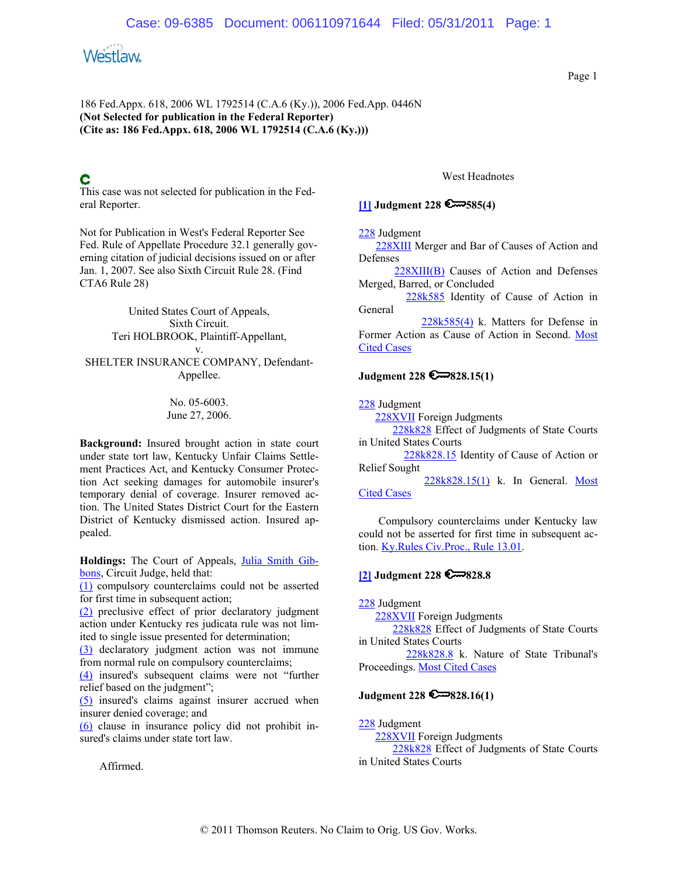

This case was not selected for publication in the Federal Reporter.

Not for Publication in West's Federal Reporter See Fed. Rule of Appellate Procedure 32.1 generally governing citation of judicial decisions issued on or after Jan. 1, 2007. See also Sixth Circuit Rule 28. (Find CTA6 Rule 28)

United States Court of Appeals, Sixth Circuit. Teri HOLBROOK, Plaintiff-Appellant, v. SHELTER INSURANCE COMPANY, Defendant-Appellee.

> No. 05-6003. June 27, 2006.

**Background:** Insured brought action in state court under state tort law, Kentucky Unfair Claims Settlement Practices Act, and Kentucky Consumer Protection Act seeking damages for automobile insurer's temporary denial of coverage. Insurer removed action. The United States District Court for the Eastern District of Kentucky dismissed action. Insured appealed.

**Holdings:** The Court of Appeals, Julia Smith Gibbons, Circuit Judge, held that:

(1) compulsory counterclaims could not be asserted for first time in subsequent action;

(2) preclusive effect of prior declaratory judgment action under Kentucky res judicata rule was not limited to single issue presented for determination;

(3) declaratory judgment action was not immune from normal rule on compulsory counterclaims;

(4) insured's subsequent claims were not "further relief based on the judgment";

(5) insured's claims against insurer accrued when insurer denied coverage; and

(6) clause in insurance policy did not prohibit insured's claims under state tort law.

Affirmed.

West Headnotes

**[1] Judgment 228 585(4)**

228 Judgment

 228XIII Merger and Bar of Causes of Action and Defenses

 228XIII(B) Causes of Action and Defenses Merged, Barred, or Concluded

 228k585 Identity of Cause of Action in General

228k585(4) k. Matters for Defense in Former Action as Cause of Action in Second. Most **Cited Cases** 

## **Judgment 228 828.15(1)**

228 Judgment

228XVII Foreign Judgments

228k828 Effect of Judgments of State Courts in United States Courts

 228k828.15 Identity of Cause of Action or Relief Sought

228k828.15(1) k. In General. Most Cited Cases

Compulsory counterclaims under Kentucky law could not be asserted for first time in subsequent action. Ky.Rules Civ.Proc., Rule 13.01.

# **[2] Judgment 228 6228.8**

228 Judgment

228XVII Foreign Judgments

 228k828 Effect of Judgments of State Courts in United States Courts

228k828.8 k. Nature of State Tribunal's Proceedings. Most Cited Cases

## **Judgment 228 828.16(1)**

228 Judgment 228XVII Foreign Judgments 228k828 Effect of Judgments of State Courts in United States Courts

Page 1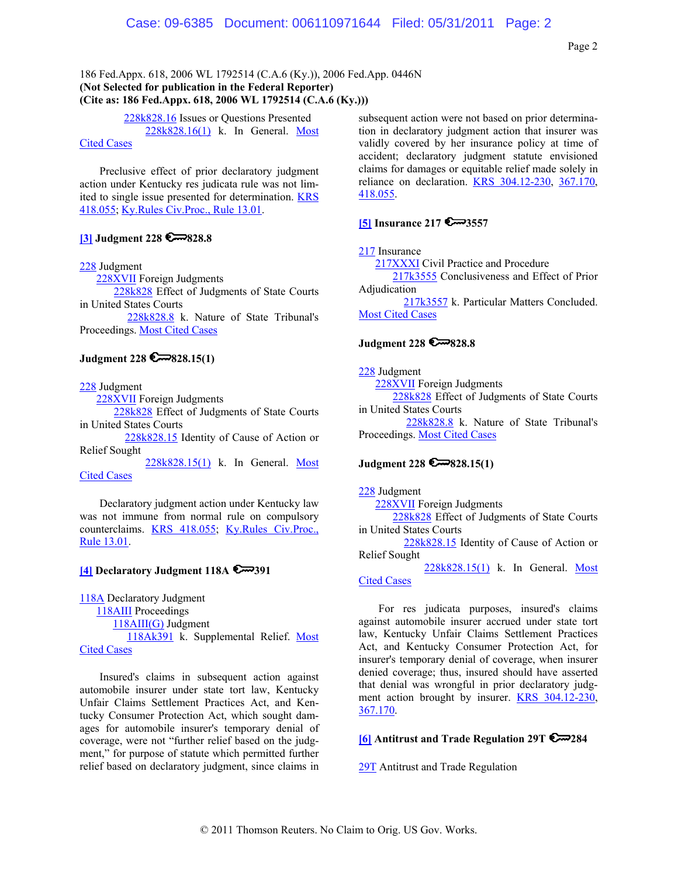Page 2

186 Fed.Appx. 618, 2006 WL 1792514 (C.A.6 (Ky.)), 2006 Fed.App. 0446N **(Not Selected for publication in the Federal Reporter) (Cite as: 186 Fed.Appx. 618, 2006 WL 1792514 (C.A.6 (Ky.)))**

> 228k828.16 Issues or Questions Presented 228k828.16(1) k. In General. Most

## Cited Cases

Preclusive effect of prior declaratory judgment action under Kentucky res judicata rule was not limited to single issue presented for determination. KRS 418.055; Ky.Rules Civ.Proc., Rule 13.01.

# **[3] Judgment 228 6208.8**

#### 228 Judgment

228XVII Foreign Judgments

 228k828 Effect of Judgments of State Courts in United States Courts

 228k828.8 k. Nature of State Tribunal's Proceedings. Most Cited Cases

## **Judgment 228 828.15(1)**

228 Judgment

228XVII Foreign Judgments

 228k828 Effect of Judgments of State Courts in United States Courts

 228k828.15 Identity of Cause of Action or Relief Sought

 228k828.15(1) k. In General. Most Cited Cases

Declaratory judgment action under Kentucky law was not immune from normal rule on compulsory counterclaims. KRS 418.055; Ky.Rules Civ.Proc., Rule 13.01.

### **[4] Declaratory Judgment 118A 391**

118A Declaratory Judgment

118AIII Proceedings

 118AIII(G) Judgment 118Ak391 k. Supplemental Relief. Most **Cited Cases** 

Insured's claims in subsequent action against automobile insurer under state tort law, Kentucky Unfair Claims Settlement Practices Act, and Kentucky Consumer Protection Act, which sought damages for automobile insurer's temporary denial of coverage, were not "further relief based on the judgment," for purpose of statute which permitted further relief based on declaratory judgment, since claims in

subsequent action were not based on prior determination in declaratory judgment action that insurer was validly covered by her insurance policy at time of accident; declaratory judgment statute envisioned claims for damages or equitable relief made solely in reliance on declaration. KRS 304.12-230, 367.170, 418.055.

## **[5] Insurance 217 6** 3557

217 Insurance

 217XXXI Civil Practice and Procedure 217k3555 Conclusiveness and Effect of Prior Adjudication 217k3557 k. Particular Matters Concluded.

Most Cited Cases

## **Judgment 228 828.8**

228 Judgment 228XVII Foreign Judgments 228k828 Effect of Judgments of State Courts in United States Courts 228k828.8 k. Nature of State Tribunal's Proceedings. Most Cited Cases

### **Judgment 228 828.15(1)**

228 Judgment

228XVII Foreign Judgments

228k828 Effect of Judgments of State Courts in United States Courts

 228k828.15 Identity of Cause of Action or Relief Sought

 228k828.15(1) k. In General. Most Cited Cases

For res judicata purposes, insured's claims against automobile insurer accrued under state tort law, Kentucky Unfair Claims Settlement Practices Act, and Kentucky Consumer Protection Act, for insurer's temporary denial of coverage, when insurer denied coverage; thus, insured should have asserted that denial was wrongful in prior declaratory judgment action brought by insurer. **KRS 304.12-230**, 367.170.

# **[6] Antitrust and Trade Regulation 29T 6**284

**29T** Antitrust and Trade Regulation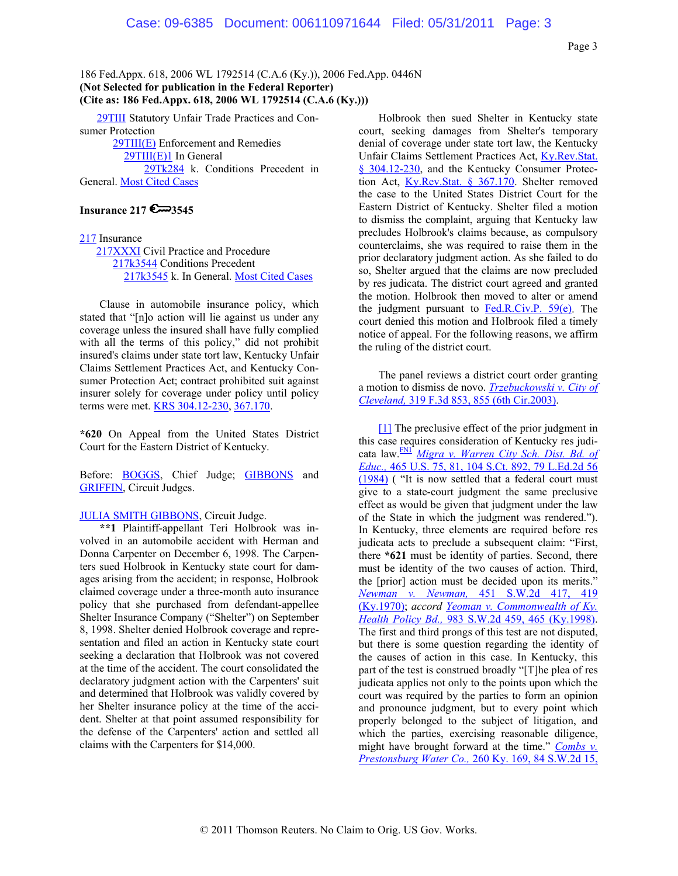**29TIII** Statutory Unfair Trade Practices and Consumer Protection 29TIII(E) Enforcement and Remedies

 29TIII(E)1 In General 29Tk284 k. Conditions Precedent in General. Most Cited Cases

#### **Insurance 217 3545**

#### 217 Insurance

 217XXXI Civil Practice and Procedure 217k3544 Conditions Precedent 217k3545 k. In General. Most Cited Cases

Clause in automobile insurance policy, which stated that "[n]o action will lie against us under any coverage unless the insured shall have fully complied with all the terms of this policy," did not prohibit insured's claims under state tort law, Kentucky Unfair Claims Settlement Practices Act, and Kentucky Consumer Protection Act; contract prohibited suit against insurer solely for coverage under policy until policy terms were met. KRS 304.12-230, 367.170.

**\*620** On Appeal from the United States District Court for the Eastern District of Kentucky.

Before: BOGGS, Chief Judge; GIBBONS and GRIFFIN, Circuit Judges.

#### **JULIA SMITH GIBBONS**, Circuit Judge.

**\*\*1** Plaintiff-appellant Teri Holbrook was involved in an automobile accident with Herman and Donna Carpenter on December 6, 1998. The Carpenters sued Holbrook in Kentucky state court for damages arising from the accident; in response, Holbrook claimed coverage under a three-month auto insurance policy that she purchased from defendant-appellee Shelter Insurance Company ("Shelter") on September 8, 1998. Shelter denied Holbrook coverage and representation and filed an action in Kentucky state court seeking a declaration that Holbrook was not covered at the time of the accident. The court consolidated the declaratory judgment action with the Carpenters' suit and determined that Holbrook was validly covered by her Shelter insurance policy at the time of the accident. Shelter at that point assumed responsibility for the defense of the Carpenters' action and settled all claims with the Carpenters for \$14,000.

Holbrook then sued Shelter in Kentucky state court, seeking damages from Shelter's temporary denial of coverage under state tort law, the Kentucky Unfair Claims Settlement Practices Act, Ky.Rev.Stat. § 304.12-230, and the Kentucky Consumer Protection Act, Ky.Rev.Stat. § 367.170. Shelter removed the case to the United States District Court for the Eastern District of Kentucky. Shelter filed a motion to dismiss the complaint, arguing that Kentucky law precludes Holbrook's claims because, as compulsory counterclaims, she was required to raise them in the prior declaratory judgment action. As she failed to do so, Shelter argued that the claims are now precluded by res judicata. The district court agreed and granted the motion. Holbrook then moved to alter or amend the judgment pursuant to Fed.R.Civ.P. 59(e). The court denied this motion and Holbrook filed a timely notice of appeal. For the following reasons, we affirm the ruling of the district court.

The panel reviews a district court order granting a motion to dismiss de novo. *Trzebuckowski v. City of Cleveland,* 319 F.3d 853, 855 (6th Cir.2003).

[1] The preclusive effect of the prior judgment in this case requires consideration of Kentucky res judicata law.FN1 *Migra v. Warren City Sch. Dist. Bd. of Educ.,* 465 U.S. 75, 81, 104 S.Ct. 892, 79 L.Ed.2d 56 (1984) ( "It is now settled that a federal court must give to a state-court judgment the same preclusive effect as would be given that judgment under the law of the State in which the judgment was rendered."). In Kentucky, three elements are required before res judicata acts to preclude a subsequent claim: "First, there **\*621** must be identity of parties. Second, there must be identity of the two causes of action. Third, the [prior] action must be decided upon its merits." *Newman v. Newman,* 451 S.W.2d 417, 419 (Ky.1970); *accord Yeoman v. Commonwealth of Ky. Health Policy Bd.,* 983 S.W.2d 459, 465 (Ky.1998). The first and third prongs of this test are not disputed, but there is some question regarding the identity of the causes of action in this case. In Kentucky, this part of the test is construed broadly "[T]he plea of res judicata applies not only to the points upon which the court was required by the parties to form an opinion and pronounce judgment, but to every point which properly belonged to the subject of litigation, and which the parties, exercising reasonable diligence, might have brought forward at the time." *Combs v. Prestonsburg Water Co.,* 260 Ky. 169, 84 S.W.2d 15,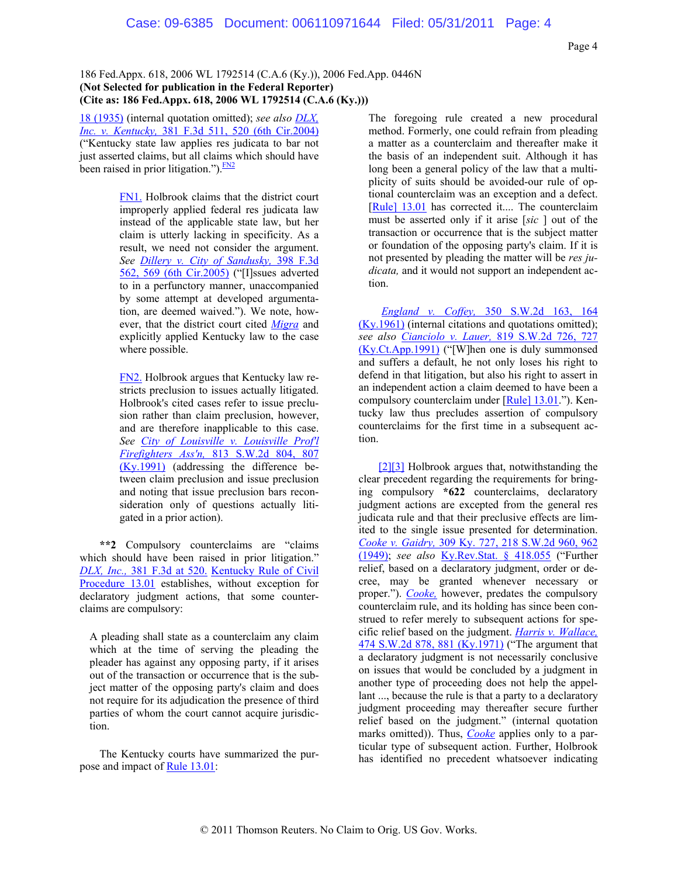18 (1935) (internal quotation omitted); *see also DLX, Inc. v. Kentucky,* 381 F.3d 511, 520 (6th Cir.2004) ("Kentucky state law applies res judicata to bar not just asserted claims, but all claims which should have been raised in prior litigation."). $\frac{FN2}{FN}$ 

> FN1. Holbrook claims that the district court improperly applied federal res judicata law instead of the applicable state law, but her claim is utterly lacking in specificity. As a result, we need not consider the argument. *See Dillery v. City of Sandusky,* 398 F.3d 562, 569 (6th Cir.2005) ("[I]ssues adverted to in a perfunctory manner, unaccompanied by some attempt at developed argumentation, are deemed waived."). We note, however, that the district court cited *Migra* and explicitly applied Kentucky law to the case where possible.

> FN2. Holbrook argues that Kentucky law restricts preclusion to issues actually litigated. Holbrook's cited cases refer to issue preclusion rather than claim preclusion, however, and are therefore inapplicable to this case. *See City of Louisville v. Louisville Prof'l Firefighters Ass'n,* 813 S.W.2d 804, 807 (Ky.1991) (addressing the difference between claim preclusion and issue preclusion and noting that issue preclusion bars reconsideration only of questions actually litigated in a prior action).

**\*\*2** Compulsory counterclaims are "claims which should have been raised in prior litigation." *DLX, Inc.,* 381 F.3d at 520. Kentucky Rule of Civil Procedure 13.01 establishes, without exception for declaratory judgment actions, that some counterclaims are compulsory:

A pleading shall state as a counterclaim any claim which at the time of serving the pleading the pleader has against any opposing party, if it arises out of the transaction or occurrence that is the subject matter of the opposing party's claim and does not require for its adjudication the presence of third parties of whom the court cannot acquire jurisdiction.

The Kentucky courts have summarized the purpose and impact of Rule 13.01:

The foregoing rule created a new procedural method. Formerly, one could refrain from pleading a matter as a counterclaim and thereafter make it the basis of an independent suit. Although it has long been a general policy of the law that a multiplicity of suits should be avoided-our rule of optional counterclaim was an exception and a defect. [Rule] 13.01 has corrected it.... The counterclaim must be asserted only if it arise [*sic* ] out of the transaction or occurrence that is the subject matter or foundation of the opposing party's claim. If it is not presented by pleading the matter will be *res judicata,* and it would not support an independent action.

*England v. Coffey,* 350 S.W.2d 163, 164  $(Ky.1961)$  (internal citations and quotations omitted); *see also Cianciolo v. Lauer,* 819 S.W.2d 726, 727 (Ky.Ct.App.1991) ("[W]hen one is duly summonsed and suffers a default, he not only loses his right to defend in that litigation, but also his right to assert in an independent action a claim deemed to have been a compulsory counterclaim under [Rule] 13.01."). Kentucky law thus precludes assertion of compulsory counterclaims for the first time in a subsequent action.

[2][3] Holbrook argues that, notwithstanding the clear precedent regarding the requirements for bringing compulsory **\*622** counterclaims, declaratory judgment actions are excepted from the general res judicata rule and that their preclusive effects are limited to the single issue presented for determination. *Cooke v. Gaidry,* 309 Ky. 727, 218 S.W.2d 960, 962 (1949); *see also* Ky.Rev.Stat. § 418.055 ("Further relief, based on a declaratory judgment, order or decree, may be granted whenever necessary or proper."). *Cooke,* however, predates the compulsory counterclaim rule, and its holding has since been construed to refer merely to subsequent actions for specific relief based on the judgment. *Harris v. Wallace,* 474 S.W.2d 878, 881 (Ky.1971) ("The argument that a declaratory judgment is not necessarily conclusive on issues that would be concluded by a judgment in another type of proceeding does not help the appellant ..., because the rule is that a party to a declaratory judgment proceeding may thereafter secure further relief based on the judgment." (internal quotation marks omitted)). Thus, *Cooke* applies only to a particular type of subsequent action. Further, Holbrook has identified no precedent whatsoever indicating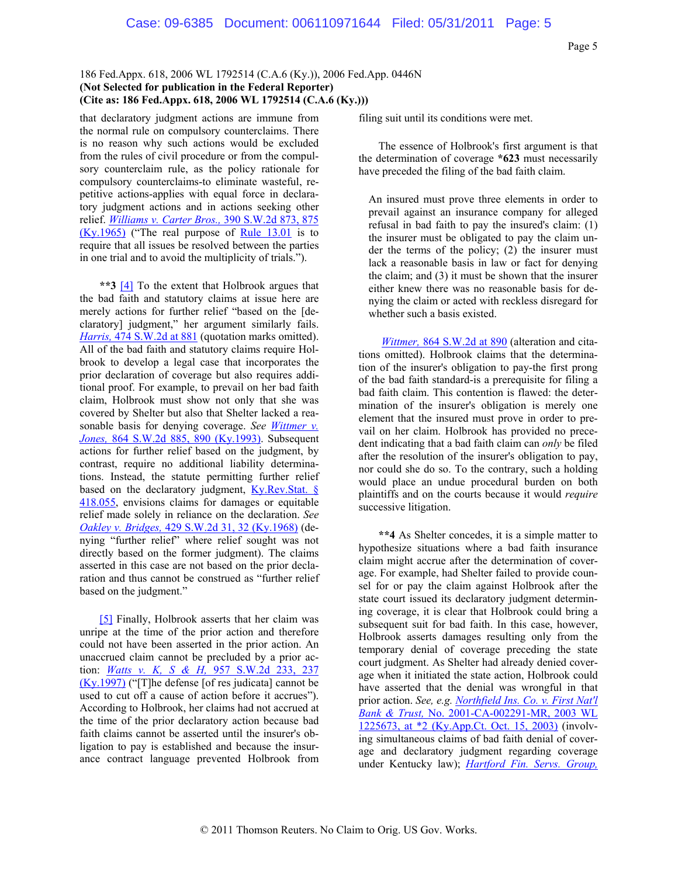that declaratory judgment actions are immune from the normal rule on compulsory counterclaims. There is no reason why such actions would be excluded from the rules of civil procedure or from the compulsory counterclaim rule, as the policy rationale for compulsory counterclaims-to eliminate wasteful, repetitive actions-applies with equal force in declaratory judgment actions and in actions seeking other relief. *Williams v. Carter Bros.,* 390 S.W.2d 873, 875 (Ky.1965) ("The real purpose of Rule 13.01 is to require that all issues be resolved between the parties in one trial and to avoid the multiplicity of trials.").

**\*\*3** [4] To the extent that Holbrook argues that the bad faith and statutory claims at issue here are merely actions for further relief "based on the [declaratory] judgment," her argument similarly fails. *Harris,* 474 S.W.2d at 881 (quotation marks omitted). All of the bad faith and statutory claims require Holbrook to develop a legal case that incorporates the prior declaration of coverage but also requires additional proof. For example, to prevail on her bad faith claim, Holbrook must show not only that she was covered by Shelter but also that Shelter lacked a reasonable basis for denying coverage. *See Wittmer v. Jones,* 864 S.W.2d 885, 890 (Ky.1993). Subsequent actions for further relief based on the judgment, by contrast, require no additional liability determinations. Instead, the statute permitting further relief based on the declaratory judgment,  $Ky$ . Rev. Stat. § 418.055, envisions claims for damages or equitable relief made solely in reliance on the declaration. *See Oakley v. Bridges,* 429 S.W.2d 31, 32 (Ky.1968) (denying "further relief" where relief sought was not directly based on the former judgment). The claims asserted in this case are not based on the prior declaration and thus cannot be construed as "further relief based on the judgment."

[5] Finally, Holbrook asserts that her claim was unripe at the time of the prior action and therefore could not have been asserted in the prior action. An unaccrued claim cannot be precluded by a prior action: *Watts v. K, S & H,* 957 S.W.2d 233, 237 (Ky.1997) ("[T]he defense [of res judicata] cannot be used to cut off a cause of action before it accrues"). According to Holbrook, her claims had not accrued at the time of the prior declaratory action because bad faith claims cannot be asserted until the insurer's obligation to pay is established and because the insurance contract language prevented Holbrook from

filing suit until its conditions were met.

The essence of Holbrook's first argument is that the determination of coverage **\*623** must necessarily have preceded the filing of the bad faith claim.

An insured must prove three elements in order to prevail against an insurance company for alleged refusal in bad faith to pay the insured's claim: (1) the insurer must be obligated to pay the claim under the terms of the policy; (2) the insurer must lack a reasonable basis in law or fact for denying the claim; and (3) it must be shown that the insurer either knew there was no reasonable basis for denying the claim or acted with reckless disregard for whether such a basis existed.

*Wittmer,* 864 S.W.2d at 890 (alteration and citations omitted). Holbrook claims that the determination of the insurer's obligation to pay-the first prong of the bad faith standard-is a prerequisite for filing a bad faith claim. This contention is flawed: the determination of the insurer's obligation is merely one element that the insured must prove in order to prevail on her claim. Holbrook has provided no precedent indicating that a bad faith claim can *only* be filed after the resolution of the insurer's obligation to pay, nor could she do so. To the contrary, such a holding would place an undue procedural burden on both plaintiffs and on the courts because it would *require* successive litigation.

**\*\*4** As Shelter concedes, it is a simple matter to hypothesize situations where a bad faith insurance claim might accrue after the determination of coverage. For example, had Shelter failed to provide counsel for or pay the claim against Holbrook after the state court issued its declaratory judgment determining coverage, it is clear that Holbrook could bring a subsequent suit for bad faith. In this case, however, Holbrook asserts damages resulting only from the temporary denial of coverage preceding the state court judgment. As Shelter had already denied coverage when it initiated the state action, Holbrook could have asserted that the denial was wrongful in that prior action. *See, e.g. Northfield Ins. Co. v. First Nat'l Bank & Trust,* No. 2001-CA-002291-MR, 2003 WL 1225673, at \*2 (Ky.App.Ct. Oct. 15, 2003) (involving simultaneous claims of bad faith denial of coverage and declaratory judgment regarding coverage under Kentucky law); *Hartford Fin. Servs. Group,*